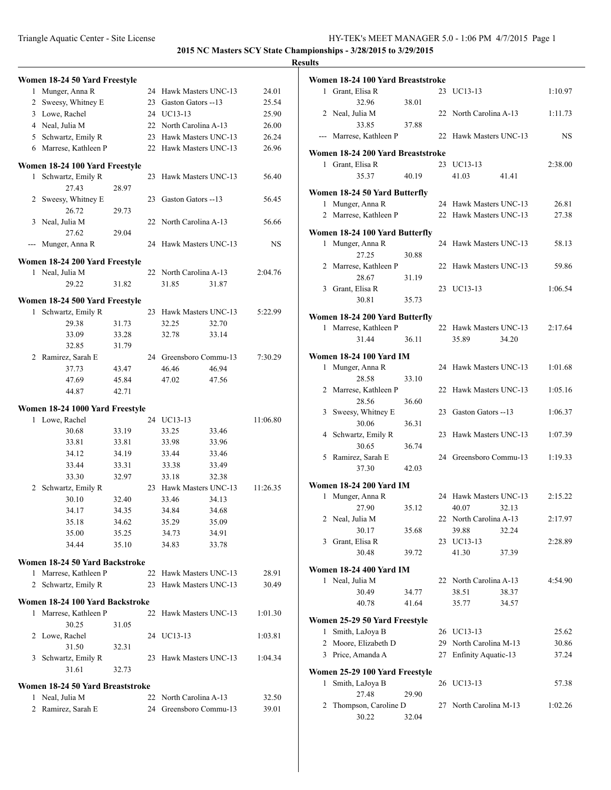|   | Women 18-24 50 Yard Freestyle    |                |    |                        |                |          |
|---|----------------------------------|----------------|----|------------------------|----------------|----------|
| 1 | Munger, Anna R                   |                |    | 24 Hawk Masters UNC-13 |                | 24.01    |
|   | 2 Sweesy, Whitney E              |                | 23 | Gaston Gators --13     |                | 25.54    |
|   | 3 Lowe, Rachel                   |                |    | 24 UC13-13             |                | 25.90    |
|   | 4 Neal, Julia M                  |                |    | 22 North Carolina A-13 |                | 26.00    |
|   | 5 Schwartz, Emily R              |                |    | 23 Hawk Masters UNC-13 |                | 26.24    |
|   | 6 Marrese, Kathleen P            |                |    | 22 Hawk Masters UNC-13 |                | 26.96    |
|   | Women 18-24 100 Yard Freestyle   |                |    |                        |                |          |
| 1 | Schwartz, Emily R                |                | 23 | Hawk Masters UNC-13    |                | 56.40    |
|   | 27.43                            | 28.97          |    |                        |                |          |
|   | 2 Sweesy, Whitney E              |                | 23 | Gaston Gators --13     |                | 56.45    |
|   | 26.72                            | 29.73          |    |                        |                |          |
| 3 | Neal, Julia M                    |                | 22 | North Carolina A-13    |                | 56.66    |
|   | 27.62                            | 29.04          |    |                        |                |          |
|   | Munger, Anna R                   |                |    | 24 Hawk Masters UNC-13 |                | NS       |
|   | Women 18-24 200 Yard Freestyle   |                |    |                        |                |          |
| 1 | Neal, Julia M                    |                | 22 | North Carolina A-13    |                | 2:04.76  |
|   | 29.22                            | 31.82          |    | 31.85                  | 31.87          |          |
|   |                                  |                |    |                        |                |          |
|   | Women 18-24 500 Yard Freestyle   |                |    |                        |                |          |
| 1 | Schwartz, Emily R                |                | 23 | Hawk Masters UNC-13    |                | 5:22.99  |
|   | 29.38                            | 31.73          |    | 32.25                  | 32.70          |          |
|   | 33.09                            | 33.28          |    | 32.78                  | 33.14          |          |
|   | 32.85                            | 31.79          |    |                        |                |          |
|   | 2 Ramirez, Sarah E               |                |    | 24 Greensboro Commu-13 |                | 7:30.29  |
|   | 37.73                            | 43.47          |    | 46.46                  | 46.94          |          |
|   | 47.69                            | 45.84          |    | 47.02                  | 47.56          |          |
|   | 44.87                            | 42.71          |    |                        |                |          |
|   | Women 18-24 1000 Yard Freestyle  |                |    |                        |                |          |
| 1 | Lowe, Rachel                     |                | 24 | UC13-13                |                | 11:06.80 |
|   | 30.68                            | 33.19          |    | 33.25                  | 33.46          |          |
|   | 33.81                            | 33.81          |    | 33.98                  | 33.96          |          |
|   | 34.12                            | 34.19          |    | 33.44                  | 33.46          |          |
|   | 33.44                            | 33.31          |    | 33.38                  | 33.49          |          |
|   | 33.30                            | 32.97          |    | 33.18                  | 32.38          |          |
|   | 2 Schwartz, Emily R              |                |    | 23 Hawk Masters UNC-13 |                | 11:26.35 |
|   | 30.10                            | 32.40          |    | 33.46                  | 34.13          |          |
|   | 34.17                            | 34.35          |    | 34.84                  | 34.68          |          |
|   | 35.18                            | 34.62          |    | 35.29                  | 35.09          |          |
|   | 35.00<br>34.44                   | 35.25<br>35.10 |    | 34.73                  | 34.91<br>33.78 |          |
|   |                                  |                |    | 34.83                  |                |          |
|   | Women 18-24 50 Yard Backstroke   |                |    |                        |                |          |
| 1 | Marrese, Kathleen P              |                | 22 | Hawk Masters UNC-13    |                | 28.91    |
| 2 | Schwartz, Emily R                |                |    | 23 Hawk Masters UNC-13 |                | 30.49    |
|   | Women 18-24 100 Yard Backstroke  |                |    |                        |                |          |
|   | 1 Marrese, Kathleen P            |                | 22 | Hawk Masters UNC-13    |                | 1:01.30  |
|   | 30.25                            | 31.05          |    |                        |                |          |
|   | 2 Lowe, Rachel                   |                | 24 | UC13-13                |                | 1:03.81  |
|   | 31.50                            | 32.31          |    |                        |                |          |
|   | 3 Schwartz, Emily R              |                | 23 | Hawk Masters UNC-13    |                | 1:04.34  |
|   | 31.61                            | 32.73          |    |                        |                |          |
|   | Women 18-24 50 Yard Breaststroke |                |    |                        |                |          |
|   | 1 Neal, Julia M                  |                | 22 | North Carolina A-13    |                | 32.50    |
| 2 | Ramirez, Sarah E                 |                | 24 | Greensboro Commu-13    |                | 39.01    |
|   |                                  |                |    |                        |                |          |

|              | Women 18-24 100 Yard Breaststroke |       |    |                        |       |         |
|--------------|-----------------------------------|-------|----|------------------------|-------|---------|
| $\mathbf{1}$ | Grant, Elisa R                    |       | 23 | UC13-13                |       | 1:10.97 |
|              | 32.96                             | 38.01 |    |                        |       |         |
|              | 2 Neal, Julia M                   |       |    | 22 North Carolina A-13 |       | 1:11.73 |
|              | 33.85                             | 37.88 |    |                        |       |         |
|              | --- Marrese, Kathleen P           |       | 22 | Hawk Masters UNC-13    |       | NS      |
|              |                                   |       |    |                        |       |         |
|              | Women 18-24 200 Yard Breaststroke |       |    |                        |       |         |
| $\mathbf{1}$ | Grant, Elisa R                    |       | 23 | UC13-13                |       | 2:38.00 |
|              | 35.37                             | 40.19 |    | 41.03                  | 41.41 |         |
|              | Women 18-24 50 Yard Butterfly     |       |    |                        |       |         |
| $\mathbf{1}$ | Munger, Anna R                    |       | 24 | Hawk Masters UNC-13    |       | 26.81   |
|              | 2 Marrese, Kathleen P             |       | 22 | Hawk Masters UNC-13    |       | 27.38   |
|              |                                   |       |    |                        |       |         |
|              | Women 18-24 100 Yard Butterfly    |       |    |                        |       |         |
| $\mathbf{1}$ | Munger, Anna R                    |       | 24 | Hawk Masters UNC-13    |       | 58.13   |
|              | 27.25                             | 30.88 |    |                        |       |         |
|              | 2 Marrese, Kathleen P             |       | 22 | Hawk Masters UNC-13    |       | 59.86   |
|              | 28.67                             | 31.19 |    |                        |       |         |
|              | 3 Grant, Elisa R                  |       |    | 23 UC13-13             |       | 1:06.54 |
|              | 30.81                             | 35.73 |    |                        |       |         |
|              | Women 18-24 200 Yard Butterfly    |       |    |                        |       |         |
| 1            | Marrese, Kathleen P               |       |    | 22 Hawk Masters UNC-13 |       | 2:17.64 |
|              | 31.44                             | 36.11 |    | 35.89                  | 34.20 |         |
|              |                                   |       |    |                        |       |         |
|              | Women 18-24 100 Yard IM           |       |    |                        |       |         |
| $\mathbf{1}$ | Munger, Anna R                    |       |    | 24 Hawk Masters UNC-13 |       | 1:01.68 |
|              | 28.58                             | 33.10 |    |                        |       |         |
|              | 2 Marrese, Kathleen P             |       |    | 22 Hawk Masters UNC-13 |       | 1:05.16 |
|              | 28.56                             | 36.60 |    |                        |       |         |
|              | 3 Sweesy, Whitney E               |       |    | 23 Gaston Gators --13  |       | 1:06.37 |
|              | 30.06                             | 36.31 |    |                        |       |         |
| 4            | Schwartz, Emily R                 |       | 23 | Hawk Masters UNC-13    |       | 1:07.39 |
|              | 30.65                             | 36.74 |    |                        |       |         |
| 5            | Ramirez, Sarah E                  |       |    | 24 Greensboro Commu-13 |       | 1:19.33 |
|              | 37.30                             | 42.03 |    |                        |       |         |
|              | Women 18-24 200 Yard IM           |       |    |                        |       |         |
| 1            | Munger, Anna R                    |       |    | 24 Hawk Masters UNC-13 |       | 2:15.22 |
|              | 27.90                             | 35.12 |    | 40.07                  | 32.13 |         |
|              | 2 Neal, Julia M                   |       | 22 | North Carolina A-13    |       | 2:17.97 |
|              | 30.17                             | 35.68 |    | 39.88                  | 32.24 |         |
| 3            | Grant, Elisa R                    |       |    | 23 UC13-13             |       | 2:28.89 |
|              | 30.48                             | 39.72 |    | 41.30                  | 37.39 |         |
|              |                                   |       |    |                        |       |         |
|              | Women 18-24 400 Yard IM           |       |    |                        |       |         |
| 1            | Neal, Julia M                     |       | 22 | North Carolina A-13    |       | 4:54.90 |
|              | 30.49                             | 34.77 |    | 38.51                  | 38.37 |         |
|              | 40.78                             | 41.64 |    | 35.77                  | 34.57 |         |
|              | Women 25-29 50 Yard Freestyle     |       |    |                        |       |         |
| 1            | Smith, LaJoya B                   |       |    | 26 UC13-13             |       | 25.62   |
| 2            | Moore, Elizabeth D                |       |    | 29 North Carolina M-13 |       | 30.86   |
| 3            | Price, Amanda A                   |       | 27 | Enfinity Aquatic-13    |       | 37.24   |
|              |                                   |       |    |                        |       |         |
|              | Women 25-29 100 Yard Freestyle    |       |    |                        |       |         |
| 1            | Smith, LaJoya B                   |       | 26 | UC13-13                |       | 57.38   |
|              | 27.48                             | 29.90 |    |                        |       |         |
| 2            | Thompson, Caroline D              |       | 27 | North Carolina M-13    |       | 1:02.26 |
|              | 30.22                             | 32.04 |    |                        |       |         |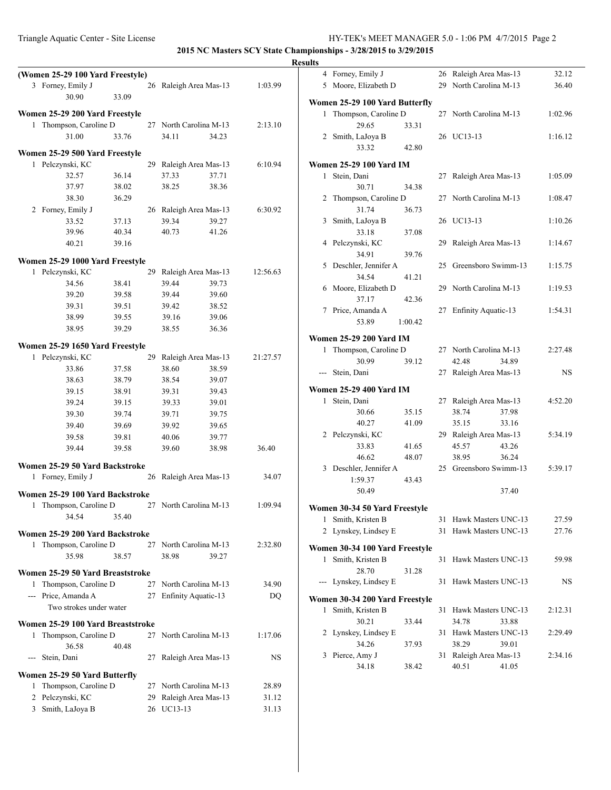|                                            |       |                                      |       |                | <b>Results</b> |                                |         |                        |           |
|--------------------------------------------|-------|--------------------------------------|-------|----------------|----------------|--------------------------------|---------|------------------------|-----------|
| (Women 25-29 100 Yard Freestyle)           |       |                                      |       |                |                | 4 Forney, Emily J              |         | 26 Raleigh Area Mas-13 | 32.12     |
| 3 Forney, Emily J                          |       | 26 Raleigh Area Mas-13               |       | 1:03.99        |                | 5 Moore, Elizabeth D           |         | 29 North Carolina M-13 | 36.40     |
| 30.90                                      | 33.09 |                                      |       |                |                | Women 25-29 100 Yard Butterfly |         |                        |           |
| Women 25-29 200 Yard Freestyle             |       |                                      |       |                |                | 1 Thompson, Caroline D         |         | 27 North Carolina M-13 | 1:02.96   |
| 1 Thompson, Caroline D                     |       | 27 North Carolina M-13               |       | 2:13.10        |                | 29.65                          | 33.31   |                        |           |
| 31.00                                      | 33.76 | 34.11                                | 34.23 |                |                | 2 Smith, LaJoya B              |         | 26 UC13-13             | 1:16.12   |
| Women 25-29 500 Yard Freestyle             |       |                                      |       |                |                | 33.32                          | 42.80   |                        |           |
| 1 Pelczynski, KC                           |       | 29 Raleigh Area Mas-13               |       | 6:10.94        |                | <b>Women 25-29 100 Yard IM</b> |         |                        |           |
| 32.57                                      | 36.14 | 37.33                                | 37.71 |                |                | 1 Stein, Dani                  |         | 27 Raleigh Area Mas-13 | 1:05.09   |
| 37.97                                      | 38.02 | 38.25                                | 38.36 |                |                | 30.71                          | 34.38   |                        |           |
| 38.30                                      | 36.29 |                                      |       |                |                | 2 Thompson, Caroline D         |         | 27 North Carolina M-13 | 1:08.47   |
| 2 Forney, Emily J                          |       | 26 Raleigh Area Mas-13               |       | 6:30.92        |                | 31.74                          | 36.73   |                        |           |
| 33.52                                      | 37.13 | 39.34                                | 39.27 |                |                | 3 Smith, LaJoya B              |         | 26 UC13-13             | 1:10.26   |
| 39.96                                      | 40.34 | 40.73                                | 41.26 |                |                | 33.18                          | 37.08   |                        |           |
| 40.21                                      | 39.16 |                                      |       |                |                | 4 Pelczynski, KC               |         | 29 Raleigh Area Mas-13 | 1:14.67   |
|                                            |       |                                      |       |                |                | 34.91                          | 39.76   |                        |           |
| Women 25-29 1000 Yard Freestyle            |       |                                      |       | 12:56.63       |                | 5 Deschler, Jennifer A         |         | 25 Greensboro Swimm-13 | 1:15.75   |
| 1 Pelczynski, KC<br>34.56                  | 38.41 | 29 Raleigh Area Mas-13<br>39.44      | 39.73 |                |                | 34.54                          | 41.21   |                        |           |
| 39.20                                      | 39.58 | 39.44                                | 39.60 |                |                | 6 Moore, Elizabeth D           |         | 29 North Carolina M-13 | 1:19.53   |
| 39.31                                      | 39.51 | 39.42                                | 38.52 |                |                | 37.17                          | 42.36   |                        |           |
| 38.99                                      | 39.55 | 39.16                                | 39.06 |                |                | 7 Price, Amanda A              |         | 27 Enfinity Aquatic-13 | 1:54.31   |
| 38.95                                      | 39.29 | 38.55                                | 36.36 |                |                | 53.89                          | 1:00.42 |                        |           |
|                                            |       |                                      |       |                |                | <b>Women 25-29 200 Yard IM</b> |         |                        |           |
| Women 25-29 1650 Yard Freestyle            |       |                                      |       |                |                | 1 Thompson, Caroline D         |         | 27 North Carolina M-13 | 2:27.48   |
| 1 Pelczynski, KC                           |       | 29 Raleigh Area Mas-13               |       | 21:27.57       |                | 30.99                          | 39.12   | 42.48<br>34.89         |           |
| 33.86                                      | 37.58 | 38.60                                | 38.59 |                |                | --- Stein, Dani                |         | 27 Raleigh Area Mas-13 | <b>NS</b> |
| 38.63                                      | 38.79 | 38.54                                | 39.07 |                |                | <b>Women 25-29 400 Yard IM</b> |         |                        |           |
| 39.15                                      | 38.91 | 39.31                                | 39.43 |                |                | 1 Stein, Dani                  |         | 27 Raleigh Area Mas-13 | 4:52.20   |
| 39.24                                      | 39.15 | 39.33                                | 39.01 |                |                | 30.66                          | 35.15   | 38.74<br>37.98         |           |
| 39.30                                      | 39.74 | 39.71                                | 39.75 |                |                | 40.27                          | 41.09   | 35.15<br>33.16         |           |
| 39.40                                      | 39.69 | 39.92                                | 39.65 |                |                | 2 Pelczynski, KC               |         | 29 Raleigh Area Mas-13 | 5:34.19   |
| 39.58                                      | 39.81 | 40.06                                | 39.77 |                |                | 33.83                          | 41.65   | 45.57<br>43.26         |           |
| 39.44                                      | 39.58 | 39.60                                | 38.98 | 36.40          |                | 46.62                          | 48.07   | 38.95<br>36.24         |           |
| Women 25-29 50 Yard Backstroke             |       |                                      |       |                |                | 3 Deschler, Jennifer A         |         | 25 Greensboro Swimm-13 | 5:39.17   |
| 1 Forney, Emily J                          |       | 26 Raleigh Area Mas-13               |       | 34.07          |                | 1:59.37                        | 43.43   |                        |           |
| Women 25-29 100 Yard Backstroke            |       |                                      |       |                |                | 50.49                          |         | 37.40                  |           |
| 1 Thompson, Caroline D                     |       | 27 North Carolina M-13               |       | 1:09.94        |                | Women 30-34 50 Yard Freestyle  |         |                        |           |
| 34.54                                      | 35.40 |                                      |       |                |                | 1 Smith, Kristen B             |         | 31 Hawk Masters UNC-13 | 27.59     |
| Women 25-29 200 Yard Backstroke            |       |                                      |       |                |                | 2 Lynskey, Lindsey E           |         | 31 Hawk Masters UNC-13 | 27.76     |
| 1 Thompson, Caroline D                     |       | 27 North Carolina M-13               |       | 2:32.80        |                |                                |         |                        |           |
| 35.98                                      | 38.57 | 38.98                                | 39.27 |                |                | Women 30-34 100 Yard Freestyle |         |                        |           |
|                                            |       |                                      |       |                |                | 1 Smith, Kristen B             |         | 31 Hawk Masters UNC-13 | 59.98     |
| Women 25-29 50 Yard Breaststroke           |       |                                      |       |                |                | 28.70                          | 31.28   |                        |           |
| 1 Thompson, Caroline D                     |       | 27 North Carolina M-13               |       | 34.90          |                | --- Lynskey, Lindsey E         |         | 31 Hawk Masters UNC-13 | NS        |
| --- Price, Amanda A                        |       | 27 Enfinity Aquatic-13               |       | DQ             |                | Women 30-34 200 Yard Freestyle |         |                        |           |
| Two strokes under water                    |       |                                      |       |                |                | 1 Smith, Kristen B             |         | 31 Hawk Masters UNC-13 | 2:12.31   |
| Women 25-29 100 Yard Breaststroke          |       |                                      |       |                |                | 30.21                          | 33.44   | 34.78<br>33.88         |           |
| 1 Thompson, Caroline D                     |       | 27 North Carolina M-13               |       | 1:17.06        |                | 2 Lynskey, Lindsey E           |         | 31 Hawk Masters UNC-13 | 2:29.49   |
| 36.58                                      | 40.48 |                                      |       |                |                | 34.26                          | 37.93   | 38.29<br>39.01         |           |
| --- Stein, Dani                            |       | 27 Raleigh Area Mas-13               |       | <b>NS</b>      |                | 3 Pierce, Amy J                |         | 31 Raleigh Area Mas-13 | 2:34.16   |
|                                            |       |                                      |       |                |                | 34.18                          | 38.42   | 40.51<br>41.05         |           |
| Women 25-29 50 Yard Butterfly              |       |                                      |       |                |                |                                |         |                        |           |
| 1 Thompson, Caroline D<br>2 Pelczynski, KC |       | 27 North Carolina M-13               |       | 28.89<br>31.12 |                |                                |         |                        |           |
| 3 Smith, LaJoya B                          |       | 29 Raleigh Area Mas-13<br>26 UC13-13 |       | 31.13          |                |                                |         |                        |           |
|                                            |       |                                      |       |                |                |                                |         |                        |           |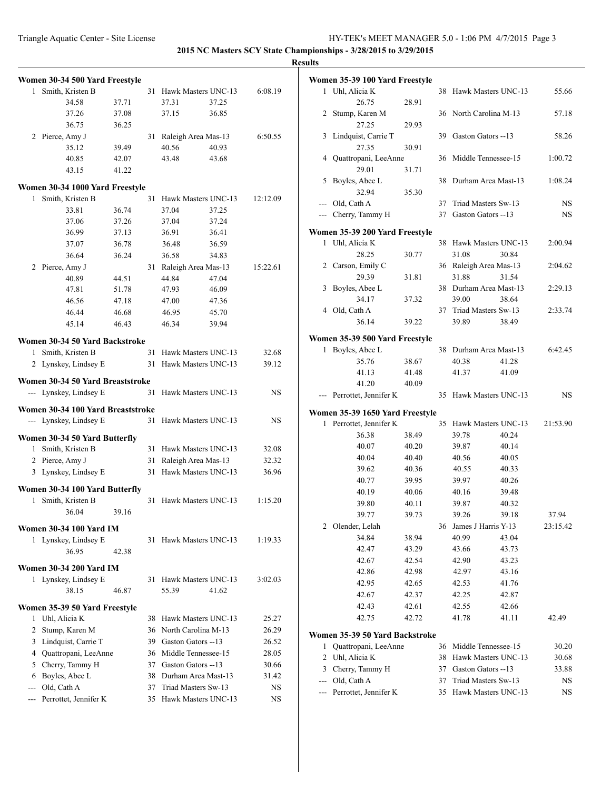|              |                                   |       |    |                        |       | v         |
|--------------|-----------------------------------|-------|----|------------------------|-------|-----------|
|              | Women 30-34 500 Yard Freestyle    |       |    |                        |       |           |
| $\mathbf{1}$ | Smith, Kristen B                  |       |    | 31 Hawk Masters UNC-13 |       | 6:08.19   |
|              | 34.58                             | 37.71 |    | 37.31                  | 37.25 |           |
|              | 37.26                             | 37.08 |    | 37.15                  | 36.85 |           |
|              | 36.75                             | 36.25 |    |                        |       |           |
|              | 2 Pierce, Amy J                   |       | 31 | Raleigh Area Mas-13    |       | 6:50.55   |
|              | 35.12                             | 39.49 |    | 40.56                  | 40.93 |           |
|              | 40.85                             | 42.07 |    | 43.48                  | 43.68 |           |
|              | 43.15                             | 41.22 |    |                        |       |           |
|              | Women 30-34 1000 Yard Freestyle   |       |    |                        |       |           |
| 1            | Smith, Kristen B                  |       | 31 | Hawk Masters UNC-13    |       | 12:12.09  |
|              | 33.81                             | 36.74 |    | 37.04                  | 37.25 |           |
|              | 37.06                             | 37.26 |    | 37.04                  | 37.24 |           |
|              | 36.99                             | 37.13 |    | 36.91                  | 36.41 |           |
|              | 37.07                             | 36.78 |    | 36.48                  | 36.59 |           |
|              | 36.64                             | 36.24 |    | 36.58                  | 34.83 |           |
|              | 2 Pierce, Amy J                   |       |    | 31 Raleigh Area Mas-13 |       | 15:22.61  |
|              | 40.89                             | 44.51 |    | 44.84                  | 47.04 |           |
|              | 47.81                             | 51.78 |    | 47.93                  | 46.09 |           |
|              | 46.56                             | 47.18 |    | 47.00                  | 47.36 |           |
|              | 46.44                             | 46.68 |    | 46.95                  | 45.70 |           |
|              | 45.14                             | 46.43 |    | 46.34                  | 39.94 |           |
|              |                                   |       |    |                        |       |           |
|              | Women 30-34 50 Yard Backstroke    |       |    |                        |       |           |
|              | 1 Smith, Kristen B                |       | 31 | Hawk Masters UNC-13    |       | 32.68     |
|              | 2 Lynskey, Lindsey E              |       | 31 | Hawk Masters UNC-13    |       | 39.12     |
|              | Women 30-34 50 Yard Breaststroke  |       |    |                        |       |           |
|              | --- Lynskey, Lindsey E            |       | 31 | Hawk Masters UNC-13    |       | <b>NS</b> |
|              |                                   |       |    |                        |       |           |
|              | Women 30-34 100 Yard Breaststroke |       |    |                        |       |           |
|              | --- Lynskey, Lindsey E            |       | 31 | Hawk Masters UNC-13    |       | NS.       |
|              | Women 30-34 50 Yard Butterfly     |       |    |                        |       |           |
|              | 1 Smith, Kristen B                |       |    | 31 Hawk Masters UNC-13 |       | 32.08     |
|              | 2 Pierce, Amy J                   |       |    | 31 Raleigh Area Mas-13 |       | 32.32     |
|              | 3 Lynskey, Lindsey E              |       | 31 | Hawk Masters UNC-13    |       | 36.96     |
|              | Women 30-34 100 Yard Butterfly    |       |    |                        |       |           |
| 1            | Smith, Kristen B                  |       | 31 | Hawk Masters UNC-13    |       | 1:15.20   |
|              | 36.04                             | 39.16 |    |                        |       |           |
|              |                                   |       |    |                        |       |           |
|              | Women 30-34 100 Yard IM           |       |    |                        |       |           |
|              | 1 Lynskey, Lindsey E              |       | 31 | Hawk Masters UNC-13    |       | 1:19.33   |
|              | 36.95                             | 42.38 |    |                        |       |           |
|              | <b>Women 30-34 200 Yard IM</b>    |       |    |                        |       |           |
|              | 1 Lynskey, Lindsey E              |       | 31 | Hawk Masters UNC-13    |       | 3:02.03   |
|              | 38.15                             | 46.87 |    | 55.39                  | 41.62 |           |
|              |                                   |       |    |                        |       |           |
|              | Women 35-39 50 Yard Freestyle     |       |    |                        |       |           |
|              | 1 Uhl, Alicia K                   |       |    | 38 Hawk Masters UNC-13 |       | 25.27     |
|              | 2 Stump, Karen M                  |       |    | 36 North Carolina M-13 |       | 26.29     |
|              | 3 Lindquist, Carrie T             |       |    | 39 Gaston Gators --13  |       | 26.52     |
|              | 4 Quattropani, LeeAnne            |       |    | 36 Middle Tennessee-15 |       | 28.05     |
|              | 5 Cherry, Tammy H                 |       |    | 37 Gaston Gators --13  |       | 30.66     |
| 6            | Boyles, Abee L                    |       |    | 38 Durham Area Mast-13 |       | 31.42     |
| ---          | Old, Cath A                       |       |    | 37 Triad Masters Sw-13 |       | NS        |
| ---          | Perrottet, Jennifer K             |       | 35 | Hawk Masters UNC-13    |       | NS.       |
|              |                                   |       |    |                        |       |           |

|     | Women 35-39 100 Yard Freestyle               |       |          |                                            |       |          |
|-----|----------------------------------------------|-------|----------|--------------------------------------------|-------|----------|
| 1   | Uhl, Alicia K                                |       | 38       | Hawk Masters UNC-13                        |       | 55.66    |
|     | 26.75                                        | 28.91 |          |                                            |       |          |
| 2   | Stump, Karen M                               |       |          | 36 North Carolina M-13                     |       | 57.18    |
|     | 27.25                                        | 29.93 |          |                                            |       |          |
| 3   | Lindquist, Carrie T                          |       | 39       | Gaston Gators --13                         |       | 58.26    |
|     | 27.35                                        | 30.91 |          |                                            |       |          |
| 4   | Quattropani, LeeAnne                         |       | 36       | Middle Tennessee-15                        |       | 1:00.72  |
|     | 29.01                                        | 31.71 |          |                                            |       |          |
| 5   | Boyles, Abee L                               |       | 38       | Durham Area Mast-13                        |       | 1:08.24  |
|     | 32.94                                        | 35.30 |          |                                            |       |          |
| --- | Old, Cath A                                  |       | 37       | Triad Masters Sw-13                        |       | NS       |
| --- | Cherry, Tammy H                              |       | 37       | Gaston Gators --13                         |       | NS       |
|     |                                              |       |          |                                            |       |          |
| 1   | Women 35-39 200 Yard Freestyle               |       | 38       | Hawk Masters UNC-13                        |       | 2:00.94  |
|     | Uhl, Alicia K<br>28.25                       |       |          |                                            |       |          |
|     |                                              | 30.77 | 36       | 31.08                                      | 30.84 |          |
| 2   | Carson, Emily C<br>29.39                     | 31.81 |          | Raleigh Area Mas-13<br>31.88               |       | 2:04.62  |
|     | Boyles, Abee L                               |       | 38       |                                            | 31.54 |          |
| 3   |                                              |       |          | Durham Area Mast-13                        |       | 2:29.13  |
|     | 34.17                                        | 37.32 | 37       | 39.00                                      | 38.64 |          |
|     | 4 Old, Cath A                                | 39.22 |          | Triad Masters Sw-13                        | 38.49 | 2:33.74  |
|     | 36.14                                        |       |          | 39.89                                      |       |          |
|     | Women 35-39 500 Yard Freestyle               |       |          |                                            |       |          |
| 1   | Boyles, Abee L                               |       | 38       | Durham Area Mast-13                        |       | 6:42.45  |
|     | 35.76                                        | 38.67 |          | 40.38                                      | 41.28 |          |
|     | 41.13                                        | 41.48 |          | 41.37                                      | 41.09 |          |
|     | 41.20                                        | 40.09 |          |                                            |       |          |
|     |                                              |       |          |                                            |       |          |
|     | --- Perrottet, Jennifer K                    |       | 35       | Hawk Masters UNC-13                        |       | NS.      |
|     |                                              |       |          |                                            |       |          |
|     | Women 35-39 1650 Yard Freestyle              |       |          |                                            |       |          |
| 1   | Perrottet, Jennifer K                        |       | 35       | Hawk Masters UNC-13                        |       | 21:53.90 |
|     | 36.38                                        | 38.49 |          | 39.78                                      | 40.24 |          |
|     | 40.07                                        | 40.20 |          | 39.87                                      | 40.14 |          |
|     | 40.04                                        | 40.40 |          | 40.56                                      | 40.05 |          |
|     | 39.62                                        | 40.36 |          | 40.55                                      | 40.33 |          |
|     | 40.77                                        | 39.95 |          | 39.97                                      | 40.26 |          |
|     | 40.19                                        | 40.06 |          | 40.16                                      | 39.48 |          |
|     | 39.80                                        | 40.11 |          | 39.87                                      | 40.32 |          |
|     | 39.77                                        | 39.73 |          | 39.26                                      | 39.18 | 37.94    |
| 2   | Olender, Lelah                               |       | 36       | James J Harris Y-13                        |       | 23:15.42 |
|     | 34.84                                        | 38.94 |          | 40.99                                      | 43.04 |          |
|     | 42.47                                        | 43.29 |          | 43.66                                      | 43.73 |          |
|     | 42.67                                        | 42.54 |          | 42.90                                      | 43.23 |          |
|     | 42.86                                        | 42.98 |          | 42.97                                      | 43.16 |          |
|     | 42.95                                        | 42.65 |          | 42.53                                      | 41.76 |          |
|     | 42.67                                        | 42.37 |          | 42.25                                      | 42.87 |          |
|     | 42.43                                        | 42.61 |          | 42.55                                      | 42.66 |          |
|     | 42.75                                        | 42.72 |          | 41.78                                      | 41.11 | 42.49    |
|     | Women 35-39 50 Yard Backstroke               |       |          |                                            |       |          |
| 1   | Quattropani, LeeAnne                         |       | 36       | Middle Tennessee-15                        |       | 30.20    |
| 2   | Uhl, Alicia K                                |       | 38       | Hawk Masters UNC-13                        |       | 30.68    |
| 3   | Cherry, Tammy H                              |       | 37       | Gaston Gators --13                         |       | 33.88    |
|     | --- Old, Cath A<br>--- Perrottet, Jennifer K |       | 37<br>35 | Triad Masters Sw-13<br>Hawk Masters UNC-13 |       | NS<br>NS |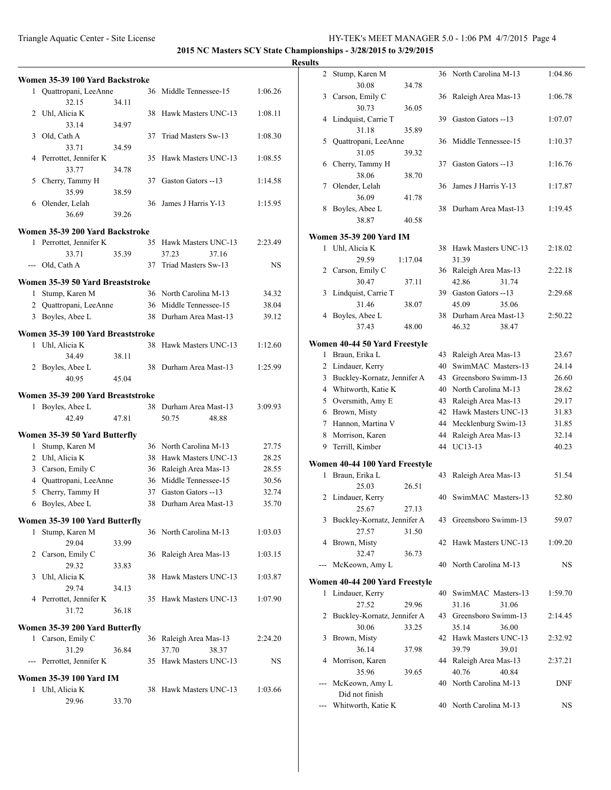### Triangle Aquatic Center - Site License HY-TEK's MEET MANAGER 5.0 - 1:06 PM 4/7/2015 Page 4

**2015 NC Masters SCY State Championships - 3/28/2015 to 3/29/2015**

|   | Women 35-39 100 Yard Backstroke             |       |    |                                                  |                |
|---|---------------------------------------------|-------|----|--------------------------------------------------|----------------|
|   | 1 Quattropani, LeeAnne                      |       |    | 36 Middle Tennessee-15                           | 1:06.26        |
|   | 32.15                                       | 34.11 |    |                                                  |                |
| 2 | Uhl, Alicia K                               |       | 38 | Hawk Masters UNC-13                              | 1:08.11        |
|   | 33.14                                       | 34.97 |    |                                                  |                |
| 3 | Old, Cath A                                 |       | 37 | Triad Masters Sw-13                              | 1:08.30        |
|   | 33.71                                       | 34.59 |    |                                                  |                |
| 4 | Perrottet, Jennifer K                       |       | 35 | Hawk Masters UNC-13                              | 1:08.55        |
|   | 33.77                                       | 34.78 |    |                                                  |                |
| 5 | Cherry, Tammy H                             |       |    | 37 Gaston Gators --13                            | 1:14.58        |
|   | 35.99                                       | 38.59 |    |                                                  |                |
|   | 6 Olender, Lelah                            |       | 36 | James J Harris Y-13                              | 1:15.95        |
|   | 36.69                                       | 39.26 |    |                                                  |                |
|   | Women 35-39 200 Yard Backstroke             |       |    |                                                  |                |
| 1 | Perrottet, Jennifer K                       |       |    | 35 Hawk Masters UNC-13                           | 2:23.49        |
|   | 33.71                                       | 35.39 |    | 37.23<br>37.16                                   |                |
|   | --- Old, Cath A                             |       | 37 | Triad Masters Sw-13                              | NS             |
|   |                                             |       |    |                                                  |                |
|   | Women 35-39 50 Yard Breaststroke            |       |    |                                                  |                |
| 1 | Stump, Karen M                              |       |    | 36 North Carolina M-13                           | 34.32          |
|   | 2 Quattropani, LeeAnne<br>3 Boyles, Abee L  |       |    | 36 Middle Tennessee-15                           | 38.04          |
|   |                                             |       | 38 | Durham Area Mast-13                              | 39.12          |
|   | Women 35-39 100 Yard Breaststroke           |       |    |                                                  |                |
| 1 | Uhl, Alicia K                               |       | 38 | Hawk Masters UNC-13                              | 1:12.60        |
|   | 34.49                                       | 38.11 |    |                                                  |                |
|   | 2 Boyles, Abee L                            |       |    | 38 Durham Area Mast-13                           | 1:25.99        |
|   | 40.95                                       | 45.04 |    |                                                  |                |
|   | Women 35-39 200 Yard Breaststroke           |       |    |                                                  |                |
| 1 | Boyles, Abee L                              |       |    | 38 Durham Area Mast-13                           | 3:09.93        |
|   | 42.49                                       | 47.81 |    | 50.75<br>48.88                                   |                |
|   |                                             |       |    |                                                  |                |
|   | Women 35-39 50 Yard Butterfly               |       |    |                                                  |                |
| 1 | Stump, Karen M                              |       |    | 36 North Carolina M-13                           | 27.75          |
|   | 2 Uhl, Alicia K                             |       |    | 38 Hawk Masters UNC-13                           | 28.25          |
|   | 3 Carson, Emily C<br>4 Quattropani, LeeAnne |       |    | 36 Raleigh Area Mas-13<br>36 Middle Tennessee-15 | 28.55<br>30.56 |
|   | 5 Cherry, Tammy H                           |       |    | 37 Gaston Gators --13                            | 32.74          |
|   |                                             |       |    | 38 Durham Area Mast-13                           | 35.70          |
| 6 | Boyles, Abee L                              |       |    |                                                  |                |
|   | Women 35-39 100 Yard Butterfly              |       |    |                                                  |                |
| 1 | Stump, Karen M                              |       |    | 36 North Carolina M-13                           | 1:03.03        |
|   | 29.04                                       | 33.99 |    |                                                  |                |
|   | 2 Carson, Emily C                           |       | 36 | Raleigh Area Mas-13                              | 1:03.15        |
|   | 29.32                                       | 33.83 |    |                                                  |                |
| 3 | Uhl, Alicia K                               |       | 38 | Hawk Masters UNC-13                              | 1:03.87        |
|   | 29.74                                       | 34.13 |    |                                                  |                |
|   | 4 Perrottet, Jennifer K                     |       | 35 | Hawk Masters UNC-13                              | 1:07.90        |
|   | 31.72                                       | 36.18 |    |                                                  |                |
|   | Women 35-39 200 Yard Butterfly              |       |    |                                                  |                |
| 1 | Carson, Emily C                             |       |    | 36 Raleigh Area Mas-13                           | 2:24.20        |
|   | 31.29                                       | 36.84 |    | 37.70<br>38.37                                   |                |
|   | --- Perrottet, Jennifer K                   |       |    | 35 Hawk Masters UNC-13                           | NS             |
|   |                                             |       |    |                                                  |                |
|   | <b>Women 35-39 100 Yard IM</b>              |       |    |                                                  |                |
| 1 | Uhl, Alicia K                               |       | 38 | Hawk Masters UNC-13                              | 1:03.66        |
|   | 29.96                                       | 33.70 |    |                                                  |                |
|   |                                             |       |    |                                                  |                |

| 2              | Stump, Karen M                 |         |    | 36 North Carolina M-13 | 1:04.86 |
|----------------|--------------------------------|---------|----|------------------------|---------|
|                | 30.08                          | 34.78   |    |                        |         |
| 3              | Carson, Emily C                |         |    | 36 Raleigh Area Mas-13 | 1:06.78 |
|                | 30.73                          | 36.05   |    |                        |         |
| 4              | Lindquist, Carrie T            |         | 39 | Gaston Gators --13     | 1:07.07 |
|                | 31.18                          | 35.89   |    |                        |         |
| 5              | Quattropani, LeeAnne           |         | 36 | Middle Tennessee-15    | 1:10.37 |
|                | 31.05                          | 39.32   |    |                        |         |
| 6              | Cherry, Tammy H                |         | 37 | Gaston Gators --13     | 1:16.76 |
|                | 38.06                          | 38.70   |    |                        |         |
| 7              | Olender, Lelah                 |         | 36 | James J Harris Y-13    | 1:17.87 |
|                | 36.09                          | 41.78   |    |                        |         |
| 8              | Boyles, Abee L                 |         | 38 | Durham Area Mast-13    | 1:19.45 |
|                | 38.87                          | 40.58   |    |                        |         |
|                |                                |         |    |                        |         |
|                | <b>Women 35-39 200 Yard IM</b> |         |    |                        |         |
| 1              | Uhl, Alicia K                  |         | 38 | Hawk Masters UNC-13    | 2:18.02 |
|                | 29.59                          | 1:17.04 |    | 31.39                  |         |
| 2              | Carson, Emily C                |         |    | 36 Raleigh Area Mas-13 | 2:22.18 |
|                | 30.47                          | 37.11   |    | 42.86<br>31.74         |         |
| 3              | Lindquist, Carrie T            |         |    | 39 Gaston Gators --13  | 2:29.68 |
|                | 31.46                          | 38.07   |    | 45.09<br>35.06         |         |
| 4              | Boyles, Abee L                 |         | 38 | Durham Area Mast-13    | 2:50.22 |
|                | 37.43                          | 48.00   |    | 46.32<br>38.47         |         |
|                | Women 40-44 50 Yard Freestyle  |         |    |                        |         |
| 1              | Braun, Erika L                 |         | 43 | Raleigh Area Mas-13    | 23.67   |
| $\overline{2}$ | Lindauer, Kerry                |         | 40 | SwimMAC Masters-13     | 24.14   |
| 3              | Buckley-Kornatz, Jennifer A    |         | 43 | Greensboro Swimm-13    | 26.60   |
|                | 4 Whitworth, Katie K           |         | 40 | North Carolina M-13    | 28.62   |
|                |                                |         | 43 | Raleigh Area Mas-13    | 29.17   |
|                | 5 Oversmith, Amy E             |         | 42 | Hawk Masters UNC-13    |         |
|                | 6 Brown, Misty                 |         |    |                        | 31.83   |
| 7              | Hannon, Martina V              |         | 44 | Mecklenburg Swim-13    | 31.85   |
| 8              | Morrison, Karen                |         | 44 | Raleigh Area Mas-13    | 32.14   |
| 9              | Terrill, Kimber                |         | 44 | UC13-13                | 40.23   |
|                | Women 40-44 100 Yard Freestyle |         |    |                        |         |
| 1              | Braun, Erika L                 |         | 43 | Raleigh Area Mas-13    | 51.54   |
|                | 25.03                          | 26.51   |    |                        |         |
| 2              | Lindauer, Kerry                |         | 40 | SwimMAC Masters-13     | 52.80   |
|                | 25.67                          | 27.13   |    |                        |         |
|                | 3 Buckley-Kornatz, Jennifer A  |         |    | 43 Greensboro Swimm-13 | 59.07   |
|                | 27.57                          | 31.50   |    |                        |         |
| 4              | Brown, Misty                   |         |    | 42 Hawk Masters UNC-13 | 1:09.20 |
|                | 32.47                          | 36.73   |    |                        |         |
|                | McKeown, Amy L                 |         |    | 40 North Carolina M-13 | NS      |
|                |                                |         |    |                        |         |
|                | Women 40-44 200 Yard Freestyle |         |    |                        |         |
| 1              | Lindauer, Kerry                |         |    | 40 SwimMAC Masters-13  | 1:59.70 |
|                | 27.52                          | 29.96   |    | 31.16<br>31.06         |         |
| 2              | Buckley-Kornatz, Jennifer A    |         |    | 43 Greensboro Swimm-13 | 2:14.45 |
|                | 30.06                          | 33.25   |    | 35.14<br>36.00         |         |
| 3              | Brown, Misty                   |         |    | 42 Hawk Masters UNC-13 | 2:32.92 |
|                | 36.14                          | 37.98   |    | 39.79<br>39.01         |         |
| 4              | Morrison, Karen                |         |    | 44 Raleigh Area Mas-13 | 2:37.21 |
|                | 35.96                          | 39.65   |    | 40.76<br>40.84         |         |
|                | McKeown, Amy L                 |         |    | 40 North Carolina M-13 | DNF     |
|                | Did not finish                 |         |    |                        |         |
|                | Whitworth, Katie K             |         |    | 40 North Carolina M-13 | NS      |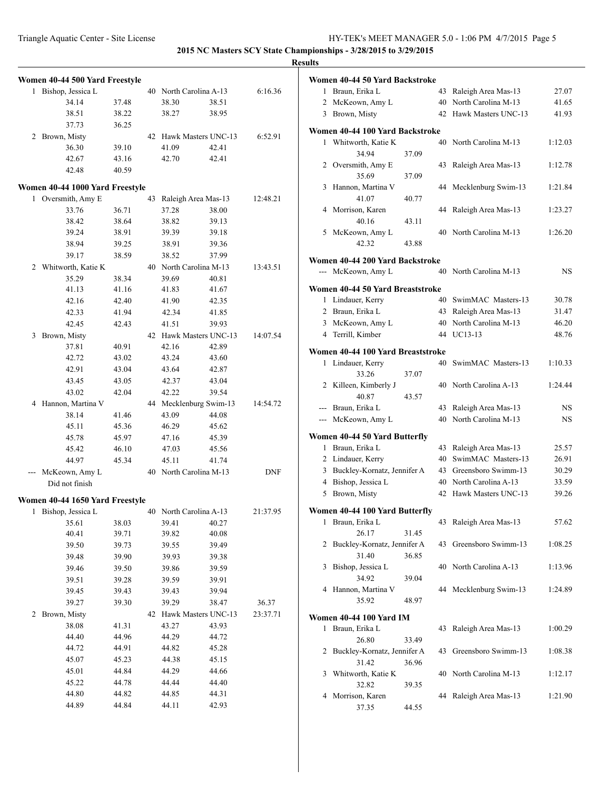|   | Women 40-44 500 Yard Freestyle                      |       |    |                        |       |            |
|---|-----------------------------------------------------|-------|----|------------------------|-------|------------|
| 1 | Bishop, Jessica L                                   |       |    | 40 North Carolina A-13 |       | 6:16.36    |
|   | 34.14                                               | 37.48 |    | 38.30                  | 38.51 |            |
|   | 38.51                                               | 38.22 |    | 38.27                  | 38.95 |            |
|   | 37.73                                               | 36.25 |    |                        |       |            |
| 2 | Brown, Misty                                        |       |    | 42 Hawk Masters UNC-13 |       | 6:52.91    |
|   | 36.30                                               | 39.10 |    | 41.09                  | 42.41 |            |
|   | 42.67                                               | 43.16 |    | 42.70                  | 42.41 |            |
|   | 42.48                                               | 40.59 |    |                        |       |            |
|   |                                                     |       |    |                        |       |            |
| 1 | Women 40-44 1000 Yard Freestyle<br>Oversmith, Amy E |       | 43 | Raleigh Area Mas-13    |       | 12:48.21   |
|   | 33.76                                               | 36.71 |    | 37.28                  | 38.00 |            |
|   | 38.42                                               | 38.64 |    | 38.82                  | 39.13 |            |
|   | 39.24                                               | 38.91 |    | 39.39                  | 39.18 |            |
|   | 38.94                                               | 39.25 |    | 38.91                  | 39.36 |            |
|   | 39.17                                               | 38.59 |    | 38.52                  | 37.99 |            |
|   | 2 Whitworth, Katie K                                |       |    | 40 North Carolina M-13 |       | 13:43.51   |
|   | 35.29                                               | 38.34 |    | 39.69                  | 40.81 |            |
|   | 41.13                                               | 41.16 |    | 41.83                  | 41.67 |            |
|   | 42.16                                               |       |    |                        |       |            |
|   | 42.33                                               | 42.40 |    | 41.90                  | 42.35 |            |
|   |                                                     | 41.94 |    | 42.34                  | 41.85 |            |
|   | 42.45                                               | 42.43 |    | 41.51                  | 39.93 |            |
| 3 | Brown, Misty                                        |       |    | 42 Hawk Masters UNC-13 |       | 14:07.54   |
|   | 37.81                                               | 40.91 |    | 42.16                  | 42.89 |            |
|   | 42.72                                               | 43.02 |    | 43.24                  | 43.60 |            |
|   | 42.91                                               | 43.04 |    | 43.64                  | 42.87 |            |
|   | 43.45                                               | 43.05 |    | 42.37                  | 43.04 |            |
|   | 43.02                                               | 42.04 |    | 42.22                  | 39.54 |            |
| 4 | Hannon, Martina V                                   |       | 44 | Mecklenburg Swim-13    |       | 14:54.72   |
|   | 38.14                                               | 41.46 |    | 43.09                  | 44.08 |            |
|   | 45.11                                               | 45.36 |    | 46.29                  | 45.62 |            |
|   | 45.78                                               | 45.97 |    | 47.16                  | 45.39 |            |
|   | 45.42                                               | 46.10 |    | 47.03                  | 45.56 |            |
|   | 44.97                                               | 45.34 |    | 45.11                  | 41.74 |            |
|   | McKeown, Amy L                                      |       |    | 40 North Carolina M-13 |       | <b>DNF</b> |
|   | Did not finish                                      |       |    |                        |       |            |
|   | Women 40-44 1650 Yard Freestyle                     |       |    |                        |       |            |
|   | 1 Bishop, Jessica L                                 |       |    | 40 North Carolina A-13 |       | 21:37.95   |
|   | 35.61                                               | 38.03 |    | 39.41                  | 40.27 |            |
|   | 40.41                                               | 39.71 |    | 39.82                  | 40.08 |            |
|   | 39.50                                               | 39.73 |    | 39.55                  | 39.49 |            |
|   | 39.48                                               | 39.90 |    | 39.93                  | 39.38 |            |
|   | 39.46                                               | 39.50 |    | 39.86                  | 39.59 |            |
|   | 39.51                                               | 39.28 |    | 39.59                  | 39.91 |            |
|   | 39.45                                               | 39.43 |    | 39.43                  | 39.94 |            |
|   | 39.27                                               | 39.30 |    | 39.29                  | 38.47 | 36.37      |
| 2 | Brown, Misty                                        |       | 42 | Hawk Masters UNC-13    |       | 23:37.71   |
|   | 38.08                                               | 41.31 |    | 43.27                  | 43.93 |            |
|   | 44.40                                               | 44.96 |    | 44.29                  | 44.72 |            |
|   | 44.72                                               | 44.91 |    | 44.82                  | 45.28 |            |
|   | 45.07                                               | 45.23 |    | 44.38                  | 45.15 |            |
|   | 45.01                                               | 44.84 |    | 44.29                  | 44.66 |            |
|   | 45.22                                               | 44.78 |    | 44.44                  | 44.40 |            |
|   | 44.80                                               | 44.82 |    | 44.85                  | 44.31 |            |
|   | 44.89                                               | 44.84 |    | 44.11                  | 42.93 |            |
|   |                                                     |       |    |                        |       |            |

|                | Women 40-44 50 Yard Backstroke    |       |    |                        |         |
|----------------|-----------------------------------|-------|----|------------------------|---------|
|                | 1 Braun, Erika L                  |       | 43 | Raleigh Area Mas-13    | 27.07   |
| $\overline{2}$ | McKeown, Amy L                    |       |    | 40 North Carolina M-13 | 41.65   |
|                | 3 Brown, Misty                    |       | 42 | Hawk Masters UNC-13    | 41.93   |
|                | Women 40-44 100 Yard Backstroke   |       |    |                        |         |
| 1              | Whitworth, Katie K                |       | 40 | North Carolina M-13    | 1:12.03 |
|                | 34.94                             | 37.09 |    |                        |         |
|                | 2 Oversmith, Amy E                |       | 43 | Raleigh Area Mas-13    | 1:12.78 |
|                | 35.69                             | 37.09 |    |                        |         |
| 3              | Hannon, Martina V                 |       | 44 | Mecklenburg Swim-13    | 1:21.84 |
|                | 41.07                             | 40.77 |    |                        |         |
| 4              | Morrison, Karen                   |       | 44 | Raleigh Area Mas-13    | 1:23.27 |
|                | 40.16                             | 43.11 |    |                        |         |
|                | 5 McKeown, Amy L                  |       | 40 | North Carolina M-13    | 1:26.20 |
|                | 42.32                             | 43.88 |    |                        |         |
|                | Women 40-44 200 Yard Backstroke   |       |    |                        |         |
|                | --- McKeown, Amy L                |       |    | 40 North Carolina M-13 | NS      |
|                | Women 40-44 50 Yard Breaststroke  |       |    |                        |         |
| $\mathbf{1}$   | Lindauer, Kerry                   |       | 40 | SwimMAC Masters-13     | 30.78   |
|                | 2 Braun, Erika L                  |       | 43 | Raleigh Area Mas-13    | 31.47   |
|                | 3 McKeown, Amy L                  |       | 40 | North Carolina M-13    | 46.20   |
| $\overline{4}$ | Terrill, Kimber                   |       | 44 | UC13-13                | 48.76   |
|                | Women 40-44 100 Yard Breaststroke |       |    |                        |         |
| 1              | Lindauer, Kerry                   |       | 40 | SwimMAC Masters-13     | 1:10.33 |
|                | 33.26                             | 37.07 |    |                        |         |
|                | 2 Killeen, Kimberly J             |       | 40 | North Carolina A-13    | 1:24.44 |
|                | 40.87                             | 43.57 |    |                        |         |
|                | --- Braun, Erika L                |       | 43 | Raleigh Area Mas-13    | NS      |
|                | --- McKeown, Amy L                |       | 40 | North Carolina M-13    | NS      |
|                |                                   |       |    |                        |         |
|                | Women 40-44 50 Yard Butterfly     |       |    |                        |         |
|                | 1 Braun, Erika L                  |       | 43 | Raleigh Area Mas-13    | 25.57   |
|                | 2 Lindauer, Kerry                 |       |    | 40 SwimMAC Masters-13  | 26.91   |
| 3              | Buckley-Kornatz, Jennifer A       |       |    | 43 Greensboro Swimm-13 | 30.29   |
|                | 4 Bishop, Jessica L               |       |    | 40 North Carolina A-13 | 33.59   |
| 5              | Brown, Misty                      |       | 42 | Hawk Masters UNC-13    | 39.26   |
|                | Women 40-44 100 Yard Butterfly    |       |    |                        |         |
|                | 1 Braun, Erika L                  |       |    | 43 Raleigh Area Mas-13 | 57.62   |
|                | 26.17                             | 31.45 |    |                        |         |
| 2              | Buckley-Kornatz, Jennifer A       |       | 43 | Greensboro Swimm-13    | 1:08.25 |
|                | 31.40                             | 36.85 |    |                        |         |
| 3              | Bishop, Jessica L                 |       | 40 | North Carolina A-13    | 1:13.96 |
|                | 34.92                             | 39.04 |    |                        |         |
| 4              | Hannon, Martina V                 |       |    | 44 Mecklenburg Swim-13 | 1:24.89 |
|                | 35.92                             | 48.97 |    |                        |         |
|                | Women 40-44 100 Yard IM           |       |    |                        |         |
| 1              | Braun, Erika L                    |       | 43 | Raleigh Area Mas-13    | 1:00.29 |
|                | 26.80                             | 33.49 |    |                        |         |
| 2              | Buckley-Kornatz, Jennifer A       |       | 43 | Greensboro Swimm-13    | 1:08.38 |
|                | 31.42                             | 36.96 |    |                        |         |
| 3              | Whitworth, Katie K                |       | 40 | North Carolina M-13    | 1:12.17 |
|                | 32.82                             | 39.35 |    |                        |         |
| 4              | Morrison, Karen                   |       | 44 | Raleigh Area Mas-13    | 1:21.90 |
|                | 37.35                             | 44.55 |    |                        |         |
|                |                                   |       |    |                        |         |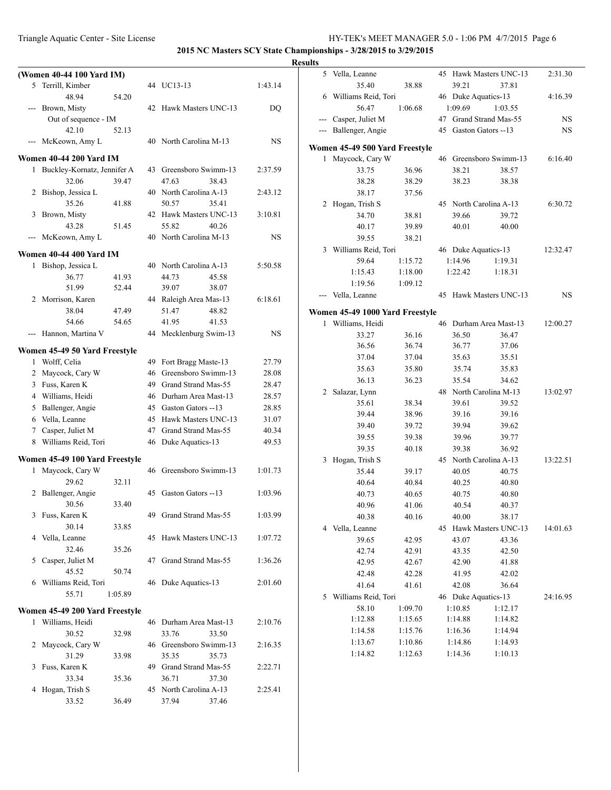### Triangle Aquatic Center - Site License HY-TEK's MEET MANAGER 5.0 - 1:06 PM 4/7/2015 Page 6

**2015 NC Masters SCY State Championships - 3/28/2015 to 3/29/2015**

| (Women 40-44 100 Yard IM)      |         |                                          |           |     | 5 Vella, Leanne                 |         |         | 45 Hawk Masters UNC-13 | 2:31.30   |
|--------------------------------|---------|------------------------------------------|-----------|-----|---------------------------------|---------|---------|------------------------|-----------|
| 5 Terrill, Kimber              |         | 44 UC13-13                               | 1:43.14   |     | 35.40                           | 38.88   | 39.21   | 37.81                  |           |
| 48.94                          | 54.20   |                                          |           |     | Williams Reid, Tori             |         |         | 46 Duke Aquatics-13    | 4:16.39   |
| --- Brown, Misty               |         | 42 Hawk Masters UNC-13                   | DQ        |     | 56.47                           | 1:06.68 | 1:09.69 | 1:03.55                |           |
| Out of sequence - IM           |         |                                          |           | --- | Casper, Juliet M                |         |         | 47 Grand Strand Mas-55 | <b>NS</b> |
| 42.10                          | 52.13   |                                          |           |     | --- Ballenger, Angie            |         |         | 45 Gaston Gators --13  | <b>NS</b> |
| --- McKeown, Amy L             |         | 40 North Carolina M-13                   | <b>NS</b> |     |                                 |         |         |                        |           |
|                                |         |                                          |           |     | Women 45-49 500 Yard Freestyle  |         |         |                        |           |
| Women 40-44 200 Yard IM        |         |                                          |           |     | 1 Maycock, Cary W               |         |         | 46 Greensboro Swimm-13 | 6:16.40   |
| 1 Buckley-Kornatz, Jennifer A  |         | 43 Greensboro Swimm-13                   | 2:37.59   |     | 33.75                           | 36.96   | 38.21   | 38.57                  |           |
| 32.06                          | 39.47   | 47.63<br>38.43                           |           |     | 38.28                           | 38.29   | 38.23   | 38.38                  |           |
| 2 Bishop, Jessica L            |         | 40 North Carolina A-13                   | 2:43.12   |     | 38.17                           | 37.56   |         |                        |           |
| 35.26                          | 41.88   | 50.57<br>35.41                           |           |     | 2 Hogan, Trish S                |         |         | 45 North Carolina A-13 | 6:30.72   |
| 3 Brown, Misty                 |         | 42 Hawk Masters UNC-13                   | 3:10.81   |     | 34.70                           | 38.81   | 39.66   | 39.72                  |           |
| 43.28                          | 51.45   | 55.82<br>40.26<br>40 North Carolina M-13 | <b>NS</b> |     | 40.17                           | 39.89   | 40.01   | 40.00                  |           |
| --- McKeown, Amy L             |         |                                          |           |     | 39.55                           | 38.21   |         |                        |           |
| Women 40-44 400 Yard IM        |         |                                          |           |     | 3 Williams Reid, Tori           |         |         | 46 Duke Aquatics-13    | 12:32.47  |
| 1 Bishop, Jessica L            |         | 40 North Carolina A-13                   | 5:50.58   |     | 59.64                           | 1:15.72 | 1:14.96 | 1:19.31                |           |
| 36.77                          | 41.93   | 44.73<br>45.58                           |           |     | 1:15.43                         | 1:18.00 | 1:22.42 | 1:18.31                |           |
| 51.99                          | 52.44   | 39.07<br>38.07                           |           |     | 1:19.56                         | 1:09.12 |         |                        |           |
| 2 Morrison, Karen              |         | 44 Raleigh Area Mas-13                   | 6:18.61   |     | --- Vella, Leanne               |         |         | 45 Hawk Masters UNC-13 | <b>NS</b> |
| 38.04                          | 47.49   | 48.82<br>51.47                           |           |     | Women 45-49 1000 Yard Freestyle |         |         |                        |           |
| 54.66                          | 54.65   | 41.95<br>41.53                           |           |     | 1 Williams, Heidi               |         |         | 46 Durham Area Mast-13 | 12:00.27  |
| --- Hannon, Martina V          |         | 44 Mecklenburg Swim-13                   | <b>NS</b> |     | 33.27                           | 36.16   | 36.50   | 36.47                  |           |
|                                |         |                                          |           |     | 36.56                           | 36.74   | 36.77   | 37.06                  |           |
| Women 45-49 50 Yard Freestyle  |         |                                          |           |     | 37.04                           | 37.04   | 35.63   | 35.51                  |           |
| 1 Wolff, Celia                 |         | 49 Fort Bragg Maste-13                   | 27.79     |     | 35.63                           | 35.80   | 35.74   | 35.83                  |           |
| 2 Maycock, Cary W              |         | 46 Greensboro Swimm-13                   | 28.08     |     | 36.13                           | 36.23   | 35.54   | 34.62                  |           |
| 3 Fuss, Karen K                |         | 49 Grand Strand Mas-55                   | 28.47     |     | 2 Salazar, Lynn                 |         |         | 48 North Carolina M-13 | 13:02.97  |
| 4 Williams, Heidi              |         | 46 Durham Area Mast-13                   | 28.57     |     | 35.61                           | 38.34   | 39.61   | 39.52                  |           |
| 5 Ballenger, Angie             |         | 45 Gaston Gators --13                    | 28.85     |     | 39.44                           | 38.96   | 39.16   | 39.16                  |           |
| 6 Vella, Leanne                |         | 45 Hawk Masters UNC-13                   | 31.07     |     | 39.40                           | 39.72   | 39.94   | 39.62                  |           |
| 7 Casper, Juliet M             |         | 47 Grand Strand Mas-55                   | 40.34     |     | 39.55                           | 39.38   | 39.96   | 39.77                  |           |
| 8 Williams Reid, Tori          |         | 46 Duke Aquatics-13                      | 49.53     |     | 39.35                           | 40.18   | 39.38   | 36.92                  |           |
| Women 45-49 100 Yard Freestyle |         |                                          |           |     | 3 Hogan, Trish S                |         |         | 45 North Carolina A-13 | 13:22.51  |
| 1 Maycock, Cary W              |         | 46 Greensboro Swimm-13                   | 1:01.73   |     | 35.44                           | 39.17   | 40.05   | 40.75                  |           |
| 29.62                          | 32.11   |                                          |           |     | 40.64                           | 40.84   | 40.25   | 40.80                  |           |
| 2 Ballenger, Angie             |         | 45 Gaston Gators --13                    | 1:03.96   |     | 40.73                           | 40.65   | 40.75   | 40.80                  |           |
| 30.56                          | 33.40   |                                          |           |     | 40.96                           | 41.06   | 40.54   | 40.37                  |           |
| 3 Fuss, Karen K                |         | 49 Grand Strand Mas-55                   | 1:03.99   |     | 40.38                           | 40.16   | 40.00   | 38.17                  |           |
| 30.14                          | 33.85   |                                          |           |     | 4 Vella, Leanne                 |         |         | 45 Hawk Masters UNC-13 | 14:01.63  |
| 4 Vella, Leanne                |         | 45 Hawk Masters UNC-13                   | 1:07.72   |     | 39.65                           | 42.95   | 43.07   | 43.36                  |           |
| 32.46                          | 35.26   |                                          |           |     | 42.74                           | 42.91   | 43.35   | 42.50                  |           |
| 5 Casper, Juliet M             |         | 47 Grand Strand Mas-55                   | 1:36.26   |     | 42.95                           | 42.67   | 42.90   | 41.88                  |           |
| 45.52                          | 50.74   |                                          |           |     | 42.48                           | 42.28   | 41.95   | 42.02                  |           |
| 6 Williams Reid, Tori          |         | 46 Duke Aquatics-13                      | 2:01.60   |     | 41.64                           | 41.61   | 42.08   | 36.64                  |           |
| 55.71                          | 1:05.89 |                                          |           |     | 5 Williams Reid, Tori           |         |         | 46 Duke Aquatics-13    | 24:16.95  |
|                                |         |                                          |           |     | 58.10                           | 1:09.70 | 1:10.85 | 1:12.17                |           |
| Women 45-49 200 Yard Freestyle |         |                                          |           |     | 1:12.88                         | 1:15.65 | 1:14.88 | 1:14.82                |           |
| 1 Williams, Heidi              |         | 46 Durham Area Mast-13                   | 2:10.76   |     | 1:14.58                         | 1:15.76 | 1:16.36 | 1:14.94                |           |
| 30.52                          | 32.98   | 33.76<br>33.50                           |           |     | 1:13.67                         | 1:10.86 | 1:14.86 | 1:14.93                |           |
| 2 Maycock, Cary W              |         | 46 Greensboro Swimm-13                   | 2:16.35   |     |                                 |         |         |                        |           |
| 31.29                          | 33.98   | 35.35<br>35.73                           |           |     | 1:14.82                         | 1:12.63 | 1:14.36 | 1:10.13                |           |
| 3 Fuss, Karen K                |         | 49 Grand Strand Mas-55                   | 2:22.71   |     |                                 |         |         |                        |           |
| 33.34                          | 35.36   | 37.30<br>36.71                           |           |     |                                 |         |         |                        |           |
| 4 Hogan, Trish S               |         | 45 North Carolina A-13                   | 2:25.41   |     |                                 |         |         |                        |           |
| 33.52                          | 36.49   | 37.94<br>37.46                           |           |     |                                 |         |         |                        |           |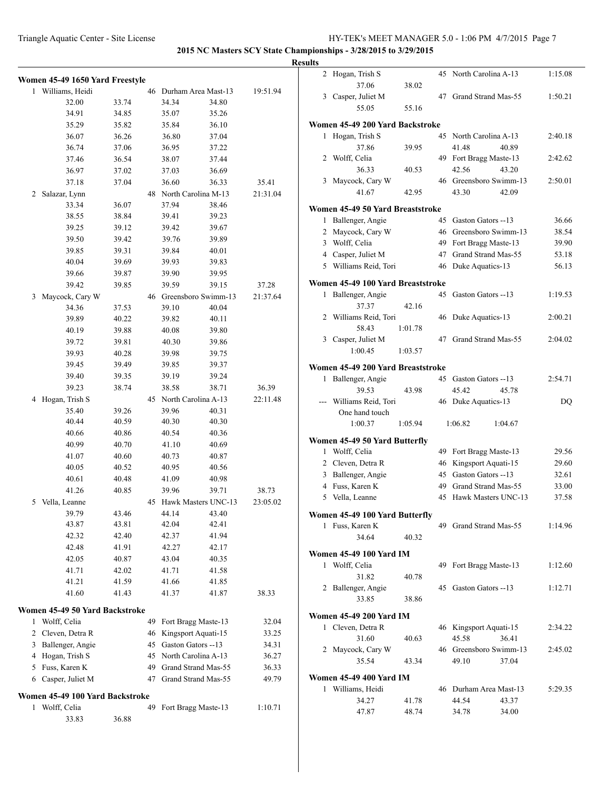|   | Women 45-49 1650 Yard Freestyle |       |    |                        |                     |          |
|---|---------------------------------|-------|----|------------------------|---------------------|----------|
| 1 | Williams, Heidi                 |       | 46 |                        | Durham Area Mast-13 | 19:51.94 |
|   | 32.00                           | 33.74 |    | 34.34                  | 34.80               |          |
|   | 34.91                           | 34.85 |    | 35.07                  | 35.26               |          |
|   | 35.29                           | 35.82 |    | 35.84                  | 36.10               |          |
|   | 36.07                           | 36.26 |    | 36.80                  | 37.04               |          |
|   | 36.74                           | 37.06 |    | 36.95                  | 37.22               |          |
|   | 37.46                           | 36.54 |    | 38.07                  | 37.44               |          |
|   | 36.97                           | 37.02 |    | 37.03                  | 36.69               |          |
|   | 37.18                           | 37.04 |    | 36.60                  | 36.33               | 35.41    |
| 2 | Salazar, Lynn                   |       | 48 |                        | North Carolina M-13 | 21:31.04 |
|   | 33.34                           | 36.07 |    | 37.94                  | 38.46               |          |
|   | 38.55                           | 38.84 |    | 39.41                  | 39.23               |          |
|   | 39.25                           | 39.12 |    | 39.42                  | 39.67               |          |
|   | 39.50                           | 39.42 |    | 39.76                  | 39.89               |          |
|   | 39.85                           | 39.31 |    | 39.84                  | 40.01               |          |
|   | 40.04                           | 39.69 |    | 39.93                  | 39.83               |          |
|   | 39.66                           | 39.87 |    | 39.90                  | 39.95               |          |
|   | 39.42                           | 39.85 |    | 39.59                  | 39.15               | 37.28    |
| 3 | Maycock, Cary W                 |       | 46 |                        | Greensboro Swimm-13 | 21:37.64 |
|   | 34.36                           | 37.53 |    | 39.10                  | 40.04               |          |
|   | 39.89                           | 40.22 |    | 39.82                  | 40.11               |          |
|   | 40.19                           | 39.88 |    | 40.08                  | 39.80               |          |
|   | 39.72                           | 39.81 |    | 40.30                  | 39.86               |          |
|   | 39.93                           | 40.28 |    | 39.98                  | 39.75               |          |
|   | 39.45                           | 39.49 |    | 39.85                  | 39.37               |          |
|   | 39.40                           | 39.35 |    | 39.19                  | 39.24               |          |
|   | 39.23                           | 38.74 |    | 38.58                  | 38.71               | 36.39    |
| 4 | Hogan, Trish S                  |       |    | 45 North Carolina A-13 |                     | 22:11.48 |
|   | 35.40                           | 39.26 |    | 39.96                  | 40.31               |          |
|   | 40.44                           | 40.59 |    | 40.30                  | 40.30               |          |
|   | 40.66                           | 40.86 |    | 40.54                  | 40.36               |          |
|   | 40.99                           | 40.70 |    | 41.10                  | 40.69               |          |
|   | 41.07                           | 40.60 |    | 40.73                  | 40.87               |          |
|   | 40.05                           | 40.52 |    | 40.95                  | 40.56               |          |
|   | 40.61                           | 40.48 |    | 41.09                  | 40.98               |          |
|   | 41.26                           | 40.85 |    | 39.96                  | 39.71               | 38.73    |
| 5 | Vella, Leanne                   |       | 45 |                        | Hawk Masters UNC-13 | 23:05.02 |
|   | 39.79                           | 43.46 |    | 44.14                  | 43.40               |          |
|   | 43.87                           | 43.81 |    | 42.04                  | 42.41               |          |
|   | 42.32                           | 42.40 |    | 42.37                  | 41.94               |          |
|   | 42.48                           | 41.91 |    | 42.27                  | 42.17               |          |
|   | 42.05                           | 40.87 |    | 43.04                  | 40.35               |          |
|   | 41.71                           | 42.02 |    | 41.71                  | 41.58               |          |
|   | 41.21                           | 41.59 |    | 41.66                  | 41.85               |          |
|   | 41.60                           | 41.43 |    | 41.37                  | 41.87               | 38.33    |
|   |                                 |       |    |                        |                     |          |
|   | Women 45-49 50 Yard Backstroke  |       |    |                        |                     |          |
| 1 | Wolff, Celia                    |       | 49 |                        | Fort Bragg Maste-13 | 32.04    |
| 2 | Cleven, Detra R                 |       | 46 |                        | Kingsport Aquati-15 | 33.25    |
| 3 | Ballenger, Angie                |       |    | 45 Gaston Gators --13  |                     | 34.31    |
| 4 | Hogan, Trish S                  |       | 45 |                        | North Carolina A-13 | 36.27    |
| 5 | Fuss, Karen K                   |       | 49 |                        | Grand Strand Mas-55 | 36.33    |
| 6 | Casper, Juliet M                |       | 47 |                        | Grand Strand Mas-55 | 49.79    |
|   | Women 45-49 100 Yard Backstroke |       |    |                        |                     |          |
| 1 | Wolff, Celia                    |       | 49 |                        | Fort Bragg Maste-13 | 1:10.71  |
|   | 33.83                           | 36.88 |    |                        |                     |          |

| <b>Results</b> |                                   |         |    |                        |         |
|----------------|-----------------------------------|---------|----|------------------------|---------|
|                | 2 Hogan, Trish S                  |         |    | 45 North Carolina A-13 | 1:15.08 |
|                | 37.06                             | 38.02   |    |                        |         |
|                | 3 Casper, Juliet M                |         |    | 47 Grand Strand Mas-55 | 1:50.21 |
|                | 55.05                             | 55.16   |    |                        |         |
|                | Women 45-49 200 Yard Backstroke   |         |    |                        |         |
| 1              | Hogan, Trish S                    |         | 45 | North Carolina A-13    | 2:40.18 |
|                | 37.86                             | 39.95   |    | 41.48<br>40.89         |         |
|                | 2 Wolff, Celia                    |         |    | 49 Fort Bragg Maste-13 | 2:42.62 |
|                | 36.33                             | 40.53   |    | 42.56<br>43.20         |         |
|                | 3 Maycock, Cary W                 |         |    | 46 Greensboro Swimm-13 | 2:50.01 |
|                | 41.67                             | 42.95   |    | 43.30<br>42.09         |         |
|                | Women 45-49 50 Yard Breaststroke  |         |    |                        |         |
| 1              | Ballenger, Angie                  |         | 45 | Gaston Gators --13     | 36.66   |
|                | 2 Maycock, Cary W                 |         |    | 46 Greensboro Swimm-13 | 38.54   |
|                | 3 Wolff, Celia                    |         |    | 49 Fort Bragg Maste-13 | 39.90   |
|                | 4 Casper, Juliet M                |         |    | 47 Grand Strand Mas-55 | 53.18   |
|                | 5 Williams Reid, Tori             |         |    | 46 Duke Aquatics-13    | 56.13   |
|                |                                   |         |    |                        |         |
|                | Women 45-49 100 Yard Breaststroke |         |    |                        |         |
| $\mathbf{1}$   | Ballenger, Angie                  |         |    | 45 Gaston Gators --13  | 1:19.53 |
|                | 37.37                             | 42.16   |    |                        |         |
|                | 2 Williams Reid, Tori             |         |    | 46 Duke Aquatics-13    | 2:00.21 |
|                | 58.43                             | 1:01.78 |    |                        |         |
|                | 3 Casper, Juliet M                |         |    | 47 Grand Strand Mas-55 | 2:04.02 |
|                | 1:00.45                           | 1:03.57 |    |                        |         |
|                | Women 45-49 200 Yard Breaststroke |         |    |                        |         |
| 1              | Ballenger, Angie                  |         |    | 45 Gaston Gators --13  | 2:54.71 |
|                | 39.53                             | 43.98   |    | 45.42<br>45.78         |         |
|                | --- Williams Reid, Tori           |         |    | 46 Duke Aquatics-13    | DQ      |
|                | One hand touch                    |         |    |                        |         |
|                | 1:00.37                           | 1:05.94 |    | 1:06.82<br>1:04.67     |         |
|                | Women 45-49 50 Yard Butterfly     |         |    |                        |         |
|                | 1 Wolff, Celia                    |         |    | 49 Fort Bragg Maste-13 | 29.56   |
|                | 2 Cleven, Detra R                 |         |    | 46 Kingsport Aquati-15 | 29.60   |
|                | 3 Ballenger, Angie                |         |    | 45 Gaston Gators --13  | 32.61   |
|                |                                   |         | 49 | Grand Strand Mas-55    |         |
|                | 4 Fuss, Karen K                   |         |    |                        | 33.00   |
|                | 5 Vella, Leanne                   |         |    | 45 Hawk Masters UNC-13 | 37.58   |
|                | Women 45-49 100 Yard Butterfly    |         |    |                        |         |
|                | 1 Fuss, Karen K                   |         |    | 49 Grand Strand Mas-55 | 1:14.96 |
|                | 34.64                             | 40.32   |    |                        |         |
|                | <b>Women 45-49 100 Yard IM</b>    |         |    |                        |         |
|                | 1 Wolff, Celia                    |         |    | 49 Fort Bragg Maste-13 | 1:12.60 |
|                | 31.82                             | 40.78   |    |                        |         |
|                | 2 Ballenger, Angie                |         |    | 45 Gaston Gators --13  | 1:12.71 |
|                | 33.85                             | 38.86   |    |                        |         |
|                |                                   |         |    |                        |         |
|                | <b>Women 45-49 200 Yard IM</b>    |         |    |                        |         |
| $\mathbf{1}$   | Cleven, Detra R                   |         |    | 46 Kingsport Aquati-15 | 2:34.22 |
|                | 31.60                             | 40.63   |    | 45.58<br>36.41         |         |
|                | 2 Maycock, Cary W                 |         |    | 46 Greensboro Swimm-13 | 2:45.02 |
|                | 35.54                             | 43.34   |    | 49.10<br>37.04         |         |
|                |                                   |         |    |                        |         |
|                | <b>Women 45-49 400 Yard IM</b>    |         |    |                        |         |
|                | 1 Williams, Heidi                 |         |    | 46 Durham Area Mast-13 | 5:29.35 |
|                | 34.27                             | 41.78   |    | 44.54<br>43.37         |         |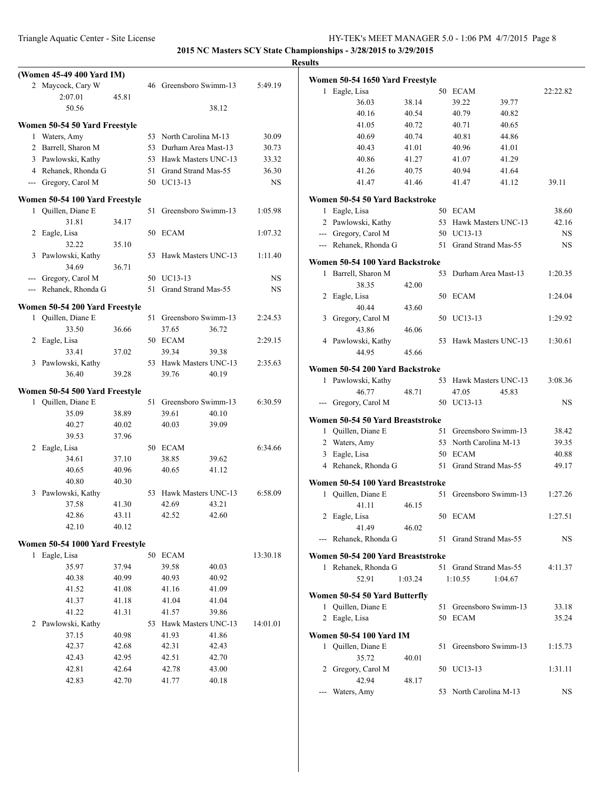|                |                                                      |       |                        |                        |           | <b>Results</b> |
|----------------|------------------------------------------------------|-------|------------------------|------------------------|-----------|----------------|
|                | (Women 45-49 400 Yard IM)                            |       |                        |                        |           | Wo             |
|                | 2 Maycock, Cary W                                    |       |                        | 46 Greensboro Swimm-13 | 5:49.19   |                |
|                | 2:07.01                                              | 45.81 |                        |                        |           |                |
|                | 50.56                                                |       |                        | 38.12                  |           |                |
|                | Women 50-54 50 Yard Freestyle                        |       |                        |                        |           |                |
|                | 1 Waters, Amy                                        |       | 53 North Carolina M-13 |                        | 30.09     |                |
|                | 2 Barrell, Sharon M                                  |       | 53 Durham Area Mast-13 |                        | 30.73     |                |
|                | 3 Pawlowski, Kathy                                   |       |                        | 53 Hawk Masters UNC-13 | 33.32     |                |
|                | 4 Rehanek, Rhonda G                                  |       | 51 Grand Strand Mas-55 |                        | 36.30     |                |
|                | --- Gregory, Carol M                                 |       | 50 UC13-13             |                        | <b>NS</b> |                |
|                |                                                      |       |                        |                        |           |                |
|                | Women 50-54 100 Yard Freestyle<br>1 Quillen, Diane E |       |                        | 51 Greensboro Swimm-13 | 1:05.98   | Wo             |
|                | 31.81                                                | 34.17 |                        |                        |           |                |
|                | 2 Eagle, Lisa                                        |       | 50 ECAM                |                        | 1:07.32   |                |
|                | 32.22                                                | 35.10 |                        |                        |           |                |
| 3              | Pawlowski, Kathy                                     |       |                        | 53 Hawk Masters UNC-13 | 1:11.40   |                |
|                | 34.69                                                | 36.71 |                        |                        |           | Wo             |
| $---$          | Gregory, Carol M                                     |       | 50 UC13-13             |                        | <b>NS</b> |                |
| $\overline{a}$ | Rehanek, Rhonda G                                    |       | 51 Grand Strand Mas-55 |                        | NS        |                |
|                |                                                      |       |                        |                        |           |                |
|                | Women 50-54 200 Yard Freestyle                       |       |                        |                        |           |                |
|                | 1 Quillen, Diane E                                   |       |                        | 51 Greensboro Swimm-13 | 2:24.53   |                |
|                | 33.50                                                | 36.66 | 37.65                  | 36.72                  |           |                |
| 2              | Eagle, Lisa                                          |       | 50 ECAM                |                        | 2:29.15   |                |
|                | 33.41                                                | 37.02 | 39.34                  | 39.38                  |           |                |
|                | 3 Pawlowski, Kathy                                   |       |                        | 53 Hawk Masters UNC-13 | 2:35.63   | Wo             |
|                | 36.40                                                | 39.28 | 39.76                  | 40.19                  |           |                |
|                | Women 50-54 500 Yard Freestyle                       |       |                        |                        |           |                |
|                | 1 Quillen, Diane E                                   |       |                        | 51 Greensboro Swimm-13 | 6:30.59   |                |
|                | 35.09                                                | 38.89 | 39.61                  | 40.10                  |           |                |
|                | 40.27                                                | 40.02 | 40.03                  | 39.09                  |           | W <sub>0</sub> |
|                | 39.53                                                | 37.96 |                        |                        |           |                |
| 2              | Eagle, Lisa                                          |       | 50 ECAM                |                        | 6:34.66   |                |
|                | 34.61                                                | 37.10 | 38.85                  | 39.62                  |           |                |
|                | 40.65                                                | 40.96 | 40.65                  | 41.12                  |           |                |
|                | 40.80                                                | 40.30 |                        |                        |           | Wo             |
| 3              | Pawlowski, Kathy                                     |       |                        | 53 Hawk Masters UNC-13 | 6:58.09   |                |
|                | 37.58                                                | 41.30 | 42.69 43.21            |                        |           |                |
|                | 42.86                                                | 43.11 | 42.52                  | 42.60                  |           |                |
|                | 42.10                                                | 40.12 |                        |                        |           |                |
|                | Women 50-54 1000 Yard Freestyle                      |       |                        |                        |           |                |
| 1              | Eagle, Lisa                                          |       | 50 ECAM                |                        | 13:30.18  | Wo             |
|                | 35.97                                                | 37.94 | 39.58                  | 40.03                  |           |                |
|                | 40.38                                                | 40.99 | 40.93                  | 40.92                  |           |                |
|                | 41.52                                                | 41.08 | 41.16                  | 41.09                  |           |                |
|                | 41.37                                                | 41.18 | 41.04                  | 41.04                  |           | Wo             |
|                | 41.22                                                | 41.31 | 41.57                  | 39.86                  |           |                |
| 2              | Pawlowski, Kathy                                     |       |                        | 53 Hawk Masters UNC-13 | 14:01.01  |                |
|                | 37.15                                                | 40.98 | 41.93                  | 41.86                  |           | W <sub>0</sub> |
|                | 42.37                                                | 42.68 | 42.31                  | 42.43                  |           |                |
|                | 42.43                                                | 42.95 | 42.51                  | 42.70                  |           |                |
|                | 42.81                                                | 42.64 | 42.78                  | 43.00                  |           |                |
|                | 42.83                                                | 42.70 | 41.77                  | 40.18                  |           |                |
|                |                                                      |       |                        |                        |           |                |

|              | Women 50-54 1650 Yard Freestyle   |         |    |                        |                |          |
|--------------|-----------------------------------|---------|----|------------------------|----------------|----------|
| 1            | Eagle, Lisa                       |         | 50 | <b>ECAM</b>            |                | 22:22.82 |
|              | 36.03                             | 38.14   |    | 39.22                  | 39.77          |          |
|              | 40.16<br>41.05                    | 40.54   |    | 40.79<br>40.71         | 40.82<br>40.65 |          |
|              |                                   | 40.72   |    | 40.81                  | 44.86          |          |
|              | 40.69                             | 40.74   |    |                        |                |          |
|              | 40.43                             | 41.01   |    | 40.96                  | 41.01          |          |
|              | 40.86                             | 41.27   |    | 41.07                  | 41.29          |          |
|              | 41.26                             | 40.75   |    | 40.94                  | 41.64          |          |
|              | 41.47                             | 41.46   |    | 41.47                  | 41.12          | 39.11    |
|              | Women 50-54 50 Yard Backstroke    |         |    |                        |                |          |
| 1            | Eagle, Lisa                       |         | 50 | <b>ECAM</b>            |                | 38.60    |
|              | 2 Pawlowski, Kathy                |         | 53 | Hawk Masters UNC-13    |                | 42.16    |
|              | --- Gregory, Carol M              |         | 50 | UC13-13                |                | NS       |
|              | --- Rehanek, Rhonda G             |         | 51 | Grand Strand Mas-55    |                | NS       |
|              | Women 50-54 100 Yard Backstroke   |         |    |                        |                |          |
| 1            | Barrell, Sharon M                 |         | 53 | Durham Area Mast-13    |                | 1:20.35  |
|              | 38.35                             | 42.00   |    |                        |                |          |
| 2            | Eagle, Lisa                       |         | 50 | ECAM                   |                | 1:24.04  |
|              | 40.44                             | 43.60   |    |                        |                |          |
| 3            | Gregory, Carol M                  |         | 50 | UC13-13                |                | 1:29.92  |
|              | 43.86                             | 46.06   |    |                        |                |          |
|              | 4 Pawlowski, Kathy                |         | 53 | Hawk Masters UNC-13    |                | 1:30.61  |
|              | 44.95                             | 45.66   |    |                        |                |          |
|              |                                   |         |    |                        |                |          |
|              | Women 50-54 200 Yard Backstroke   |         |    |                        |                |          |
| $\mathbf{1}$ | Pawlowski, Kathy                  |         | 53 | Hawk Masters UNC-13    |                | 3:08.36  |
|              | 46.77                             | 48.71   |    | 47.05                  | 45.83          |          |
| ---          | Gregory, Carol M                  |         |    | 50 UC13-13             |                | NS       |
|              | Women 50-54 50 Yard Breaststroke  |         |    |                        |                |          |
| 1            | Quillen, Diane E                  |         | 51 | Greensboro Swimm-13    |                | 38.42    |
|              | 2 Waters, Amy                     |         | 53 | North Carolina M-13    |                | 39.35    |
| 3            | Eagle, Lisa                       |         |    | 50 ECAM                |                | 40.88    |
|              | 4 Rehanek, Rhonda G               |         | 51 | Grand Strand Mas-55    |                | 49.17    |
|              |                                   |         |    |                        |                |          |
|              | Women 50-54 100 Yard Breaststroke |         |    |                        |                |          |
| 1            | Quillen, Diane E                  |         | 51 | Greensboro Swimm-13    |                | 1:27.26  |
|              | 41.11                             | 46.15   |    |                        |                |          |
|              | 2 Eagle, Lisa                     |         |    | 50 ECAM                |                | 1:27.51  |
|              | 41.49                             | 46.02   |    |                        |                |          |
|              | --- Rehanek, Rhonda G             |         |    | 51 Grand Strand Mas-55 |                | NS       |
|              | Women 50-54 200 Yard Breaststroke |         |    |                        |                |          |
|              | 1 Rehanek, Rhonda G               |         | 51 | Grand Strand Mas-55    |                | 4:11.37  |
|              | 52.91                             | 1:03.24 |    | 1:10.55                | 1:04.67        |          |
|              |                                   |         |    |                        |                |          |
|              | Women 50-54 50 Yard Butterfly     |         |    |                        |                |          |
| 1            | Quillen, Diane E                  |         | 51 | Greensboro Swimm-13    |                | 33.18    |
|              | 2 Eagle, Lisa                     |         |    | 50 ECAM                |                | 35.24    |
|              | Women 50-54 100 Yard IM           |         |    |                        |                |          |
| 1            | Quillen, Diane E                  |         | 51 | Greensboro Swimm-13    |                | 1:15.73  |
|              | 35.72                             | 40.01   |    |                        |                |          |
|              | 2 Gregory, Carol M                |         |    | 50 UC13-13             |                | 1:31.11  |
|              | 42.94                             | 48.17   |    |                        |                |          |
|              | Waters, Amy                       |         |    | 53 North Carolina M-13 |                | NS       |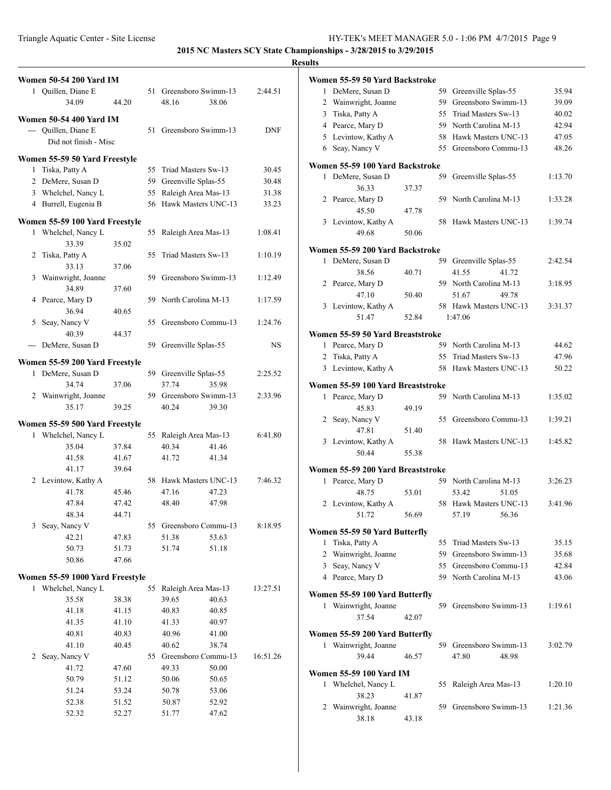**2015 NC Masters SCY State Championships - 3/28/2015 to 3/29/2015**

| <b>Women 50-54 200 Yard IM</b>  |       |                        |            | Women 55-59 50 Yard Backstroke    |       |                        |         |
|---------------------------------|-------|------------------------|------------|-----------------------------------|-------|------------------------|---------|
| 1 Quillen, Diane E              |       | 51 Greensboro Swimm-13 | 2:44.51    | 1 DeMere, Susan D                 |       | 59 Greenville Splas-55 | 35.94   |
| 34.09                           | 44.20 | 48.16<br>38.06         |            | 2 Wainwright, Joanne              |       | 59 Greensboro Swimm-13 | 39.09   |
|                                 |       |                        |            | 3 Tiska, Patty A                  |       | 55 Triad Masters Sw-13 | 40.02   |
| <b>Women 50-54 400 Yard IM</b>  |       |                        |            | 4 Pearce, Mary D                  |       | 59 North Carolina M-13 | 42.94   |
| --- Ouillen, Diane E            |       | 51 Greensboro Swimm-13 | <b>DNF</b> | 5 Levintow, Kathy A               |       | 58 Hawk Masters UNC-13 | 47.05   |
| Did not finish - Misc           |       |                        |            | 6 Seay, Nancy V                   |       | 55 Greensboro Commu-13 | 48.26   |
| Women 55-59 50 Yard Freestyle   |       |                        |            | Women 55-59 100 Yard Backstroke   |       |                        |         |
| 1 Tiska, Patty A                |       | 55 Triad Masters Sw-13 | 30.45      | 1 DeMere, Susan D                 |       | 59 Greenville Splas-55 | 1:13.70 |
| 2 DeMere, Susan D               |       | 59 Greenville Splas-55 | 30.48      | 36.33                             | 37.37 |                        |         |
| 3 Whelchel, Nancy L             |       | 55 Raleigh Area Mas-13 | 31.38      | 2 Pearce, Mary D                  |       | 59 North Carolina M-13 | 1:33.28 |
| 4 Burrell, Eugenia B            |       | 56 Hawk Masters UNC-13 | 33.23      | 45.50                             | 47.78 |                        |         |
| Women 55-59 100 Yard Freestyle  |       |                        |            | 3 Levintow, Kathy A               |       | 58 Hawk Masters UNC-13 | 1:39.74 |
| 1 Whelchel, Nancy L             |       | 55 Raleigh Area Mas-13 | 1:08.41    | 49.68                             | 50.06 |                        |         |
| 33.39                           | 35.02 |                        |            |                                   |       |                        |         |
| 2 Tiska, Patty A                |       | 55 Triad Masters Sw-13 | 1:10.19    | Women 55-59 200 Yard Backstroke   |       |                        |         |
| 33.13                           | 37.06 |                        |            | 1 DeMere, Susan D                 |       | 59 Greenville Splas-55 | 2:42.54 |
| 3 Wainwright, Joanne            |       | 59 Greensboro Swimm-13 | 1:12.49    | 38.56                             | 40.71 | 41.55<br>41.72         |         |
| 34.89                           | 37.60 |                        |            | 2 Pearce, Mary D                  |       | 59 North Carolina M-13 | 3:18.95 |
| 4 Pearce, Mary D                |       | 59 North Carolina M-13 | 1:17.59    | 47.10                             | 50.40 | 51.67<br>49.78         |         |
| 36.94                           | 40.65 |                        |            | 3 Levintow, Kathy A               |       | 58 Hawk Masters UNC-13 | 3:31.37 |
| 5 Seay, Nancy V                 |       | 55 Greensboro Commu-13 | 1:24.76    | 51.47                             | 52.84 | 1:47.06                |         |
| 40.39                           | 44.37 |                        |            | Women 55-59 50 Yard Breaststroke  |       |                        |         |
| --- DeMere, Susan D             |       | 59 Greenville Splas-55 | <b>NS</b>  | 1 Pearce, Mary D                  |       | 59 North Carolina M-13 | 44.62   |
| Women 55-59 200 Yard Freestyle  |       |                        |            | 2 Tiska, Patty A                  |       | 55 Triad Masters Sw-13 | 47.96   |
| 1 DeMere, Susan D               |       | 59 Greenville Splas-55 | 2:25.52    | 3 Levintow, Kathy A               |       | 58 Hawk Masters UNC-13 | 50.22   |
| 34.74                           | 37.06 | 37.74<br>35.98         |            | Women 55-59 100 Yard Breaststroke |       |                        |         |
| 2 Wainwright, Joanne            |       | 59 Greensboro Swimm-13 | 2:33.96    | 1 Pearce, Mary D                  |       | 59 North Carolina M-13 | 1:35.02 |
| 35.17                           | 39.25 | 40.24<br>39.30         |            | 45.83                             | 49.19 |                        |         |
|                                 |       |                        |            | 2 Seay, Nancy V                   |       | 55 Greensboro Commu-13 | 1:39.21 |
| Women 55-59 500 Yard Freestyle  |       |                        |            | 47.81                             | 51.40 |                        |         |
| 1 Whelchel, Nancy L             |       | 55 Raleigh Area Mas-13 | 6:41.80    | 3 Levintow, Kathy A               |       | 58 Hawk Masters UNC-13 | 1:45.82 |
| 35.04                           | 37.84 | 40.34<br>41.46         |            | 50.44                             | 55.38 |                        |         |
| 41.58                           | 41.67 | 41.72<br>41.34         |            |                                   |       |                        |         |
| 41.17                           | 39.64 |                        |            | Women 55-59 200 Yard Breaststroke |       |                        |         |
| 2 Levintow, Kathy A             |       | 58 Hawk Masters UNC-13 | 7:46.32    | 1 Pearce, Mary D                  |       | 59 North Carolina M-13 | 3:26.23 |
| 41.78                           | 45.46 | 47.16<br>47.23         |            | 48.75                             | 53.01 | 53.42<br>51.05         |         |
| 47.84                           | 47.42 | 48.40<br>47.98         |            | 2 Levintow, Kathy A               |       | 58 Hawk Masters UNC-13 | 3:41.96 |
| 48.34                           | 44.71 |                        |            | 51.72                             | 56.69 | 57.19<br>56.36         |         |
| 3 Seay, Nancy V                 |       | 55 Greensboro Commu-13 | 8:18.95    | Women 55-59 50 Yard Butterfly     |       |                        |         |
| 42.21                           | 47.83 | 51.38<br>53.63         |            | 1 Tiska, Patty A                  |       | 55 Triad Masters Sw-13 | 35.15   |
| 50.73                           | 51.73 | 51.74<br>51.18         |            | 2 Wainwright, Joanne              |       | 59 Greensboro Swimm-13 | 35.68   |
| 50.86                           | 47.66 |                        |            | 3 Seay, Nancy V                   |       | 55 Greensboro Commu-13 | 42.84   |
| Women 55-59 1000 Yard Freestyle |       |                        |            | 4 Pearce, Mary D                  |       | 59 North Carolina M-13 | 43.06   |
| 1 Whelchel, Nancy L             |       | 55 Raleigh Area Mas-13 | 13:27.51   |                                   |       |                        |         |
| 35.58                           | 38.38 | 39.65<br>40.63         |            | Women 55-59 100 Yard Butterfly    |       |                        |         |
| 41.18                           | 41.15 | 40.83<br>40.85         |            | 1 Wainwright, Joanne              |       | 59 Greensboro Swimm-13 | 1:19.61 |
| 41.35                           | 41.10 | 40.97<br>41.33         |            | 37.54                             | 42.07 |                        |         |
| 40.81                           | 40.83 | 40.96<br>41.00         |            | Women 55-59 200 Yard Butterfly    |       |                        |         |
| 41.10                           | 40.45 | 40.62<br>38.74         |            | 1 Wainwright, Joanne              |       | 59 Greensboro Swimm-13 | 3:02.79 |
| 2 Seay, Nancy V                 |       | 55 Greensboro Commu-13 | 16:51.26   | 39.44                             | 46.57 | 47.80<br>48.98         |         |
| 41.72                           | 47.60 | 49.33<br>50.00         |            | <b>Women 55-59 100 Yard IM</b>    |       |                        |         |
| 50.79                           | 51.12 | 50.06<br>50.65         |            | 1 Whelchel, Nancy L               |       | 55 Raleigh Area Mas-13 | 1:20.10 |
| 51.24                           | 53.24 | 50.78<br>53.06         |            | 38.23                             | 41.87 |                        |         |
| 52.38                           | 51.52 | 50.87<br>52.92         |            | 2 Wainwright, Joanne              |       | 59 Greensboro Swimm-13 | 1:21.36 |
| 52.32                           | 52.27 | 51.77<br>47.62         |            | 38.18                             | 43.18 |                        |         |
|                                 |       |                        |            |                                   |       |                        |         |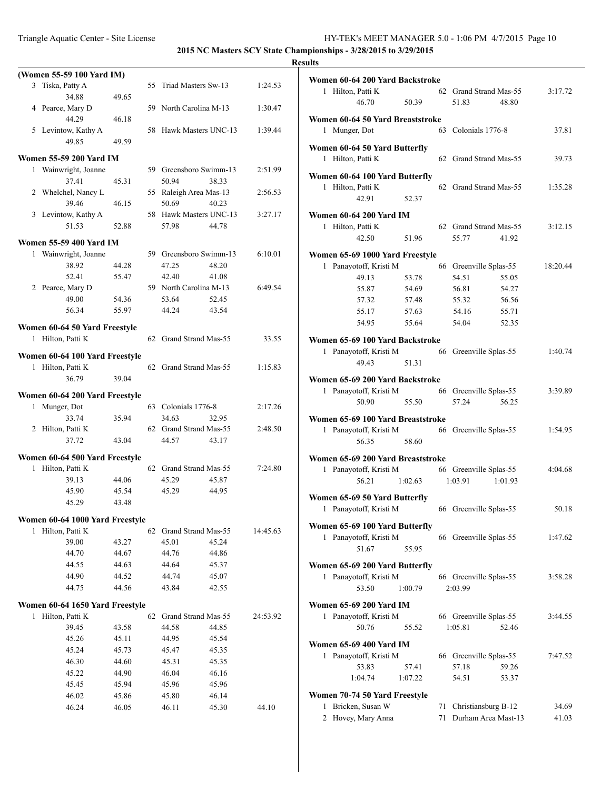|   | (Women 55-59 100 Yard IM)       |                |     |                        |       |          |
|---|---------------------------------|----------------|-----|------------------------|-------|----------|
| 3 | Tiska, Patty A                  |                | 55  | Triad Masters Sw-13    |       | 1:24.53  |
|   | 34.88                           | 49.65          |     |                        |       |          |
|   | 4 Pearce, Mary D                |                | 59. | North Carolina M-13    |       | 1:30.47  |
|   | 44.29                           | 46.18          |     |                        |       |          |
|   | 5 Levintow, Kathy A             |                | 58  | Hawk Masters UNC-13    |       | 1:39.44  |
|   | 49.85                           | 49.59          |     |                        |       |          |
|   | <b>Women 55-59 200 Yard IM</b>  |                |     |                        |       |          |
|   | 1 Wainwright, Joanne            |                |     | 59 Greensboro Swimm-13 |       | 2:51.99  |
|   | 37.41                           | 45.31          |     | 50.94                  | 38.33 |          |
|   | 2 Whelchel, Nancy L             |                |     | 55 Raleigh Area Mas-13 |       | 2:56.53  |
|   | 39.46                           | 46.15          |     | 50.69                  | 40.23 |          |
|   | 3 Levintow, Kathy A             |                |     | 58 Hawk Masters UNC-13 |       | 3:27.17  |
|   | 51.53                           | 52.88          |     | 57.98                  | 44.78 |          |
|   | <b>Women 55-59 400 Yard IM</b>  |                |     |                        |       |          |
|   | 1 Wainwright, Joanne            |                |     | 59 Greensboro Swimm-13 |       | 6:10.01  |
|   | 38.92                           | 44.28          |     | 47.25                  | 48.20 |          |
|   | 52.41                           | 55.47          |     | 42.40                  | 41.08 |          |
|   | 2 Pearce, Mary D                |                |     | 59 North Carolina M-13 |       | 6:49.54  |
|   | 49.00                           | 54.36          |     | 53.64                  | 52.45 |          |
|   | 56.34                           | 55.97          |     | 44.24                  | 43.54 |          |
|   |                                 |                |     |                        |       |          |
|   | Women 60-64 50 Yard Freestyle   |                |     |                        |       |          |
| 1 | Hilton, Patti K                 |                |     | 62 Grand Strand Mas-55 |       | 33.55    |
|   | Women 60-64 100 Yard Freestyle  |                |     |                        |       |          |
|   | 1 Hilton, Patti K               |                |     | 62 Grand Strand Mas-55 |       | 1:15.83  |
|   | 36.79                           | 39.04          |     |                        |       |          |
|   | Women 60-64 200 Yard Freestyle  |                |     |                        |       |          |
| 1 | Munger, Dot                     |                |     | 63 Colonials 1776-8    |       | 2:17.26  |
|   | 33.74                           | 35.94          |     | 34.63                  | 32.95 |          |
|   | 2 Hilton, Patti K               |                |     | 62 Grand Strand Mas-55 |       | 2:48.50  |
|   | 37.72                           | 43.04          |     | 44.57                  | 43.17 |          |
|   |                                 |                |     |                        |       |          |
|   | Women 60-64 500 Yard Freestyle  |                |     |                        |       |          |
| 1 | Hilton, Patti K                 |                |     | 62 Grand Strand Mas-55 |       | 7:24.80  |
|   | 39.13                           | 44.06          |     | 45.29                  | 45.87 |          |
|   | 45.90<br>45.29                  | 45.54<br>43.48 |     | 45.29                  | 44.95 |          |
|   |                                 |                |     |                        |       |          |
|   | Women 60-64 1000 Yard Freestyle |                |     |                        |       |          |
| 1 | Hilton, Patti K                 |                | 62  | Grand Strand Mas-55    |       | 14:45.63 |
|   | 39.00                           | 43.27          |     | 45.01                  | 45.24 |          |
|   | 44.70                           | 44.67          |     | 44.76                  | 44.86 |          |
|   | 44.55                           | 44.63          |     | 44.64                  | 45.37 |          |
|   | 44.90                           | 44.52          |     | 44.74                  | 45.07 |          |
|   | 44.75                           | 44.56          |     | 43.84                  | 42.55 |          |
|   | Women 60-64 1650 Yard Freestyle |                |     |                        |       |          |
| 1 | Hilton, Patti K                 |                | 62  | Grand Strand Mas-55    |       | 24:53.92 |
|   | 39.45                           | 43.58          |     | 44.58                  | 44.85 |          |
|   | 45.26                           | 45.11          |     | 44.95                  | 45.54 |          |
|   | 45.24                           | 45.73          |     | 45.47                  | 45.35 |          |
|   | 46.30                           | 44.60          |     | 45.31                  | 45.35 |          |
|   | 45.22                           | 44.90          |     | 46.04                  | 46.16 |          |
|   | 45.45                           | 45.94          |     | 45.96                  | 45.96 |          |
|   | 46.02                           | 45.86          |     | 45.80                  | 46.14 |          |
|   | 46.24                           | 46.05          |     | 46.11                  | 45.30 | 44.10    |
|   |                                 |                |     |                        |       |          |

| Women 60-64 200 Yard Backstroke                    |       |                                          |          |
|----------------------------------------------------|-------|------------------------------------------|----------|
| Hilton, Patti K<br>1<br>46.70                      | 50.39 | 62 Grand Strand Mas-55<br>51.83<br>48.80 | 3:17.72  |
| Women 60-64 50 Yard Breaststroke                   |       |                                          |          |
| Munger, Dot<br>1                                   |       | 63 Colonials 1776-8                      | 37.81    |
| Women 60-64 50 Yard Butterfly<br>1 Hilton, Patti K |       | 62 Grand Strand Mas-55                   | 39.73    |
| Women 60-64 100 Yard Butterfly                     |       |                                          |          |
| 1 Hilton, Patti K<br>42.91                         | 52.37 | 62 Grand Strand Mas-55                   | 1:35.28  |
|                                                    |       |                                          |          |
| Women 60-64 200 Yard IM<br>1 Hilton, Patti K       |       | 62 Grand Strand Mas-55                   | 3:12.15  |
| 42.50                                              | 51.96 | 55.77<br>41.92                           |          |
| Women 65-69 1000 Yard Freestyle                    |       |                                          |          |
| 1 Panayotoff, Kristi M                             |       | 66 Greenville Splas-55                   | 18:20.44 |
| 49.13                                              | 53.78 | 54.51<br>55.05                           |          |
| 55.87                                              | 54.69 | 56.81<br>54.27                           |          |
| 57.32                                              | 57.48 | 55.32<br>56.56                           |          |
| 55.17                                              | 57.63 | 54.16<br>55.71                           |          |
| 54.95                                              | 55.64 | 54.04<br>52.35                           |          |
| Women 65-69 100 Yard Backstroke                    |       |                                          |          |
| 1 Panayotoff, Kristi M                             |       | 66 Greenville Splas-55                   | 1:40.74  |
| 49.43                                              | 51.31 |                                          |          |
| Women 65-69 200 Yard Backstroke                    |       |                                          |          |
| 1 Panayotoff, Kristi M                             |       | 66 Greenville Splas-55                   | 3:39.89  |
| 50.90                                              | 55.50 | 57.24<br>56.25                           |          |
| Women 65-69 100 Yard Breaststroke                  |       |                                          |          |
| 1 Panayotoff, Kristi M                             |       | 66 Greenville Splas-55                   | 1:54.95  |
| 56.35                                              | 58.60 |                                          |          |
| Women 65-69 200 Yard Breaststroke                  |       |                                          |          |
| 1 Panayotoff, Kristi M                             |       | 66 Greenville Splas-55                   | 4:04.68  |
| 56.21<br>1:02.63                                   |       | 1:03.91<br>1:01.93                       |          |
| Women 65-69 50 Yard Butterfly                      |       |                                          |          |
| Panayotoff, Kristi M<br>$\mathbf{1}$               |       | 66 Greenville Splas-55                   | 50.18    |
| Women 65-69 100 Yard Butterfly                     |       |                                          |          |
| Panayotoff, Kristi M<br>1                          |       | 66 Greenville Splas-55                   | 1:47.62  |
| 51.67                                              | 55.95 |                                          |          |
| Women 65-69 200 Yard Butterfly                     |       |                                          |          |
| Panayotoff, Kristi M<br>$\mathbf{1}$               |       | 66 Greenville Splas-55                   | 3:58.28  |
| 53.50<br>1:00.79                                   |       | 2:03.99                                  |          |
| <b>Women 65-69 200 Yard IM</b>                     |       |                                          |          |
| 1 Panayotoff, Kristi M                             |       | 66 Greenville Splas-55                   | 3:44.55  |
| 50.76                                              | 55.52 | 1:05.81<br>52.46                         |          |
| Women 65-69 400 Yard IM                            |       |                                          |          |
| Panayotoff, Kristi M<br>$\mathbf{1}$               |       | 66 Greenville Splas-55                   | 7:47.52  |
| 53.83<br>57.41                                     |       | 57.18<br>59.26                           |          |
| 1:04.74<br>1:07.22                                 |       | 54.51<br>53.37                           |          |
|                                                    |       |                                          |          |
| Women 70-74 50 Yard Freestyle                      |       |                                          |          |
| Bricken, Susan W<br>1                              | 71    | Christiansburg B-12                      | 34.69    |
| Hovey, Mary Anna<br>2                              | 71    | Durham Area Mast-13                      | 41.03    |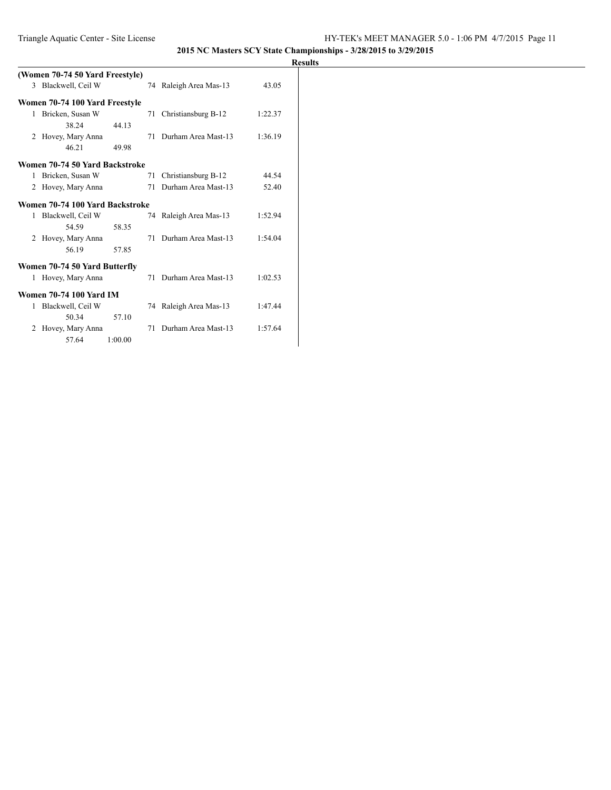|              | (Women 70-74 50 Yard Freestyle) |         |    |                        |         |
|--------------|---------------------------------|---------|----|------------------------|---------|
|              | 3 Blackwell, Ceil W             |         |    | 74 Raleigh Area Mas-13 | 43.05   |
|              | Women 70-74 100 Yard Freestyle  |         |    |                        |         |
| $\mathbf{1}$ | Bricken, Susan W                |         |    | 71 Christiansburg B-12 | 1:22.37 |
|              | 38.24                           | 44.13   |    |                        |         |
|              | 2 Hovey, Mary Anna              |         |    | 71 Durham Area Mast-13 | 1:36.19 |
|              | 46.21                           | 49.98   |    |                        |         |
|              | Women 70-74 50 Yard Backstroke  |         |    |                        |         |
| $\mathbf{1}$ | Bricken, Susan W                |         | 71 | Christiansburg B-12    | 44.54   |
| 2            | Hovey, Mary Anna                |         | 71 | Durham Area Mast-13    | 52.40   |
|              | Women 70-74 100 Yard Backstroke |         |    |                        |         |
| 1            | Blackwell, Ceil W               |         |    | 74 Raleigh Area Mas-13 | 1:52.94 |
|              | 54.59                           | 58.35   |    |                        |         |
|              | 2 Hovey, Mary Anna              |         | 71 | Durham Area Mast-13    | 1:54.04 |
|              | 56.19                           | 57.85   |    |                        |         |
|              | Women 70-74 50 Yard Butterfly   |         |    |                        |         |
| $\mathbf{1}$ | Hovey, Mary Anna                |         |    | 71 Durham Area Mast-13 | 1:02.53 |
|              | <b>Women 70-74 100 Yard IM</b>  |         |    |                        |         |
| 1            | Blackwell, Ceil W               |         |    | 74 Raleigh Area Mas-13 | 1:47.44 |
|              | 50.34                           | 57.10   |    |                        |         |
| 2            | Hovey, Mary Anna                |         | 71 | Durham Area Mast-13    | 1:57.64 |
|              | 57.64                           | 1:00.00 |    |                        |         |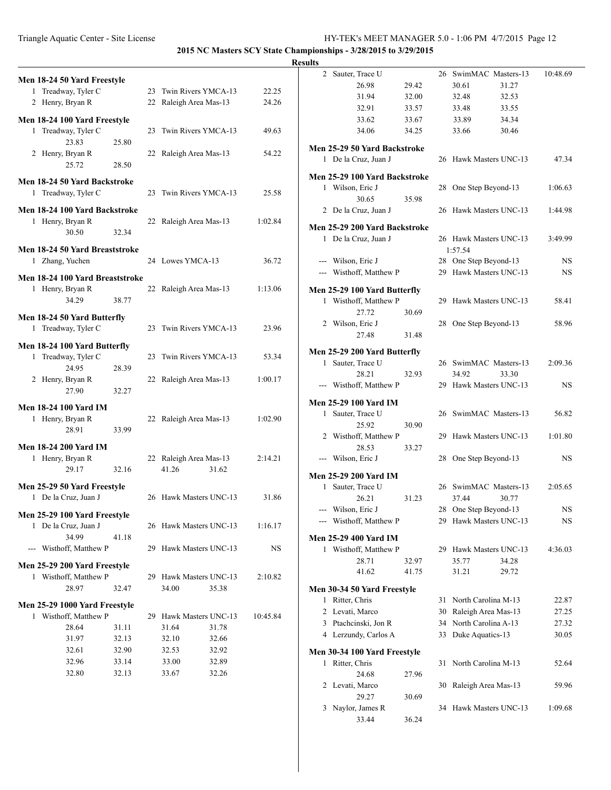### Triangle Aquatic Center - Site License HY-TEK's MEET MANAGER 5.0 - 1:06 PM 4/7/2015 Page 12

3 Naylor, James R 34 Hawk Masters UNC-13 1:09.68

33.44 36.24

|                                                       |       |                        |          | <b>Results</b>      |                               |       |                        |           |
|-------------------------------------------------------|-------|------------------------|----------|---------------------|-------------------------------|-------|------------------------|-----------|
| Men 18-24 50 Yard Freestyle                           |       |                        |          |                     | 2 Sauter, Trace U             |       | 26 SwimMAC Masters-13  | 10:48.69  |
| 1 Treadway, Tyler C                                   |       | 23 Twin Rivers YMCA-13 | 22.25    |                     | 26.98                         | 29.42 | 30.61<br>31.27         |           |
| 2 Henry, Bryan R                                      |       | 22 Raleigh Area Mas-13 | 24.26    |                     | 31.94                         | 32.00 | 32.48<br>32.53         |           |
|                                                       |       |                        |          |                     | 32.91                         | 33.57 | 33.55<br>33.48         |           |
| Men 18-24 100 Yard Freestyle                          |       |                        |          |                     | 33.62                         | 33.67 | 33.89<br>34.34         |           |
| 1 Treadway, Tyler C                                   |       | 23 Twin Rivers YMCA-13 | 49.63    |                     | 34.06                         | 34.25 | 33.66<br>30.46         |           |
| 23.83                                                 | 25.80 |                        |          |                     | Men 25-29 50 Yard Backstroke  |       |                        |           |
| 2 Henry, Bryan R<br>25.72                             | 28.50 | 22 Raleigh Area Mas-13 | 54.22    |                     | 1 De la Cruz, Juan J          |       | 26 Hawk Masters UNC-13 | 47.34     |
|                                                       |       |                        |          |                     | Men 25-29 100 Yard Backstroke |       |                        |           |
| Men 18-24 50 Yard Backstroke<br>1 Treadway, Tyler C   |       | 23 Twin Rivers YMCA-13 |          |                     | 1 Wilson, Eric J              |       | 28 One Step Beyond-13  | 1:06.63   |
|                                                       |       |                        | 25.58    |                     | 30.65                         | 35.98 |                        |           |
| Men 18-24 100 Yard Backstroke                         |       |                        |          |                     | 2 De la Cruz, Juan J          |       | 26 Hawk Masters UNC-13 | 1:44.98   |
| 1 Henry, Bryan R                                      |       | 22 Raleigh Area Mas-13 | 1:02.84  |                     | Men 25-29 200 Yard Backstroke |       |                        |           |
| 30.50                                                 | 32.34 |                        |          |                     | 1 De la Cruz, Juan J          |       | 26 Hawk Masters UNC-13 | 3:49.99   |
| Men 18-24 50 Yard Breaststroke                        |       |                        |          |                     |                               |       | 1:57.54                |           |
| 1 Zhang, Yuchen                                       |       | 24 Lowes YMCA-13       | 36.72    |                     | --- Wilson, Eric J            |       | 28 One Step Beyond-13  | <b>NS</b> |
|                                                       |       |                        |          |                     | --- Wisthoff, Matthew P       |       | 29 Hawk Masters UNC-13 | <b>NS</b> |
| Men 18-24 100 Yard Breaststroke                       |       |                        |          |                     |                               |       |                        |           |
| 1 Henry, Bryan R                                      |       | 22 Raleigh Area Mas-13 | 1:13.06  |                     | Men 25-29 100 Yard Butterfly  |       |                        |           |
| 34.29                                                 | 38.77 |                        |          |                     | 1 Wisthoff, Matthew P         |       | 29 Hawk Masters UNC-13 | 58.41     |
| Men 18-24 50 Yard Butterfly                           |       |                        |          |                     | 27.72<br>2 Wilson, Eric J     | 30.69 | 28 One Step Beyond-13  | 58.96     |
| 1 Treadway, Tyler C                                   |       | 23 Twin Rivers YMCA-13 | 23.96    |                     | 27.48                         | 31.48 |                        |           |
| Men 18-24 100 Yard Butterfly                          |       |                        |          |                     |                               |       |                        |           |
| 1 Treadway, Tyler C                                   |       | 23 Twin Rivers YMCA-13 | 53.34    |                     | Men 25-29 200 Yard Butterfly  |       |                        |           |
| 24.95                                                 | 28.39 |                        |          |                     | 1 Sauter, Trace U             |       | 26 SwimMAC Masters-13  | 2:09.36   |
| 2 Henry, Bryan R                                      |       | 22 Raleigh Area Mas-13 | 1:00.17  |                     | 28.21                         | 32.93 | 34.92<br>33.30         |           |
| 27.90                                                 | 32.27 |                        |          |                     | --- Wisthoff, Matthew P       |       | 29 Hawk Masters UNC-13 | <b>NS</b> |
| <b>Men 18-24 100 Yard IM</b>                          |       |                        |          |                     | Men 25-29 100 Yard IM         |       |                        |           |
| 1 Henry, Bryan R                                      |       | 22 Raleigh Area Mas-13 | 1:02.90  |                     | 1 Sauter, Trace U             |       | 26 SwimMAC Masters-13  | 56.82     |
| 28.91                                                 | 33.99 |                        |          |                     | 25.92                         | 30.90 |                        |           |
|                                                       |       |                        |          |                     | 2 Wisthoff, Matthew P         |       | 29 Hawk Masters UNC-13 | 1:01.80   |
| <b>Men 18-24 200 Yard IM</b><br>1 Henry, Bryan R      |       | 22 Raleigh Area Mas-13 | 2:14.21  |                     | 28.53<br>--- Wilson, Eric J   | 33.27 |                        | <b>NS</b> |
| 29.17                                                 | 32.16 | 41.26<br>31.62         |          |                     |                               |       | 28 One Step Beyond-13  |           |
|                                                       |       |                        |          |                     | <b>Men 25-29 200 Yard IM</b>  |       |                        |           |
| Men 25-29 50 Yard Freestyle                           |       |                        |          |                     | 1 Sauter, Trace U             |       | 26 SwimMAC Masters-13  | 2:05.65   |
| 1 De la Cruz, Juan J                                  |       | 26 Hawk Masters UNC-13 | 31.86    |                     | 26.21                         | 31.23 | 37.44<br>30.77         |           |
| Men 25-29 100 Yard Freestyle                          |       |                        |          | ---                 | Wilson, Eric J                |       | 28 One Step Beyond-13  | <b>NS</b> |
| 1 De la Cruz, Juan J                                  |       | 26 Hawk Masters UNC-13 | 1:16.17  | $\qquad \qquad - -$ | Wisthoff, Matthew P           |       | 29 Hawk Masters UNC-13 | <b>NS</b> |
| 34.99                                                 | 41.18 |                        |          |                     | Men 25-29 400 Yard IM         |       |                        |           |
| --- Wisthoff, Matthew P                               |       | 29 Hawk Masters UNC-13 | NS.      |                     | 1 Wisthoff, Matthew P         |       | 29 Hawk Masters UNC-13 | 4:36.03   |
|                                                       |       |                        |          |                     | 28.71                         | 32.97 | 35.77<br>34.28         |           |
| Men 25-29 200 Yard Freestyle<br>1 Wisthoff, Matthew P |       | 29 Hawk Masters UNC-13 | 2:10.82  |                     | 41.62                         | 41.75 | 31.21<br>29.72         |           |
| 28.97                                                 | 32.47 | 34.00<br>35.38         |          |                     | Men 30-34 50 Yard Freestyle   |       |                        |           |
|                                                       |       |                        |          |                     | 1 Ritter, Chris               |       | 31 North Carolina M-13 | 22.87     |
| Men 25-29 1000 Yard Freestyle                         |       |                        |          |                     | 2 Levati, Marco               |       | 30 Raleigh Area Mas-13 | 27.25     |
| 1 Wisthoff, Matthew P                                 |       | 29 Hawk Masters UNC-13 | 10:45.84 |                     | 3 Ptachcinski, Jon R          |       | 34 North Carolina A-13 | 27.32     |
| 28.64                                                 | 31.11 | 31.64<br>31.78         |          |                     | 4 Lerzundy, Carlos A          |       | 33 Duke Aquatics-13    | 30.05     |
| 31.97                                                 | 32.13 | 32.10<br>32.66         |          |                     |                               |       |                        |           |
| 32.61                                                 | 32.90 | 32.53<br>32.92         |          |                     | Men 30-34 100 Yard Freestyle  |       |                        |           |
| 32.96                                                 | 33.14 | 33.00<br>32.89         |          |                     | 1 Ritter, Chris               |       | 31 North Carolina M-13 | 52.64     |
| 32.80                                                 | 32.13 | 33.67<br>32.26         |          |                     | 24.68                         | 27.96 |                        |           |
|                                                       |       |                        |          |                     | 2 Levati, Marco               |       | 30 Raleigh Area Mas-13 | 59.96     |
|                                                       |       |                        |          |                     | 29.27                         | 30.69 |                        |           |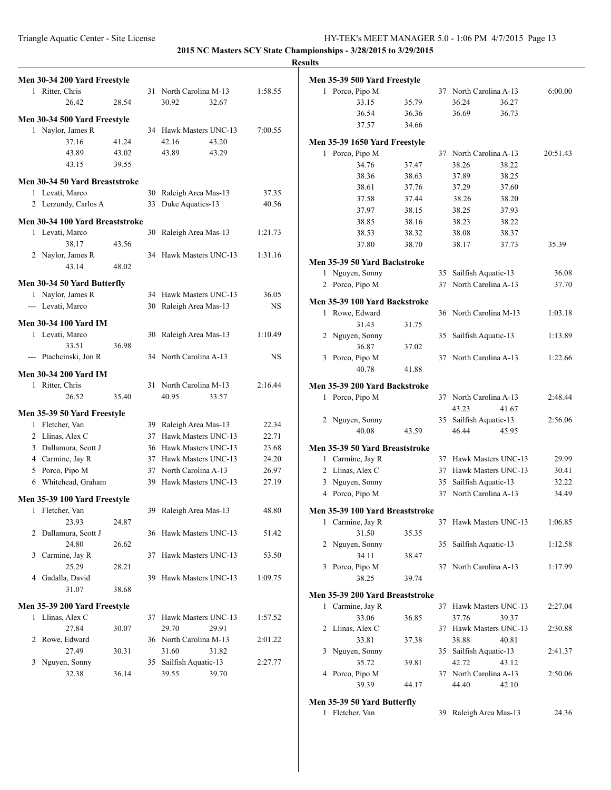|                                         |       |    |                                               |                | <b>Results</b>                  |       |                        |          |
|-----------------------------------------|-------|----|-----------------------------------------------|----------------|---------------------------------|-------|------------------------|----------|
| Men 30-34 200 Yard Freestyle            |       |    |                                               |                | Men 35-39 500 Yard Freestyle    |       |                        |          |
| 1 Ritter, Chris                         |       |    | 31 North Carolina M-13                        | 1:58.55        | 1 Porco, Pipo M                 |       | 37 North Carolina A-13 | 6:00.00  |
| 26.42                                   | 28.54 |    | 30.92<br>32.67                                |                | 33.15                           | 35.79 | 36.27<br>36.24         |          |
| Men 30-34 500 Yard Freestyle            |       |    |                                               |                | 36.54                           | 36.36 | 36.69<br>36.73         |          |
| 1 Naylor, James R                       |       |    | 34 Hawk Masters UNC-13                        | 7:00.55        | 37.57                           | 34.66 |                        |          |
| 37.16                                   | 41.24 |    | 42.16<br>43.20                                |                | Men 35-39 1650 Yard Freestyle   |       |                        |          |
| 43.89                                   | 43.02 |    | 43.89<br>43.29                                |                | 1 Porco, Pipo M                 |       | 37 North Carolina A-13 | 20:51.43 |
| 43.15                                   | 39.55 |    |                                               |                | 34.76                           | 37.47 | 38.26<br>38.22         |          |
|                                         |       |    |                                               |                | 38.36                           | 38.63 | 37.89<br>38.25         |          |
| Men 30-34 50 Yard Breaststroke          |       |    |                                               |                | 38.61                           | 37.76 | 37.60<br>37.29         |          |
| 1 Levati, Marco<br>2 Lerzundy, Carlos A |       |    | 30 Raleigh Area Mas-13<br>33 Duke Aquatics-13 | 37.35<br>40.56 | 37.58                           | 37.44 | 38.20<br>38.26         |          |
|                                         |       |    |                                               |                | 37.97                           | 38.15 | 38.25<br>37.93         |          |
| Men 30-34 100 Yard Breaststroke         |       |    |                                               |                | 38.85                           | 38.16 | 38.23<br>38.22         |          |
| 1 Levati, Marco                         |       |    | 30 Raleigh Area Mas-13                        | 1:21.73        | 38.53                           | 38.32 | 38.08<br>38.37         |          |
| 38.17                                   | 43.56 |    |                                               |                | 37.80                           | 38.70 | 38.17<br>37.73         | 35.39    |
| 2 Naylor, James R                       |       |    | 34 Hawk Masters UNC-13                        | 1:31.16        | Men 35-39 50 Yard Backstroke    |       |                        |          |
| 43.14                                   | 48.02 |    |                                               |                | 1 Nguyen, Sonny                 |       | 35 Sailfish Aquatic-13 | 36.08    |
| Men 30-34 50 Yard Butterfly             |       |    |                                               |                | 2 Porco, Pipo M                 |       | 37 North Carolina A-13 | 37.70    |
| 1 Naylor, James R                       |       |    | 34 Hawk Masters UNC-13                        | 36.05          |                                 |       |                        |          |
| --- Levati, Marco                       |       | 30 | Raleigh Area Mas-13                           | NS.            | Men 35-39 100 Yard Backstroke   |       |                        |          |
| <b>Men 30-34 100 Yard IM</b>            |       |    |                                               |                | 1 Rowe, Edward                  |       | 36 North Carolina M-13 | 1:03.18  |
| 1 Levati, Marco                         |       |    | 30 Raleigh Area Mas-13                        | 1:10.49        | 31.43                           | 31.75 |                        |          |
| 33.51                                   | 36.98 |    |                                               |                | 2 Nguyen, Sonny                 |       | 35 Sailfish Aquatic-13 | 1:13.89  |
| --- Ptachcinski, Jon R                  |       |    | 34 North Carolina A-13                        | $_{\rm NS}$    | 36.87<br>3 Porco, Pipo M        | 37.02 | 37 North Carolina A-13 | 1:22.66  |
|                                         |       |    |                                               |                | 40.78                           | 41.88 |                        |          |
| <b>Men 30-34 200 Yard IM</b>            |       |    |                                               |                |                                 |       |                        |          |
| 1 Ritter, Chris                         |       |    | 31 North Carolina M-13                        | 2:16.44        | Men 35-39 200 Yard Backstroke   |       |                        |          |
| 26.52                                   | 35.40 |    | 40.95<br>33.57                                |                | 1 Porco, Pipo M                 |       | 37 North Carolina A-13 | 2:48.44  |
| Men 35-39 50 Yard Freestyle             |       |    |                                               |                |                                 |       | 43.23<br>41.67         |          |
| 1 Fletcher, Van                         |       |    | 39 Raleigh Area Mas-13                        | 22.34          | 2 Nguyen, Sonny                 |       | 35 Sailfish Aquatic-13 | 2:56.06  |
| 2 Llinas, Alex C                        |       |    | 37 Hawk Masters UNC-13                        | 22.71          | 40.08                           | 43.59 | 46.44<br>45.95         |          |
| 3 Dallamura, Scott J                    |       |    | 36 Hawk Masters UNC-13                        | 23.68          | Men 35-39 50 Yard Breaststroke  |       |                        |          |
| 4 Carmine, Jay R                        |       |    | 37 Hawk Masters UNC-13                        | 24.20          | 1 Carmine, Jay R                |       | 37 Hawk Masters UNC-13 | 29.99    |
| 5 Porco, Pipo M                         |       |    | 37 North Carolina A-13                        | 26.97          | 2 Llinas, Alex C                |       | 37 Hawk Masters UNC-13 | 30.41    |
| 6 Whitehead, Graham                     |       | 39 | Hawk Masters UNC-13                           | 27.19          | 3 Nguyen, Sonny                 |       | 35 Sailfish Aquatic-13 | 32.22    |
| Men 35-39 100 Yard Freestyle            |       |    |                                               |                | 4 Porco, Pipo M                 |       | 37 North Carolina A-13 | 34.49    |
| 1 Fletcher, Van                         |       |    | 39 Raleigh Area Mas-13                        | 48.80          | Men 35-39 100 Yard Breaststroke |       |                        |          |
| 23.93                                   | 24.87 |    |                                               |                | 1 Carmine, Jay R                |       | 37 Hawk Masters UNC-13 | 1:06.85  |
| 2 Dallamura, Scott J                    |       |    | 36 Hawk Masters UNC-13                        | 51.42          | 31.50                           | 35.35 |                        |          |
| 24.80                                   | 26.62 |    |                                               |                | 2 Nguyen, Sonny                 |       | 35 Sailfish Aquatic-13 | 1:12.58  |
| 3 Carmine, Jay R                        |       |    | 37 Hawk Masters UNC-13                        | 53.50          | 34.11                           | 38.47 |                        |          |
| 25.29                                   | 28.21 |    |                                               |                | 3 Porco, Pipo M                 |       | 37 North Carolina A-13 | 1:17.99  |
| 4 Gadalla, David                        |       |    | 39 Hawk Masters UNC-13                        | 1:09.75        | 38.25                           | 39.74 |                        |          |
| 31.07                                   | 38.68 |    |                                               |                | Men 35-39 200 Yard Breaststroke |       |                        |          |
| Men 35-39 200 Yard Freestyle            |       |    |                                               |                | 1 Carmine, Jay R                |       | 37 Hawk Masters UNC-13 | 2:27.04  |
| 1 Llinas, Alex C                        |       |    | 37 Hawk Masters UNC-13                        | 1:57.52        | 33.06                           | 36.85 | 37.76<br>39.37         |          |
| 27.84                                   | 30.07 |    | 29.70<br>29.91                                |                | 2 Llinas, Alex C                |       | 37 Hawk Masters UNC-13 | 2:30.88  |
| 2 Rowe, Edward                          |       |    | 36 North Carolina M-13                        | 2:01.22        | 33.81                           | 37.38 | 38.88<br>40.81         |          |
| 27.49                                   | 30.31 |    | 31.60<br>31.82                                |                | 3 Nguyen, Sonny                 |       | 35 Sailfish Aquatic-13 | 2:41.37  |
| 3 Nguyen, Sonny                         |       |    | 35 Sailfish Aquatic-13                        | 2:27.77        | 35.72                           | 39.81 | 42.72<br>43.12         |          |
| 32.38                                   | 36.14 |    | 39.55<br>39.70                                |                | 4 Porco, Pipo M                 |       | 37 North Carolina A-13 | 2:50.06  |
|                                         |       |    |                                               |                | 39.39                           | 44.17 | 44.40<br>42.10         |          |
|                                         |       |    |                                               |                | Men 35-39 50 Yard Butterfly     |       |                        |          |
|                                         |       |    |                                               |                | 1 Fletcher, Van                 |       | 39 Raleigh Area Mas-13 | 24.36    |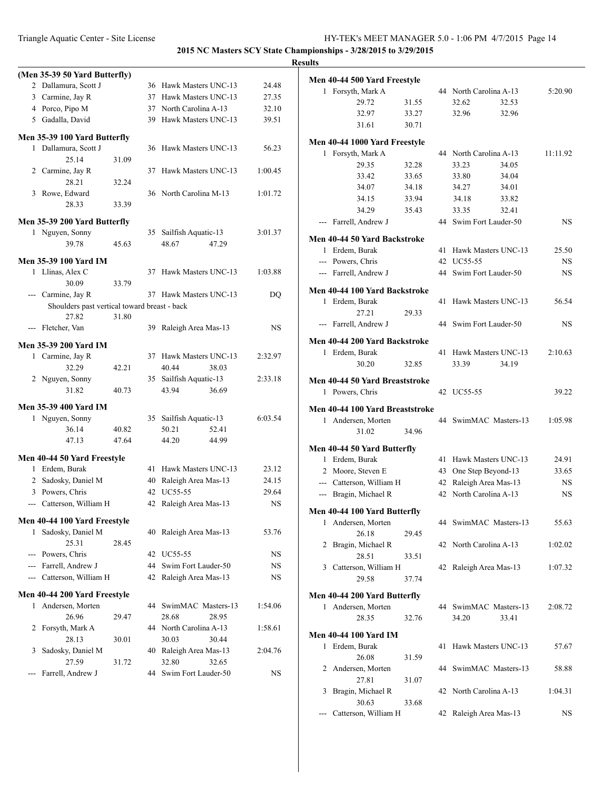|   |                                               |       |    |                                          |           | <b>Results</b> |
|---|-----------------------------------------------|-------|----|------------------------------------------|-----------|----------------|
|   | (Men 35-39 50 Yard Butterfly)                 |       |    |                                          |           | Me             |
|   | 2 Dallamura, Scott J                          |       |    | 36 Hawk Masters UNC-13                   | 24.48     |                |
|   | 3 Carmine, Jay R                              |       |    | 37 Hawk Masters UNC-13                   | 27.35     |                |
|   | 4 Porco, Pipo M                               |       |    | 37 North Carolina A-13                   | 32.10     |                |
|   | 5 Gadalla, David                              |       |    | 39 Hawk Masters UNC-13                   | 39.51     |                |
|   | Men 35-39 100 Yard Butterfly                  |       |    |                                          |           | Me             |
|   | 1 Dallamura, Scott J                          |       |    | 36 Hawk Masters UNC-13                   | 56.23     |                |
|   | 25.14                                         | 31.09 |    |                                          |           |                |
|   | 2 Carmine, Jay R                              |       |    | 37 Hawk Masters UNC-13                   | 1:00.45   |                |
|   | 28.21                                         | 32.24 |    |                                          |           |                |
|   | 3 Rowe, Edward                                |       |    | 36 North Carolina M-13                   | 1:01.72   |                |
|   | 28.33                                         | 33.39 |    |                                          |           |                |
|   | Men 35-39 200 Yard Butterfly                  |       |    |                                          |           |                |
|   | 1 Nguyen, Sonny                               |       |    | 35 Sailfish Aquatic-13                   | 3:01.37   | Me             |
|   | 39.78                                         | 45.63 |    | 48.67<br>47.29                           |           |                |
|   | Men 35-39 100 Yard IM                         |       |    |                                          |           |                |
|   | 1 Llinas, Alex C                              |       |    | 37 Hawk Masters UNC-13                   | 1:03.88   |                |
|   | 30.09                                         | 33.79 |    |                                          |           |                |
|   | --- Carmine, Jay R                            |       |    | 37 Hawk Masters UNC-13                   | DQ        | Me             |
|   | Shoulders past vertical toward breast - back  |       |    |                                          |           |                |
|   | 27.82                                         | 31.80 |    |                                          |           |                |
|   | --- Fletcher, Van                             |       |    | 39 Raleigh Area Mas-13                   | <b>NS</b> |                |
|   | Men 35-39 200 Yard IM                         |       |    |                                          |           | Me             |
|   | 1 Carmine, Jay R                              |       |    | 37 Hawk Masters UNC-13                   | 2:32.97   |                |
|   | 32.29                                         | 42.21 |    | 40.44<br>38.03                           |           |                |
|   | 2 Nguyen, Sonny                               |       |    | 35 Sailfish Aquatic-13                   | 2:33.18   | Me             |
|   | 31.82                                         | 40.73 |    | 43.94<br>36.69                           |           |                |
|   | Men 35-39 400 Yard IM                         |       |    |                                          |           |                |
|   | 1 Nguyen, Sonny                               |       |    | 35 Sailfish Aquatic-13                   | 6:03.54   | Me             |
|   | 36.14                                         | 40.82 |    | 50.21<br>52.41                           |           |                |
|   | 47.13                                         | 47.64 |    | 44.20<br>44.99                           |           |                |
|   |                                               |       |    |                                          |           | Me             |
|   | Men 40-44 50 Yard Freestyle<br>1 Erdem, Burak |       |    | 41 Hawk Masters UNC-13                   | 23.12     |                |
|   | 2 Sadosky, Daniel M                           |       |    | 40 Raleigh Area Mas-13                   | 24.15     |                |
|   | 3 Powers, Chris                               |       |    | 42 UC55-55                               | 29.64     |                |
|   | --- Catterson, William H                      |       |    | 42 Raleigh Area Mas-13                   | NS        |                |
|   |                                               |       |    |                                          |           | Me             |
|   | Men 40-44 100 Yard Freestyle                  |       |    |                                          |           |                |
| 1 | Sadosky, Daniel M                             |       |    | 40 Raleigh Area Mas-13                   | 53.76     |                |
|   | 25.31<br>--- Powers, Chris                    | 28.45 |    | 42 UC55-55                               | NS        |                |
|   | --- Farrell, Andrew J                         |       | 44 | Swim Fort Lauder-50                      | NS        |                |
|   | --- Catterson, William H                      |       |    | 42 Raleigh Area Mas-13                   | NS        |                |
|   |                                               |       |    |                                          |           |                |
|   | Men 40-44 200 Yard Freestyle                  |       |    |                                          |           | Me             |
| 1 | Andersen, Morten                              |       |    | 44 SwimMAC Masters-13                    | 1:54.06   |                |
|   | 26.96                                         | 29.47 |    | 28.68<br>28.95                           |           |                |
| 2 | Forsyth, Mark A                               |       |    | 44 North Carolina A-13                   | 1:58.61   | Me             |
| 3 | 28.13<br>Sadosky, Daniel M                    | 30.01 |    | 30.03<br>30.44<br>40 Raleigh Area Mas-13 | 2:04.76   |                |
|   | 27.59                                         | 31.72 |    | 32.80<br>32.65                           |           |                |
|   | Farrell, Andrew J                             |       |    | 44 Swim Fort Lauder-50                   | NS        |                |
|   |                                               |       |    |                                          |           |                |

|              | Men 40-44 500 Yard Freestyle    |       |    |                        |       |           |
|--------------|---------------------------------|-------|----|------------------------|-------|-----------|
| 1            | Forsyth, Mark A                 |       |    | 44 North Carolina A-13 |       | 5:20.90   |
|              | 29.72                           | 31.55 |    | 32.62                  | 32.53 |           |
|              | 32.97                           | 33.27 |    | 32.96                  | 32.96 |           |
|              | 31.61                           | 30.71 |    |                        |       |           |
|              | Men 40-44 1000 Yard Freestyle   |       |    |                        |       |           |
|              | 1 Forsyth, Mark A               |       |    | 44 North Carolina A-13 |       | 11:11.92  |
|              | 29.35                           | 32.28 |    | 33.23                  | 34.05 |           |
|              | 33.42                           | 33.65 |    | 33.80                  | 34.04 |           |
|              | 34.07                           | 34.18 |    | 34.27                  | 34.01 |           |
|              | 34.15                           | 33.94 |    | 34.18                  | 33.82 |           |
|              | 34.29                           | 35.43 |    | 33.35                  | 32.41 |           |
|              | --- Farrell, Andrew J           |       |    | 44 Swim Fort Lauder-50 |       | <b>NS</b> |
|              | Men 40-44 50 Yard Backstroke    |       |    |                        |       |           |
|              | 1 Erdem, Burak                  |       | 41 | Hawk Masters UNC-13    |       | 25.50     |
|              | --- Powers, Chris               |       |    | 42 UC55-55             |       | NS        |
|              | --- Farrell, Andrew J           |       |    | 44 Swim Fort Lauder-50 |       | NS        |
|              | Men 40-44 100 Yard Backstroke   |       |    |                        |       |           |
|              | 1 Erdem, Burak                  |       | 41 | Hawk Masters UNC-13    |       | 56.54     |
|              | 27 21                           | 29.33 |    |                        |       |           |
|              | --- Farrell, Andrew J           |       |    | 44 Swim Fort Lauder-50 |       | NS        |
|              | Men 40-44 200 Yard Backstroke   |       |    |                        |       |           |
|              | 1 Erdem, Burak                  |       | 41 | Hawk Masters UNC-13    |       | 2:10.63   |
|              | 30.20                           | 32.85 |    | 33.39                  | 34.19 |           |
|              | Men 40-44 50 Yard Breaststroke  |       |    |                        |       |           |
|              | 1 Powers, Chris                 |       |    | 42 UC55-55             |       | 39.22     |
|              | Men 40-44 100 Yard Breaststroke |       |    |                        |       |           |
|              | 1 Andersen, Morten              |       |    | 44 SwimMAC Masters-13  |       | 1:05.98   |
|              | 31.02                           | 34.96 |    |                        |       |           |
|              | Men 40-44 50 Yard Butterfly     |       |    |                        |       |           |
|              | 1 Erdem, Burak                  |       | 41 | Hawk Masters UNC-13    |       | 24.91     |
|              | 2 Moore, Steven E               |       |    | 43 One Step Beyond-13  |       | 33.65     |
|              | --- Catterson, William H        |       | 42 | Raleigh Area Mas-13    |       | <b>NS</b> |
|              | --- Bragin, Michael R           |       |    | 42 North Carolina A-13 |       | <b>NS</b> |
|              | Men 40-44 100 Yard Butterfly    |       |    |                        |       |           |
|              | 1 Andersen, Morten              |       |    | 44 SwimMAC Masters-13  |       | 55.63     |
|              | 26.18                           | 29.45 |    |                        |       |           |
| 2            | Bragin, Michael R               |       |    | 42 North Carolina A-13 |       | 1:02.02   |
|              | 28.51                           | 33.51 |    |                        |       |           |
|              | 3 Catterson, William H          |       |    | 42 Raleigh Area Mas-13 |       | 1:07.32   |
|              | 29.58                           | 37.74 |    |                        |       |           |
|              | Men 40-44 200 Yard Butterfly    |       |    |                        |       |           |
|              | 1 Andersen, Morten              |       |    | 44 SwimMAC Masters-13  |       | 2:08.72   |
|              | 28.35                           | 32.76 |    | 34.20                  | 33.41 |           |
|              | Men 40-44 100 Yard IM           |       |    |                        |       |           |
| $\mathbf{1}$ | Erdem, Burak                    |       | 41 | Hawk Masters UNC-13    |       | 57.67     |
|              | 26.08                           | 31.59 |    |                        |       |           |
| 2            | Andersen, Morten                |       |    | 44 SwimMAC Masters-13  |       | 58.88     |
|              | 27.81                           | 31.07 |    |                        |       |           |
| 3            | Bragin, Michael R               |       |    | 42 North Carolina A-13 |       | 1:04.31   |
|              | 30.63                           | 33.68 |    |                        |       |           |
|              | Catterson, William H            |       |    | 42 Raleigh Area Mas-13 |       | <b>NS</b> |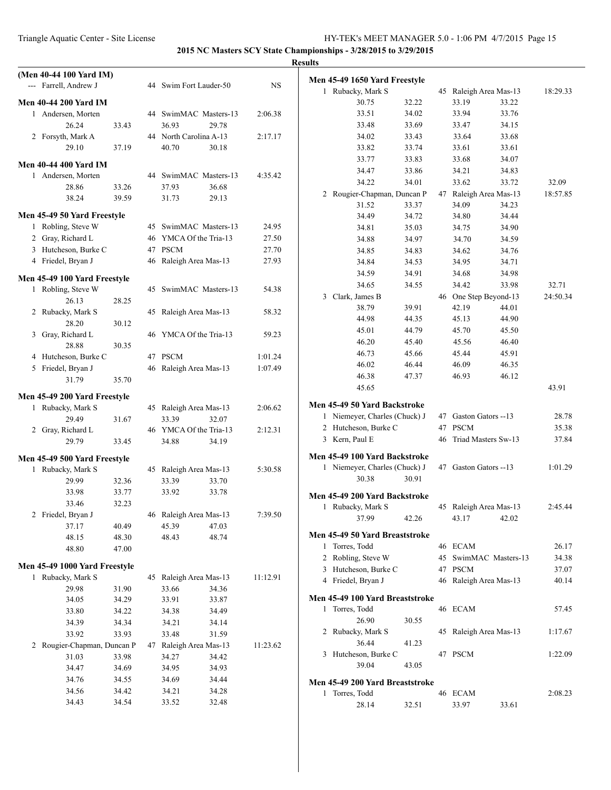|                                                    |                |                        |                |           | <b>Results</b> |                                                    |       |                        |                       |          |
|----------------------------------------------------|----------------|------------------------|----------------|-----------|----------------|----------------------------------------------------|-------|------------------------|-----------------------|----------|
| (Men 40-44 100 Yard IM)<br>--- Farrell, Andrew J   |                | 44 Swim Fort Lauder-50 |                | <b>NS</b> |                | Men 45-49 1650 Yard Freestyle<br>1 Rubacky, Mark S |       | 45 Raleigh Area Mas-13 |                       | 18:29.33 |
| <b>Men 40-44 200 Yard IM</b>                       |                |                        |                |           |                | 30.75                                              | 32.22 | 33.19                  | 33.22                 |          |
| 1 Andersen, Morten                                 |                | 44 SwimMAC Masters-13  |                | 2:06.38   |                | 33.51                                              | 34.02 | 33.94                  | 33.76                 |          |
| 26.24                                              | 33.43          | 36.93                  | 29.78          |           |                | 33.48                                              | 33.69 | 33.47                  | 34.15                 |          |
| 2 Forsyth, Mark A                                  |                | 44 North Carolina A-13 |                | 2:17.17   |                | 34.02                                              | 33.43 | 33.64                  | 33.68                 |          |
| 29.10                                              | 37.19          | 40.70                  | 30.18          |           |                | 33.82                                              | 33.74 | 33.61                  | 33.61                 |          |
|                                                    |                |                        |                |           |                | 33.77                                              | 33.83 | 33.68                  | 34.07                 |          |
| <b>Men 40-44 400 Yard IM</b>                       |                |                        |                |           |                | 34.47                                              | 33.86 | 34.21                  | 34.83                 |          |
| 1 Andersen, Morten                                 |                | 44 SwimMAC Masters-13  |                | 4:35.42   |                | 34.22                                              | 34.01 | 33.62                  | 33.72                 | 32.09    |
| 28.86<br>38.24                                     | 33.26<br>39.59 | 37.93<br>31.73         | 36.68<br>29.13 |           |                | 2 Rougier-Chapman, Duncan P                        |       | 47 Raleigh Area Mas-13 |                       | 18:57.85 |
|                                                    |                |                        |                |           |                | 31.52                                              | 33.37 | 34.09                  | 34.23                 |          |
| Men 45-49 50 Yard Freestyle                        |                |                        |                |           |                | 34.49                                              | 34.72 | 34.80                  | 34.44                 |          |
| 1 Robling, Steve W                                 |                | 45 SwimMAC Masters-13  |                | 24.95     |                | 34.81                                              | 35.03 | 34.75                  | 34.90                 |          |
| 2 Gray, Richard L                                  |                | 46 YMCA Of the Tria-13 |                | 27.50     |                | 34.88                                              | 34.97 | 34.70                  | 34.59                 |          |
| 3 Hutcheson, Burke C                               |                | 47 PSCM                |                | 27.70     |                | 34.85                                              | 34.83 | 34.62                  | 34.76                 |          |
| 4 Friedel, Bryan J                                 |                | 46 Raleigh Area Mas-13 |                | 27.93     |                | 34.84                                              | 34.53 | 34.95                  | 34.71                 |          |
|                                                    |                |                        |                |           |                | 34.59                                              | 34.91 | 34.68                  | 34.98                 |          |
| Men 45-49 100 Yard Freestyle<br>1 Robling, Steve W |                | 45 SwimMAC Masters-13  |                | 54.38     |                | 34.65                                              | 34.55 | 34.42                  | 33.98                 | 32.71    |
| 26.13                                              | 28.25          |                        |                |           |                | 3 Clark, James B                                   |       | 46 One Step Beyond-13  |                       | 24:50.34 |
| 2 Rubacky, Mark S                                  |                | 45 Raleigh Area Mas-13 |                | 58.32     |                | 38.79                                              | 39.91 | 42.19                  | 44.01                 |          |
| 28.20                                              | 30.12          |                        |                |           |                | 44.98                                              | 44.35 | 45.13                  | 44.90                 |          |
| 3 Gray, Richard L                                  |                | 46 YMCA Of the Tria-13 |                | 59.23     |                | 45.01                                              | 44.79 | 45.70                  | 45.50                 |          |
| 28.88                                              | 30.35          |                        |                |           |                | 46.20                                              | 45.40 | 45.56                  | 46.40                 |          |
| 4 Hutcheson, Burke C                               |                | 47 PSCM                |                | 1:01.24   |                | 46.73                                              | 45.66 | 45.44                  | 45.91                 |          |
| 5 Friedel, Bryan J                                 |                | 46 Raleigh Area Mas-13 |                | 1:07.49   |                | 46.02                                              | 46.44 | 46.09                  | 46.35                 |          |
| 31.79                                              | 35.70          |                        |                |           |                | 46.38                                              | 47.37 | 46.93                  | 46.12                 |          |
|                                                    |                |                        |                |           |                | 45.65                                              |       |                        |                       | 43.91    |
| Men 45-49 200 Yard Freestyle                       |                |                        |                |           |                | Men 45-49 50 Yard Backstroke                       |       |                        |                       |          |
| 1 Rubacky, Mark S                                  |                | 45 Raleigh Area Mas-13 |                | 2:06.62   |                | 1 Niemeyer, Charles (Chuck) J                      |       | 47 Gaston Gators --13  |                       | 28.78    |
| 29.49                                              | 31.67          | 33.39                  | 32.07          |           |                | 2 Hutcheson, Burke C                               |       | 47 PSCM                |                       | 35.38    |
| 2 Gray, Richard L                                  |                | 46 YMCA Of the Tria-13 |                | 2:12.31   |                | 3 Kern, Paul E                                     |       | 46 Triad Masters Sw-13 |                       | 37.84    |
| 29.79                                              | 33.45          | 34.88                  | 34.19          |           |                |                                                    |       |                        |                       |          |
| Men 45-49 500 Yard Freestyle                       |                |                        |                |           |                | Men 45-49 100 Yard Backstroke                      |       |                        |                       |          |
| 1 Rubacky, Mark S                                  |                | 45 Raleigh Area Mas-13 |                | 5:30.58   |                | 1 Niemeyer, Charles (Chuck) J                      |       | 47 Gaston Gators --13  |                       | 1:01.29  |
| 29.99                                              | 32.36          | 33.39                  | 33.70          |           |                | 30.38                                              | 30.91 |                        |                       |          |
| 33.98                                              | 33.77          | 33.92                  | 33.78          |           |                | Men 45-49 200 Yard Backstroke                      |       |                        |                       |          |
| 33.46                                              | 32.23          |                        |                |           |                | 1 Rubacky, Mark S                                  |       | 45 Raleigh Area Mas-13 |                       | 2:45.44  |
| 2 Friedel, Bryan J                                 |                | 46 Raleigh Area Mas-13 |                | 7:39.50   |                | 37.99                                              | 42.26 | 43.17                  | 42.02                 |          |
| 37.17                                              | 40.49          | 45.39                  | 47.03          |           |                |                                                    |       |                        |                       |          |
| 48.15                                              | 48.30          | 48.43                  | 48.74          |           |                | Men 45-49 50 Yard Breaststroke                     |       |                        |                       |          |
| 48.80                                              | 47.00          |                        |                |           |                | 1 Torres, Todd                                     |       | 46 ECAM                |                       | 26.17    |
| Men 45-49 1000 Yard Freestyle                      |                |                        |                |           |                | 2 Robling, Steve W                                 |       |                        | 45 SwimMAC Masters-13 | 34.38    |
| 1 Rubacky, Mark S                                  |                | 45 Raleigh Area Mas-13 |                | 11:12.91  |                | 3 Hutcheson, Burke C                               |       | 47 PSCM                |                       | 37.07    |
| 29.98                                              | 31.90          | 33.66                  | 34.36          |           |                | 4 Friedel, Bryan J                                 |       | 46 Raleigh Area Mas-13 |                       | 40.14    |
| 34.05                                              | 34.29          | 33.91                  | 33.87          |           |                | Men 45-49 100 Yard Breaststroke                    |       |                        |                       |          |
| 33.80                                              | 34.22          | 34.38                  | 34.49          |           |                | 1 Torres, Todd                                     |       | 46 ECAM                |                       | 57.45    |
| 34.39                                              | 34.34          | 34.21                  | 34.14          |           |                | 26.90                                              | 30.55 |                        |                       |          |
| 33.92                                              | 33.93          | 33.48                  | 31.59          |           |                | 2 Rubacky, Mark S                                  |       | 45 Raleigh Area Mas-13 |                       | 1:17.67  |
| 2 Rougier-Chapman, Duncan P                        |                | 47 Raleigh Area Mas-13 |                | 11:23.62  |                | 36.44                                              | 41.23 |                        |                       |          |
| 31.03                                              | 33.98          | 34.27                  | 34.42          |           |                | 3 Hutcheson, Burke C                               |       | 47 PSCM                |                       | 1:22.09  |
| 34.47                                              | 34.69          | 34.95                  | 34.93          |           |                | 39.04                                              | 43.05 |                        |                       |          |
| 34.76                                              | 34.55          | 34.69                  | 34.44          |           |                | Men 45-49 200 Yard Breaststroke                    |       |                        |                       |          |
| 34.56                                              | 34.42          | 34.21                  | 34.28          |           |                | 1 Torres, Todd                                     |       | 46 ECAM                |                       | 2:08.23  |
| 34.43                                              | 34.54          | 33.52                  | 32.48          |           |                | 28.14                                              | 32.51 | 33.97                  | 33.61                 |          |
|                                                    |                |                        |                |           |                |                                                    |       |                        |                       |          |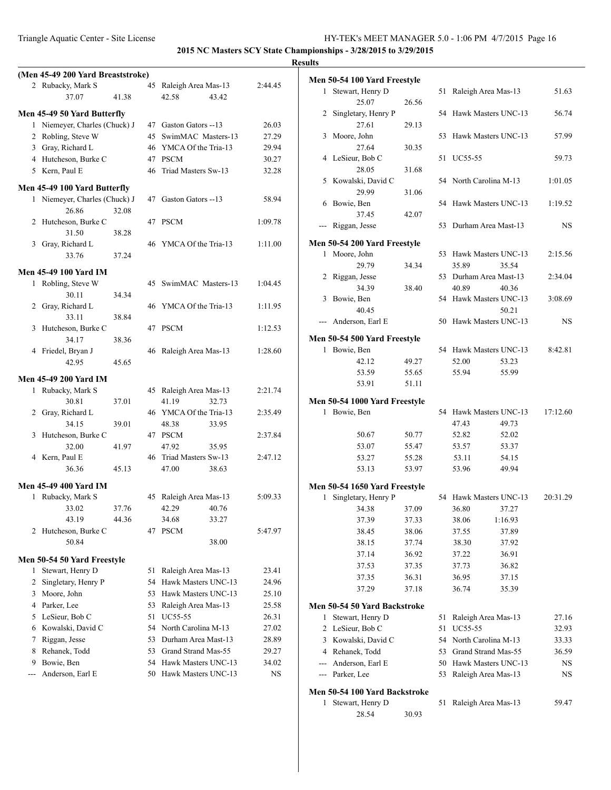|                |                                                               |       |    |                        |         | <b>Results</b> |
|----------------|---------------------------------------------------------------|-------|----|------------------------|---------|----------------|
|                | (Men 45-49 200 Yard Breaststroke)                             |       |    |                        |         | Me             |
|                | 2 Rubacky, Mark S                                             |       |    | 45 Raleigh Area Mas-13 | 2:44.45 |                |
|                | 37.07                                                         | 41.38 |    | 42.58<br>43.42         |         |                |
|                | Men 45-49 50 Yard Butterfly                                   |       |    |                        |         |                |
|                | 1 Niemeyer, Charles (Chuck) J                                 |       |    | 47 Gaston Gators --13  | 26.03   |                |
|                | 2 Robling, Steve W                                            |       |    | 45 SwimMAC Masters-13  | 27.29   |                |
|                | 3 Gray, Richard L                                             |       |    | 46 YMCA Of the Tria-13 | 29.94   |                |
|                | 4 Hutcheson, Burke C                                          |       |    | 47 PSCM                | 30.27   |                |
|                | 5 Kern, Paul E                                                |       |    | 46 Triad Masters Sw-13 | 32.28   |                |
|                |                                                               |       |    |                        |         |                |
|                | Men 45-49 100 Yard Butterfly<br>1 Niemeyer, Charles (Chuck) J |       |    | 47 Gaston Gators --13  | 58.94   |                |
|                | 26.86                                                         | 32.08 |    |                        |         |                |
|                | 2 Hutcheson, Burke C                                          |       |    | 47 PSCM                | 1:09.78 |                |
|                | 31.50                                                         | 38.28 |    |                        |         |                |
|                | 3 Gray, Richard L                                             |       |    | 46 YMCA Of the Tria-13 | 1:11.00 | Me             |
|                | 33.76                                                         | 37.24 |    |                        |         |                |
|                |                                                               |       |    |                        |         |                |
|                | Men 45-49 100 Yard IM                                         |       |    |                        |         |                |
|                | 1 Robling, Steve W                                            |       |    | 45 SwimMAC Masters-13  | 1:04.45 |                |
|                | 30.11                                                         | 34.34 |    |                        |         |                |
|                | 2 Gray, Richard L                                             |       |    | 46 YMCA Of the Tria-13 | 1:11.95 |                |
|                | 33.11                                                         | 38.84 |    |                        |         |                |
| 3              | Hutcheson, Burke C                                            |       |    | 47 PSCM                | 1:12.53 |                |
|                | 34.17                                                         | 38.36 |    |                        |         | Me             |
|                | 4 Friedel, Bryan J                                            |       |    | 46 Raleigh Area Mas-13 | 1:28.60 |                |
|                | 42.95                                                         | 45.65 |    |                        |         |                |
|                | Men 45-49 200 Yard IM                                         |       |    |                        |         |                |
|                | 1 Rubacky, Mark S                                             |       |    | 45 Raleigh Area Mas-13 | 2:21.74 |                |
|                | 30.81                                                         | 37.01 |    | 41.19<br>32.73         |         | Me             |
| 2              | Gray, Richard L                                               |       |    | 46 YMCA Of the Tria-13 | 2:35.49 |                |
|                | 34.15                                                         | 39.01 |    | 48.38<br>33.95         |         |                |
| 3              | Hutcheson, Burke C                                            |       |    | 47 PSCM                | 2:37.84 |                |
|                | 32.00                                                         | 41.97 |    | 47.92<br>35.95         |         |                |
|                | 4 Kern, Paul E                                                |       |    | 46 Triad Masters Sw-13 | 2:47.12 |                |
|                | 36.36                                                         | 45.13 |    | 38.63<br>47.00         |         |                |
|                | Men 45-49 400 Yard IM                                         |       |    |                        |         | Me             |
|                | 1 Rubacky, Mark S                                             |       |    | 45 Raleigh Area Mas-13 | 5:09.33 |                |
|                | 33.02                                                         | 37.76 |    | 42.29<br>40.76         |         |                |
|                | 43.19                                                         | 44.36 |    | 33.27<br>34.68         |         |                |
| 2              | Hutcheson, Burke C                                            |       | 47 | <b>PSCM</b>            | 5:47.97 |                |
|                | 50.84                                                         |       |    | 38.00                  |         |                |
|                | Men 50-54 50 Yard Freestyle                                   |       |    |                        |         |                |
| 1              | Stewart, Henry D                                              |       | 51 | Raleigh Area Mas-13    | 23.41   |                |
| $\overline{2}$ | Singletary, Henry P                                           |       |    | 54 Hawk Masters UNC-13 | 24.96   |                |
| 3              | Moore, John                                                   |       |    | 53 Hawk Masters UNC-13 | 25.10   |                |
|                | 4 Parker, Lee                                                 |       | 53 | Raleigh Area Mas-13    | 25.58   | Me             |
|                | 5 LeSieur, Bob C                                              |       |    | 51 UC55-55             | 26.31   |                |
|                | 6 Kowalski, David C                                           |       |    | 54 North Carolina M-13 | 27.02   |                |
| 7              | Riggan, Jesse                                                 |       |    | 53 Durham Area Mast-13 | 28.89   |                |
| 8              | Rehanek, Todd                                                 |       |    | 53 Grand Strand Mas-55 | 29.27   |                |
| 9              | Bowie, Ben                                                    |       |    | 54 Hawk Masters UNC-13 | 34.02   |                |
| $\overline{a}$ | Anderson, Earl E                                              |       |    | 50 Hawk Masters UNC-13 | NS      |                |
|                |                                                               |       |    |                        |         |                |

|                                                                                                                                                                                                                                                                                                                                                                                                                                                                            | Men 50-54 100 Yard Freestyle                 |                |    |                                  |          |
|----------------------------------------------------------------------------------------------------------------------------------------------------------------------------------------------------------------------------------------------------------------------------------------------------------------------------------------------------------------------------------------------------------------------------------------------------------------------------|----------------------------------------------|----------------|----|----------------------------------|----------|
| 1                                                                                                                                                                                                                                                                                                                                                                                                                                                                          | Stewart, Henry D                             |                | 51 | Raleigh Area Mas-13              | 51.63    |
|                                                                                                                                                                                                                                                                                                                                                                                                                                                                            | 25.07                                        | 26.56          |    |                                  |          |
| 2                                                                                                                                                                                                                                                                                                                                                                                                                                                                          | Singletary, Henry P                          |                | 54 | Hawk Masters UNC-13              | 56.74    |
|                                                                                                                                                                                                                                                                                                                                                                                                                                                                            | 27.61                                        | 29.13          |    |                                  |          |
| 3                                                                                                                                                                                                                                                                                                                                                                                                                                                                          | Moore, John                                  |                | 53 | Hawk Masters UNC-13              | 57.99    |
|                                                                                                                                                                                                                                                                                                                                                                                                                                                                            | 27.64                                        | 30.35          |    |                                  |          |
| 4                                                                                                                                                                                                                                                                                                                                                                                                                                                                          | LeSieur, Bob C                               |                | 51 | UC55-55                          | 59.73    |
|                                                                                                                                                                                                                                                                                                                                                                                                                                                                            | 28.05                                        | 31.68          |    |                                  |          |
|                                                                                                                                                                                                                                                                                                                                                                                                                                                                            | 5 Kowalski, David C                          |                |    | 54 North Carolina M-13           | 1:01.05  |
|                                                                                                                                                                                                                                                                                                                                                                                                                                                                            | 29.99                                        | 31.06          |    |                                  |          |
|                                                                                                                                                                                                                                                                                                                                                                                                                                                                            | 6 Bowie, Ben                                 |                | 54 | Hawk Masters UNC-13              | 1:19.52  |
|                                                                                                                                                                                                                                                                                                                                                                                                                                                                            | 37.45                                        | 42.07          |    |                                  |          |
| $\frac{1}{2} \left( \frac{1}{2} \right) \left( \frac{1}{2} \right) \left( \frac{1}{2} \right) \left( \frac{1}{2} \right) \left( \frac{1}{2} \right) \left( \frac{1}{2} \right) \left( \frac{1}{2} \right) \left( \frac{1}{2} \right) \left( \frac{1}{2} \right) \left( \frac{1}{2} \right) \left( \frac{1}{2} \right) \left( \frac{1}{2} \right) \left( \frac{1}{2} \right) \left( \frac{1}{2} \right) \left( \frac{1}{2} \right) \left( \frac{1}{2} \right) \left( \frac$ | Riggan, Jesse                                |                | 53 | Durham Area Mast-13              | NS       |
|                                                                                                                                                                                                                                                                                                                                                                                                                                                                            | Men 50-54 200 Yard Freestyle                 |                |    |                                  |          |
|                                                                                                                                                                                                                                                                                                                                                                                                                                                                            | 1 Moore, John                                |                | 53 | Hawk Masters UNC-13              | 2:15.56  |
|                                                                                                                                                                                                                                                                                                                                                                                                                                                                            | 29.79                                        | 34.34          |    | 35.89<br>35.54                   |          |
|                                                                                                                                                                                                                                                                                                                                                                                                                                                                            | 2 Riggan, Jesse                              |                |    | 53 Durham Area Mast-13           | 2:34.04  |
|                                                                                                                                                                                                                                                                                                                                                                                                                                                                            | 34.39                                        | 38.40          |    | 40.89<br>40.36                   |          |
| 3                                                                                                                                                                                                                                                                                                                                                                                                                                                                          | Bowie, Ben                                   |                | 54 | Hawk Masters UNC-13              | 3:08.69  |
|                                                                                                                                                                                                                                                                                                                                                                                                                                                                            | 40.45                                        |                |    | 50.21                            |          |
| $---$                                                                                                                                                                                                                                                                                                                                                                                                                                                                      | Anderson, Earl E                             |                | 50 | Hawk Masters UNC-13              | NS       |
|                                                                                                                                                                                                                                                                                                                                                                                                                                                                            |                                              |                |    |                                  |          |
|                                                                                                                                                                                                                                                                                                                                                                                                                                                                            | Men 50-54 500 Yard Freestyle<br>1 Bowie, Ben |                |    | 54 Hawk Masters UNC-13           | 8:42.81  |
|                                                                                                                                                                                                                                                                                                                                                                                                                                                                            | 42.12                                        | 49.27          |    | 52.00<br>53.23                   |          |
|                                                                                                                                                                                                                                                                                                                                                                                                                                                                            | 53.59                                        | 55.65          |    | 55.99<br>55.94                   |          |
|                                                                                                                                                                                                                                                                                                                                                                                                                                                                            | 53.91                                        | 51.11          |    |                                  |          |
|                                                                                                                                                                                                                                                                                                                                                                                                                                                                            |                                              |                |    |                                  |          |
|                                                                                                                                                                                                                                                                                                                                                                                                                                                                            | Men 50-54 1000 Yard Freestyle                |                |    |                                  |          |
| 1                                                                                                                                                                                                                                                                                                                                                                                                                                                                          | Bowie, Ben                                   |                | 54 | Hawk Masters UNC-13              | 17:12.60 |
|                                                                                                                                                                                                                                                                                                                                                                                                                                                                            |                                              |                |    | 47.43<br>49.73                   |          |
|                                                                                                                                                                                                                                                                                                                                                                                                                                                                            | 50.67                                        | 50.77          |    | 52.82<br>52.02                   |          |
|                                                                                                                                                                                                                                                                                                                                                                                                                                                                            | 53.07                                        | 55.47          |    | 53.57<br>53.37                   |          |
|                                                                                                                                                                                                                                                                                                                                                                                                                                                                            | 53.27<br>53.13                               | 55.28<br>53.97 |    | 53.11<br>54.15<br>49.94<br>53.96 |          |
|                                                                                                                                                                                                                                                                                                                                                                                                                                                                            |                                              |                |    |                                  |          |
|                                                                                                                                                                                                                                                                                                                                                                                                                                                                            | Men 50-54 1650 Yard Freestyle                |                |    |                                  |          |
| 1                                                                                                                                                                                                                                                                                                                                                                                                                                                                          | Singletary, Henry P                          |                | 54 | Hawk Masters UNC-13              | 20:31.29 |
|                                                                                                                                                                                                                                                                                                                                                                                                                                                                            | 34.38                                        | 37.09          |    | 36.80<br>37.27                   |          |
|                                                                                                                                                                                                                                                                                                                                                                                                                                                                            | 37.39                                        | 37.33          |    | 1:16.93<br>38.06                 |          |
|                                                                                                                                                                                                                                                                                                                                                                                                                                                                            | 38.45                                        | 38.06          |    | 37.89<br>37.55                   |          |
|                                                                                                                                                                                                                                                                                                                                                                                                                                                                            | 38.15                                        | 37.74          |    | 37.92<br>38.30                   |          |
|                                                                                                                                                                                                                                                                                                                                                                                                                                                                            | 37.14                                        | 36.92          |    | 37.22<br>36.91                   |          |
|                                                                                                                                                                                                                                                                                                                                                                                                                                                                            | 37.53                                        | 37.35          |    | 36.82<br>37.73                   |          |
|                                                                                                                                                                                                                                                                                                                                                                                                                                                                            | 37.35                                        | 36.31          |    | 36.95<br>37.15                   |          |
|                                                                                                                                                                                                                                                                                                                                                                                                                                                                            | 37.29                                        | 37.18          |    | 36.74<br>35.39                   |          |
|                                                                                                                                                                                                                                                                                                                                                                                                                                                                            | Men 50-54 50 Yard Backstroke                 |                |    |                                  |          |
| 1                                                                                                                                                                                                                                                                                                                                                                                                                                                                          | Stewart, Henry D                             |                | 51 | Raleigh Area Mas-13              | 27.16    |
| 2                                                                                                                                                                                                                                                                                                                                                                                                                                                                          | LeSieur, Bob C                               |                | 51 | <b>UC55-55</b>                   | 32.93    |
| 3                                                                                                                                                                                                                                                                                                                                                                                                                                                                          | Kowalski, David C                            |                | 54 | North Carolina M-13              | 33.33    |
|                                                                                                                                                                                                                                                                                                                                                                                                                                                                            |                                              |                | 53 | Grand Strand Mas-55              | 36.59    |
|                                                                                                                                                                                                                                                                                                                                                                                                                                                                            | 4 Rehanek, Todd                              |                |    |                                  |          |
|                                                                                                                                                                                                                                                                                                                                                                                                                                                                            | --- Anderson, Earl E                         |                | 50 | Hawk Masters UNC-13              | NS       |
|                                                                                                                                                                                                                                                                                                                                                                                                                                                                            | --- Parker, Lee                              |                | 53 | Raleigh Area Mas-13              | NS       |
|                                                                                                                                                                                                                                                                                                                                                                                                                                                                            | Men 50-54 100 Yard Backstroke                |                |    |                                  |          |

28.54 30.93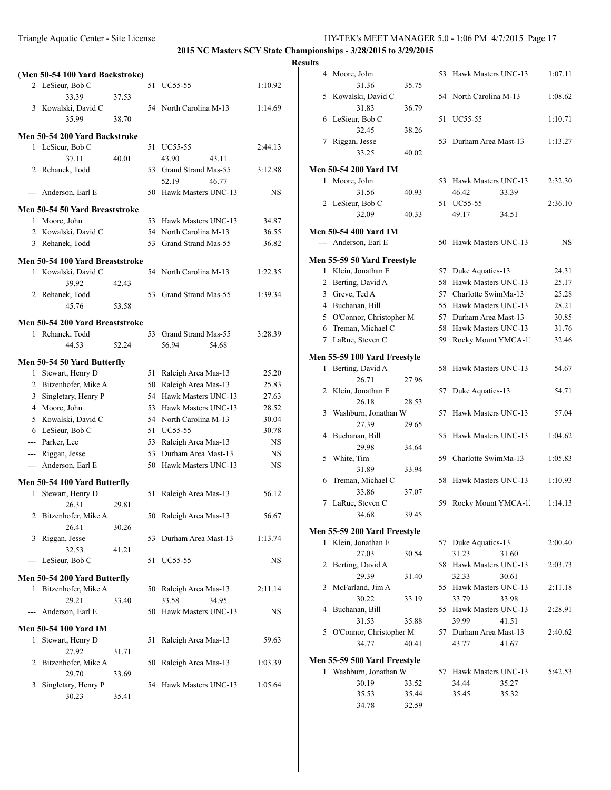|                | (Men 50-54 100 Yard Backstroke)      |       |    |                                                  |                |
|----------------|--------------------------------------|-------|----|--------------------------------------------------|----------------|
|                | 2 LeSieur, Bob C                     |       | 51 | UC55-55                                          | 1:10.92        |
|                | 33.39                                | 37.53 |    |                                                  |                |
|                | 3 Kowalski, David C                  |       |    | 54 North Carolina M-13                           | 1:14.69        |
|                | 35.99                                | 38.70 |    |                                                  |                |
|                | Men 50-54 200 Yard Backstroke        |       |    |                                                  |                |
|                | 1 LeSieur, Bob C                     |       |    | 51 UC55-55                                       | 2:44.13        |
|                | 37.11                                | 40.01 |    | 43.90<br>43.11                                   |                |
| 2              | Rehanek, Todd                        |       |    | 53 Grand Strand Mas-55                           | 3:12.88        |
|                |                                      |       |    | 52.19<br>46.77                                   |                |
|                | --- Anderson, Earl E                 |       |    | 50 Hawk Masters UNC-13                           | NS             |
|                | Men 50-54 50 Yard Breaststroke       |       |    |                                                  |                |
|                | 1 Moore, John                        |       |    | 53 Hawk Masters UNC-13                           | 34.87          |
|                | 2 Kowalski, David C                  |       |    | 54 North Carolina M-13                           | 36.55          |
|                | 3 Rehanek, Todd                      |       | 53 | Grand Strand Mas-55                              | 36.82          |
|                | Men 50-54 100 Yard Breaststroke      |       |    |                                                  |                |
| 1              | Kowalski, David C                    |       | 54 | North Carolina M-13                              | 1:22.35        |
|                | 39.92                                | 42.43 |    |                                                  |                |
|                | 2 Rehanek, Todd                      |       | 53 | Grand Strand Mas-55                              | 1:39.34        |
|                | 45.76                                | 53.58 |    |                                                  |                |
|                | Men 50-54 200 Yard Breaststroke      |       |    |                                                  |                |
|                | 1 Rehanek, Todd                      |       | 53 | Grand Strand Mas-55                              | 3:28.39        |
|                | 44.53                                | 52.24 |    | 56.94<br>54.68                                   |                |
|                |                                      |       |    |                                                  |                |
|                | Men 50-54 50 Yard Butterfly          |       |    |                                                  |                |
|                | 1 Stewart, Henry D                   |       | 51 | Raleigh Area Mas-13                              | 25.20          |
|                | 2 Bitzenhofer, Mike A                |       |    | 50 Raleigh Area Mas-13<br>54 Hawk Masters UNC-13 | 25.83          |
| 3              | Singletary, Henry P<br>4 Moore, John |       |    | 53 Hawk Masters UNC-13                           | 27.63<br>28.52 |
|                | 5 Kowalski, David C                  |       |    | 54 North Carolina M-13                           | 30.04          |
|                | 6 LeSieur, Bob C                     |       |    | 51 UC55-55                                       | 30.78          |
|                | --- Parker, Lee                      |       |    | 53 Raleigh Area Mas-13                           | <b>NS</b>      |
|                | --- Riggan, Jesse                    |       | 53 | Durham Area Mast-13                              | <b>NS</b>      |
| $\frac{1}{2}$  | Anderson, Earl E                     |       |    | 50 Hawk Masters UNC-13                           | <b>NS</b>      |
|                |                                      |       |    |                                                  |                |
|                | Men 50-54 100 Yard Butterfly         |       |    |                                                  |                |
| 1              | Stewart, Henry D                     |       | 51 | Raleigh Area Mas-13                              | 56.12          |
|                | 26.31                                | 29.81 |    |                                                  |                |
| 2              | Bitzenhofer, Mike A<br>26.41         |       |    | 50 Raleigh Area Mas-13                           | 56.67          |
| 3              | Riggan, Jesse                        | 30.26 | 53 | Durham Area Mast-13                              | 1:13.74        |
|                | 32.53                                | 41.21 |    |                                                  |                |
| $\overline{a}$ | LeSieur, Bob C                       |       | 51 | <b>UC55-55</b>                                   | NS             |
|                |                                      |       |    |                                                  |                |
|                | Men 50-54 200 Yard Butterfly         |       |    |                                                  |                |
| 1              | Bitzenhofer, Mike A                  |       |    | 50 Raleigh Area Mas-13                           | 2:11.14        |
|                | 29.21                                | 33.40 |    | 33.58<br>34.95                                   |                |
| $\overline{a}$ | Anderson, Earl E                     |       | 50 | Hawk Masters UNC-13                              | NS             |
|                | Men 50-54 100 Yard IM                |       |    |                                                  |                |
| 1              | Stewart, Henry D                     |       | 51 | Raleigh Area Mas-13                              | 59.63          |
|                | 27.92                                | 31.71 |    |                                                  |                |
| 2              | Bitzenhofer, Mike A                  |       | 50 | Raleigh Area Mas-13                              | 1:03.39        |
|                | 29.70                                | 33.69 |    |                                                  |                |
| 3              | Singletary, Henry P                  |       | 54 | Hawk Masters UNC-13                              | 1:05.64        |
|                | 30.23                                | 35.41 |    |                                                  |                |
|                |                                      |       |    |                                                  |                |

| lts |              |                                                        |                |     |                        |       |         |
|-----|--------------|--------------------------------------------------------|----------------|-----|------------------------|-------|---------|
|     | 4            | Moore, John                                            |                | 53  | Hawk Masters UNC-13    |       | 1:07.11 |
|     |              | 31.36                                                  | 35.75          |     |                        |       |         |
|     |              | 5 Kowalski, David C                                    |                |     | 54 North Carolina M-13 |       | 1:08.62 |
|     |              | 31.83                                                  | 36.79          |     |                        |       |         |
|     |              | 6 LeSieur, Bob C                                       |                | 51  | UC55-55                |       | 1:10.71 |
|     |              | 32.45                                                  | 38.26          |     |                        |       |         |
|     | 7            | Riggan, Jesse                                          |                | 53  | Durham Area Mast-13    |       | 1:13.27 |
|     |              | 33.25                                                  | 40.02          |     |                        |       |         |
|     |              | <b>Men 50-54 200 Yard IM</b>                           |                |     |                        |       |         |
|     | 1            | Moore, John                                            |                |     | 53 Hawk Masters UNC-13 |       | 2:32.30 |
|     |              | 31.56                                                  | 40.93          |     | 46.42                  | 33.39 |         |
|     |              | 2 LeSieur, Bob C                                       |                |     | 51 UC55-55             |       | 2:36.10 |
|     |              | 32.09                                                  | 40.33          |     | 49.17                  | 34.51 |         |
|     |              | <b>Men 50-54 400 Yard IM</b>                           |                |     |                        |       |         |
|     |              | --- Anderson, Earl E                                   |                | 50  | Hawk Masters UNC-13    |       | NS      |
|     |              |                                                        |                |     |                        |       |         |
|     |              | Men 55-59 50 Yard Freestyle                            |                |     |                        |       |         |
|     |              | 1 Klein, Jonathan E                                    |                |     | 57 Duke Aquatics-13    |       | 24.31   |
|     | 2            | Berting, David A                                       |                | 58  | Hawk Masters UNC-13    |       | 25.17   |
|     | 3            | Greve, Ted A                                           |                | 57  | Charlotte SwimMa-13    |       | 25.28   |
|     |              | 4 Buchanan, Bill                                       |                |     | 55 Hawk Masters UNC-13 |       | 28.21   |
|     |              | 5 O'Connor, Christopher M                              |                |     | 57 Durham Area Mast-13 |       | 30.85   |
|     | 6            | Treman, Michael C                                      |                |     | 58 Hawk Masters UNC-13 |       | 31.76   |
|     |              | 7 LaRue, Steven C                                      |                | 59  | Rocky Mount YMCA-1.    |       | 32.46   |
|     |              |                                                        |                |     |                        |       |         |
|     |              | Men 55-59 100 Yard Freestyle<br>Berting, David A       |                |     |                        |       |         |
|     | $\mathbf{1}$ |                                                        |                | 58  | Hawk Masters UNC-13    |       | 54.67   |
|     |              | 26.71                                                  | 27.96          |     |                        |       |         |
|     | 2            | Klein, Jonathan E                                      |                | 57  | Duke Aquatics-13       |       | 54.71   |
|     |              | 26.18                                                  | 28.53          |     |                        |       |         |
|     | 3            | Washburn, Jonathan W                                   |                | 57  | Hawk Masters UNC-13    |       | 57.04   |
|     |              | 27.39                                                  | 29.65          |     |                        |       |         |
|     | 4            | Buchanan, Bill                                         |                | 55  | Hawk Masters UNC-13    |       | 1:04.62 |
|     |              | 29.98                                                  | 34.64          |     |                        |       |         |
|     | 5            | White, Tim                                             |                | 59  | Charlotte SwimMa-13    |       | 1:05.83 |
|     |              | 31.89                                                  | 33.94          |     |                        |       |         |
|     | 6            | Treman, Michael C                                      |                | 58  | Hawk Masters UNC-13    |       | 1:10.93 |
|     |              | 33.86                                                  | 37.07          |     |                        |       |         |
|     | 7            | LaRue, Steven C                                        |                | 59. | Rocky Mount YMCA-1:    |       | 1:14.13 |
|     |              | 34.68                                                  | 39.45          |     |                        |       |         |
|     |              | Men 55-59 200 Yard Freestyle                           |                |     |                        |       |         |
|     |              | 1 Klein, Jonathan E                                    |                |     | 57 Duke Aquatics-13    |       | 2:00.40 |
|     |              | 27.03                                                  | 30.54          |     | 31.23                  | 31.60 |         |
|     | 2            | Berting, David A                                       |                |     | 58 Hawk Masters UNC-13 |       | 2:03.73 |
|     |              | 29.39                                                  | 31.40          |     | 32.33                  | 30.61 |         |
|     | 3            | McFarland, Jim A                                       |                |     | 55 Hawk Masters UNC-13 |       | 2:11.18 |
|     |              | 30.22                                                  | 33.19          |     | 33.79                  | 33.98 |         |
|     | 4            | Buchanan, Bill                                         |                |     | 55 Hawk Masters UNC-13 |       | 2:28.91 |
|     |              | 31.53                                                  | 35.88          |     | 39.99                  | 41.51 |         |
|     | 5            | O'Connor, Christopher M                                |                |     | 57 Durham Area Mast-13 |       | 2:40.62 |
|     |              | 34.77                                                  | 40.41          |     | 43.77                  | 41.67 |         |
|     |              |                                                        |                |     |                        |       |         |
|     |              | Men 55-59 500 Yard Freestyle<br>1 Washburn, Jonathan W |                |     | 57 Hawk Masters UNC-13 |       | 5:42.53 |
|     |              | 30.19                                                  | 33.52          |     | 34.44                  |       |         |
|     |              |                                                        |                |     | 35.45                  | 35.27 |         |
|     |              | 35.53                                                  | 35.44<br>32.59 |     |                        | 35.32 |         |
|     |              | 34.78                                                  |                |     |                        |       |         |
|     |              |                                                        |                |     |                        |       |         |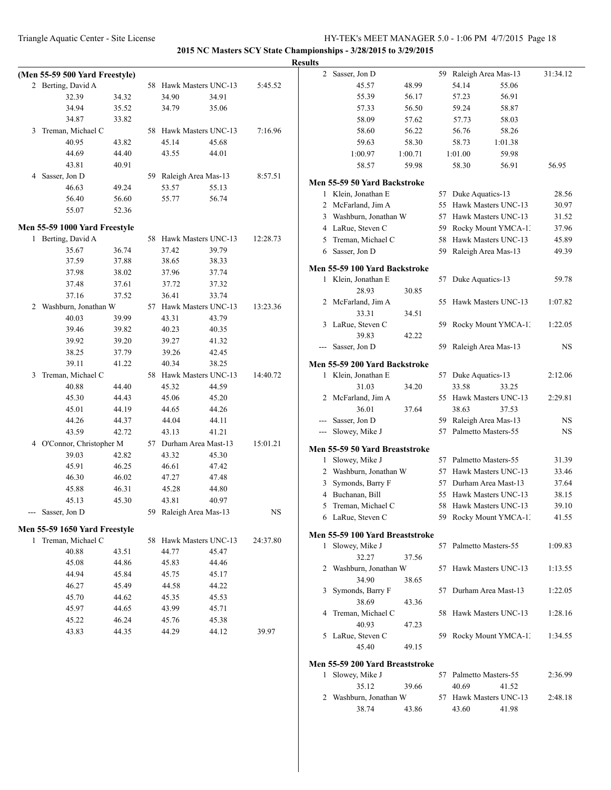| Results |
|---------|
|---------|

|   | (Men 55-59 500 Yard Freestyle) |       |    |                        |       |          |
|---|--------------------------------|-------|----|------------------------|-------|----------|
|   | 2 Berting, David A             |       | 58 | Hawk Masters UNC-13    |       | 5:45.52  |
|   | 32.39                          | 34.32 |    | 34.90                  | 34.91 |          |
|   | 34.94                          | 35.52 |    | 34.79                  | 35.06 |          |
|   | 34.87                          | 33.82 |    |                        |       |          |
| 3 | Treman, Michael C              |       | 58 | Hawk Masters UNC-13    |       | 7:16.96  |
|   | 40.95                          | 43.82 |    | 45.14                  | 45.68 |          |
|   | 44.69                          | 44.40 |    | 43.55                  | 44.01 |          |
|   | 43.81                          | 40.91 |    |                        |       |          |
|   | 4 Sasser, Jon D                |       |    | 59 Raleigh Area Mas-13 |       | 8:57.51  |
|   | 46.63                          | 49.24 |    | 53.57                  | 55.13 |          |
|   | 56.40                          | 56.60 |    | 55.77                  | 56.74 |          |
|   | 55.07                          | 52.36 |    |                        |       |          |
|   |                                |       |    |                        |       |          |
|   | Men 55-59 1000 Yard Freestyle  |       |    |                        |       |          |
|   | 1 Berting, David A             |       | 58 | Hawk Masters UNC-13    |       | 12:28.73 |
|   | 35.67                          | 36.74 |    | 37.42                  | 39.79 |          |
|   | 37.59                          | 37.88 |    | 38.65                  | 38.33 |          |
|   | 37.98                          | 38.02 |    | 37.96                  | 37.74 |          |
|   | 37.48                          | 37.61 |    | 37.72                  | 37.32 |          |
|   | 37.16                          | 37.52 |    | 36.41                  | 33.74 |          |
|   | 2 Washburn, Jonathan W         |       |    | 57 Hawk Masters UNC-13 |       | 13:23.36 |
|   | 40.03                          | 39.99 |    | 43.31                  | 43.79 |          |
|   | 39.46                          | 39.82 |    | 40.23                  | 40.35 |          |
|   | 39.92                          | 39.20 |    | 39.27                  | 41.32 |          |
|   | 38.25                          | 37.79 |    | 39.26                  | 42.45 |          |
|   | 39.11                          | 41.22 |    | 40.34                  | 38.25 |          |
| 3 | Treman, Michael C              |       |    | 58 Hawk Masters UNC-13 |       | 14:40.72 |
|   | 40.88                          | 44.40 |    | 45.32                  | 44.59 |          |
|   | 45.30                          | 44.43 |    | 45.06                  | 45.20 |          |
|   | 45.01                          | 44.19 |    | 44.65                  | 44.26 |          |
|   | 44.26                          | 44.37 |    | 44.04                  | 44.11 |          |
|   | 43.59                          | 42.72 |    | 43.13                  | 41.21 |          |
|   | 4 O'Connor, Christopher M      |       |    | 57 Durham Area Mast-13 |       | 15:01.21 |
|   | 39.03                          | 42.82 |    | 43.32                  | 45.30 |          |
|   | 45.91                          | 46.25 |    | 46.61                  | 47.42 |          |
|   | 46.30                          | 46.02 |    | 47.27                  | 47.48 |          |
|   | 45.88                          | 46.31 |    | 45.28                  | 44.80 |          |
|   | 45.13                          | 45.30 |    | 43.81                  | 40.97 |          |
|   | Sasser, Jon D                  |       |    | 59 Raleigh Area Mas-13 |       | NS       |
|   | Men 55-59 1650 Yard Freestyle  |       |    |                        |       |          |
| 1 | Treman, Michael C              |       | 58 | Hawk Masters UNC-13    |       | 24:37.80 |
|   | 40.88                          | 43.51 |    | 44.77                  | 45.47 |          |
|   | 45.08                          | 44.86 |    | 45.83                  | 44.46 |          |
|   | 44.94                          | 45.84 |    | 45.75                  | 45.17 |          |
|   | 46.27                          | 45.49 |    | 44.58                  | 44.22 |          |
|   | 45.70                          | 44.62 |    | 45.35                  | 45.53 |          |
|   | 45.97                          | 44.65 |    | 43.99                  | 45.71 |          |
|   | 45.22                          | 46.24 |    | 45.76                  | 45.38 |          |
|   | 43.83                          | 44.35 |    | 44.29                  | 44.12 | 39.97    |
|   |                                |       |    |                        |       |          |
|   |                                |       |    |                        |       |          |

| .     |                |                                                   |         |    |                     |                        |           |
|-------|----------------|---------------------------------------------------|---------|----|---------------------|------------------------|-----------|
|       | $\overline{c}$ | Sasser, Jon D                                     |         | 59 |                     | Raleigh Area Mas-13    | 31:34.12  |
|       |                | 45.57                                             | 48.99   |    | 54.14               | 55.06                  |           |
|       |                | 55.39                                             | 56.17   |    | 57.23               | 56.91                  |           |
|       |                | 57.33                                             | 56.50   |    | 59.24               | 58.87                  |           |
|       |                | 58.09                                             | 57.62   |    | 57.73               | 58.03                  |           |
|       |                | 58.60                                             | 56.22   |    | 56.76               | 58.26                  |           |
|       |                | 59.63                                             | 58.30   |    | 58.73               | 1:01.38                |           |
|       |                | 1:00.97                                           | 1:00.71 |    | 1:01.00             | 59.98                  |           |
|       |                | 58.57                                             | 59.98   |    | 58.30               | 56.91                  | 56.95     |
|       |                |                                                   |         |    |                     |                        |           |
|       | 1              | Men 55-59 50 Yard Backstroke<br>Klein, Jonathan E |         | 57 |                     |                        | 28.56     |
|       |                |                                                   |         |    | Duke Aquatics-13    | Hawk Masters UNC-13    |           |
|       | 2              | McFarland, Jim A                                  |         | 55 |                     |                        | 30.97     |
|       | 3              | Washburn, Jonathan W                              |         | 57 |                     | Hawk Masters UNC-13    | 31.52     |
|       |                | 4 LaRue, Steven C                                 |         | 59 |                     | Rocky Mount YMCA-1.    | 37.96     |
|       | 5              | Treman, Michael C                                 |         | 58 |                     | Hawk Masters UNC-13    | 45.89     |
|       | 6              | Sasser, Jon D                                     |         | 59 |                     | Raleigh Area Mas-13    | 49.39     |
|       |                | Men 55-59 100 Yard Backstroke                     |         |    |                     |                        |           |
|       | 1              | Klein, Jonathan E                                 |         | 57 | Duke Aquatics-13    |                        | 59.78     |
|       |                | 28.93                                             | 30.85   |    |                     |                        |           |
|       | 2              | McFarland, Jim A                                  |         | 55 |                     | Hawk Masters UNC-13    | 1:07.82   |
|       |                | 33.31                                             | 34.51   |    |                     |                        |           |
|       | 3              | LaRue, Steven C                                   |         | 59 |                     | Rocky Mount YMCA-1.    | 1:22.05   |
|       |                | 39.83                                             | 42.22   |    |                     |                        |           |
|       |                | Sasser, Jon D                                     |         | 59 |                     | Raleigh Area Mas-13    | NS        |
|       |                | Men 55-59 200 Yard Backstroke                     |         |    |                     |                        |           |
|       | 1              | Klein, Jonathan E                                 |         | 57 | Duke Aquatics-13    |                        | 2:12.06   |
|       |                | 31.03                                             | 34.20   |    | 33.58               | 33.25                  |           |
|       | 2              | McFarland, Jim A                                  |         | 55 |                     | Hawk Masters UNC-13    | 2:29.81   |
|       |                | 36.01                                             | 37.64   |    | 38.63               | 37.53                  |           |
| ---   |                | Sasser, Jon D                                     |         | 59 |                     | Raleigh Area Mas-13    | NS        |
| $---$ |                | Slowey, Mike J                                    |         | 57 | Palmetto Masters-55 |                        | <b>NS</b> |
|       |                |                                                   |         |    |                     |                        |           |
|       |                | Men 55-59 50 Yard Breaststroke                    |         | 57 | Palmetto Masters-55 |                        |           |
|       | 1              | Slowey, Mike J<br>Washburn, Jonathan W            |         |    |                     |                        | 31.39     |
|       | 2              |                                                   |         | 57 |                     | Hawk Masters UNC-13    | 33.46     |
|       | 3              | Symonds, Barry F                                  |         | 57 |                     | Durham Area Mast-13    | 37.64     |
|       | $\overline{4}$ | Buchanan, Bill                                    |         | 55 |                     | Hawk Masters UNC-13    | 38.15     |
|       | 5              | Treman, Michael C                                 |         | 58 |                     | Hawk Masters UNC-13    | 39.10     |
|       |                | 6 LaRue, Steven C                                 |         |    |                     | 59 Rocky Mount YMCA-1. | 41.55     |
|       |                | Men 55-59 100 Yard Breaststroke                   |         |    |                     |                        |           |
|       | 1              | Slowey, Mike J                                    |         | 57 | Palmetto Masters-55 |                        | 1:09.83   |
|       |                | 32.27                                             | 37.56   |    |                     |                        |           |
|       |                | 2 Washburn, Jonathan W                            |         | 57 |                     | Hawk Masters UNC-13    | 1:13.55   |
|       |                | 34.90                                             | 38.65   |    |                     |                        |           |
|       | 3              | Symonds, Barry F                                  |         | 57 |                     | Durham Area Mast-13    | 1:22.05   |
|       |                | 38.69                                             | 43.36   |    |                     |                        |           |
|       | 4              | Treman, Michael C                                 |         | 58 |                     | Hawk Masters UNC-13    | 1:28.16   |
|       |                | 40.93                                             | 47.23   |    |                     |                        |           |
|       | 5              | LaRue, Steven C                                   |         | 59 |                     | Rocky Mount YMCA-1.    | 1:34.55   |
|       |                | 45.40                                             | 49.15   |    |                     |                        |           |
|       |                | Men 55-59 200 Yard Breaststroke                   |         |    |                     |                        |           |
|       | 1              | Slowey, Mike J                                    |         | 57 | Palmetto Masters-55 |                        | 2:36.99   |
|       |                | 35.12                                             | 39.66   |    | 40.69               | 41.52                  |           |
|       | 2              | Washburn, Jonathan W                              |         |    |                     | 57 Hawk Masters UNC-13 | 2:48.18   |
|       |                | 38.74                                             | 43.86   |    | 43.60               | 41.98                  |           |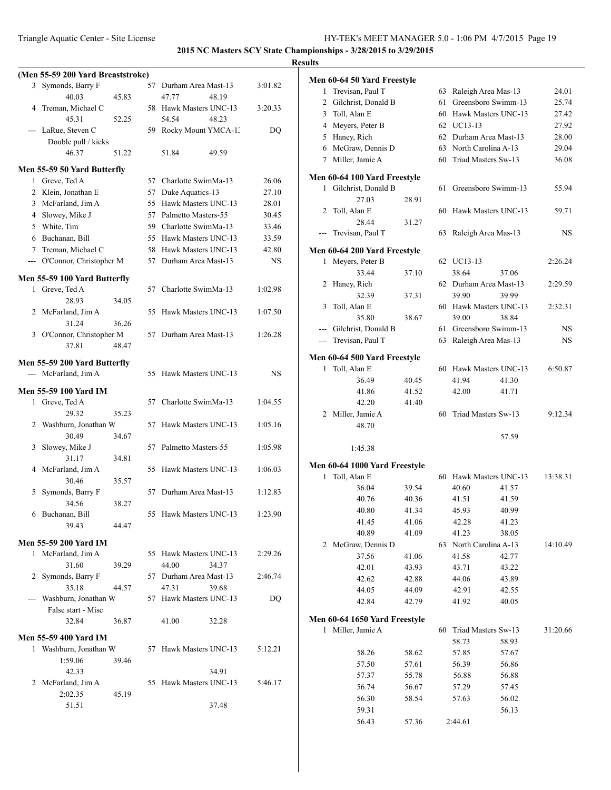| (Men 55-59 200 Yard Breaststroke) |    |                        |             | Men 60-64 50 Yard Freestyle                |       |    |                        |       |           |
|-----------------------------------|----|------------------------|-------------|--------------------------------------------|-------|----|------------------------|-------|-----------|
| 3 Symonds, Barry F                |    | 57 Durham Area Mast-13 | 3:01.82     | 1 Trevisan, Paul T                         |       |    | 63 Raleigh Area Mas-13 |       | 24.01     |
| 40.03<br>45.83                    |    | 47.77<br>48.19         |             | 2 Gilchrist, Donald B                      |       |    | 61 Greensboro Swimm-13 |       | 25.74     |
| 4 Treman, Michael C               |    | 58 Hawk Masters UNC-13 | 3:20.33     | 3 Toll, Alan E                             |       | 60 | Hawk Masters UNC-13    |       | 27.42     |
| 45.31<br>52.25                    |    | 54.54<br>48.23         |             | Meyers, Peter B                            |       |    | 62 UC13-13             |       | 27.92     |
| --- LaRue, Steven C               |    | 59 Rocky Mount YMCA-1. | DQ          | 4<br>5 Haney, Rich                         |       |    | 62 Durham Area Mast-13 |       | 28.00     |
| Double pull / kicks               |    |                        |             |                                            |       |    | 63 North Carolina A-13 |       | 29.04     |
| 51.22<br>46.37                    |    | 51.84<br>49.59         |             | McGraw, Dennis D<br>6<br>7 Miller, Jamie A |       |    | 60 Triad Masters Sw-13 |       | 36.08     |
| Men 55-59 50 Yard Butterfly       |    |                        |             |                                            |       |    |                        |       |           |
| 1 Greve, Ted A                    |    | 57 Charlotte SwimMa-13 | 26.06       | Men 60-64 100 Yard Freestyle               |       |    |                        |       |           |
| 2 Klein, Jonathan E               |    | 57 Duke Aquatics-13    | 27.10       | 1 Gilchrist, Donald B                      |       |    | 61 Greensboro Swimm-13 |       | 55.94     |
| 3 McFarland, Jim A                |    | 55 Hawk Masters UNC-13 | 28.01       | 27.03                                      | 28.91 |    |                        |       |           |
| 4 Slowey, Mike J                  |    | 57 Palmetto Masters-55 | 30.45       | 2 Toll, Alan E                             |       |    | 60 Hawk Masters UNC-13 |       | 59.71     |
| 5 White, Tim                      | 59 | Charlotte SwimMa-13    | 33.46       | 28.44                                      | 31.27 |    |                        |       |           |
| Buchanan, Bill<br>6               |    | 55 Hawk Masters UNC-13 | 33.59       | --- Trevisan, Paul T                       |       |    | 63 Raleigh Area Mas-13 |       | <b>NS</b> |
| Treman, Michael C                 |    | 58 Hawk Masters UNC-13 | 42.80       | Men 60-64 200 Yard Freestyle               |       |    |                        |       |           |
| --- O'Connor, Christopher M       |    | 57 Durham Area Mast-13 | $_{\rm NS}$ | 1 Meyers, Peter B                          |       |    | 62 UC13-13             |       | 2:26.24   |
|                                   |    |                        |             | 33.44                                      | 37.10 |    | 38.64                  | 37.06 |           |
| Men 55-59 100 Yard Butterfly      |    |                        |             | 2 Haney, Rich                              |       |    | 62 Durham Area Mast-13 |       | 2:29.59   |
| 1 Greve, Ted A                    |    | 57 Charlotte SwimMa-13 | 1:02.98     | 32.39                                      | 37.31 |    | 39.90                  | 39.99 |           |
| 28.93<br>34.05                    |    |                        |             | 3 Toll, Alan E                             |       |    | 60 Hawk Masters UNC-13 |       | 2:32.31   |
| 2 McFarland, Jim A                |    | 55 Hawk Masters UNC-13 | 1:07.50     | 35.80                                      | 38.67 |    | 39.00                  | 38.84 |           |
| 31.24<br>36.26                    |    |                        |             | --- Gilchrist, Donald B                    |       |    | 61 Greensboro Swimm-13 |       | NS        |
| 3 O'Connor, Christopher M         |    | 57 Durham Area Mast-13 | 1:26.28     | --- Trevisan, Paul T                       |       |    | 63 Raleigh Area Mas-13 |       | <b>NS</b> |
| 37.81<br>48.47                    |    |                        |             |                                            |       |    |                        |       |           |
| Men 55-59 200 Yard Butterfly      |    |                        |             | Men 60-64 500 Yard Freestyle               |       |    |                        |       |           |
| --- McFarland, Jim A              |    | 55 Hawk Masters UNC-13 | <b>NS</b>   | 1 Toll, Alan E                             |       |    | 60 Hawk Masters UNC-13 |       | 6:50.87   |
|                                   |    |                        |             | 36.49                                      | 40.45 |    | 41.94                  | 41.30 |           |
| <b>Men 55-59 100 Yard IM</b>      |    |                        |             | 41.86                                      | 41.52 |    | 42.00                  | 41.71 |           |
| 1 Greve, Ted A                    |    | 57 Charlotte SwimMa-13 | 1:04.55     | 42.20                                      | 41.40 |    |                        |       |           |
| 29.32<br>35.23                    |    |                        |             | 2 Miller, Jamie A                          |       |    | 60 Triad Masters Sw-13 |       | 9:12.34   |
| 2 Washburn, Jonathan W            |    | 57 Hawk Masters UNC-13 | 1:05.16     | 48.70                                      |       |    |                        |       |           |
| 30.49<br>34.67                    |    |                        |             |                                            |       |    |                        | 57.59 |           |
| 3 Slowey, Mike J                  |    | 57 Palmetto Masters-55 | 1:05.98     | 1:45.38                                    |       |    |                        |       |           |
| 31.17<br>34.81                    |    |                        |             | Men 60-64 1000 Yard Freestyle              |       |    |                        |       |           |
| 4 McFarland, Jim A                |    | 55 Hawk Masters UNC-13 | 1:06.03     | 1 Toll, Alan E                             |       |    | 60 Hawk Masters UNC-13 |       | 13:38.31  |
| 30.46<br>35.57                    |    |                        |             | 36.04                                      | 39.54 |    | 40.60                  | 41.57 |           |
| 5 Symonds, Barry F                |    | 57 Durham Area Mast-13 | 1:12.83     | 40.76                                      | 40.36 |    | 41.51                  | 41.59 |           |
| 38.27<br>34.56                    |    |                        |             | 40.80                                      | 41.34 |    | 45.93                  | 40.99 |           |
| 6 Buchanan, Bill                  |    | 55 Hawk Masters UNC-13 | 1:23.90     | 41.45                                      | 41.06 |    | 42.28                  | 41.23 |           |
| 39.43<br>44.47                    |    |                        |             | 40.89                                      | 41.09 |    | 41.23                  | 38.05 |           |
| <b>Men 55-59 200 Yard IM</b>      |    |                        |             | 2 McGraw, Dennis D                         |       |    | 63 North Carolina A-13 |       | 14:10.49  |
| 1 McFarland, Jim A                |    | 55 Hawk Masters UNC-13 | 2:29.26     | 37.56                                      | 41.06 |    | 41.58                  | 42.77 |           |
| 31.60<br>39.29                    |    | 44.00<br>34.37         |             | 42.01                                      | 43.93 |    | 43.71                  | 43.22 |           |
| 2 Symonds, Barry F                |    | 57 Durham Area Mast-13 | 2:46.74     | 42.62                                      | 42.88 |    | 44.06                  | 43.89 |           |
| 35.18<br>44.57                    |    | 47.31<br>39.68         |             | 44.05                                      | 44.09 |    | 42.91                  | 42.55 |           |
| --- Washburn, Jonathan W          |    | 57 Hawk Masters UNC-13 | DQ          | 42.84                                      | 42.79 |    | 41.92                  | 40.05 |           |
| False start - Misc                |    |                        |             |                                            |       |    |                        |       |           |
| 32.84<br>36.87                    |    | 41.00<br>32.28         |             | Men 60-64 1650 Yard Freestyle              |       |    |                        |       |           |
| <b>Men 55-59 400 Yard IM</b>      |    |                        |             | 1 Miller, Jamie A                          |       | 60 | Triad Masters Sw-13    |       | 31:20.66  |
| 1 Washburn, Jonathan W            |    | 57 Hawk Masters UNC-13 | 5:12.21     |                                            |       |    | 58.73                  | 58.93 |           |
| 1:59.06<br>39.46                  |    |                        |             | 58.26                                      | 58.62 |    | 57.85                  | 57.67 |           |
| 42.33                             |    | 34.91                  |             | 57.50                                      | 57.61 |    | 56.39                  | 56.86 |           |
| 2 McFarland, Jim A                |    | 55 Hawk Masters UNC-13 | 5:46.17     | 57.37                                      | 55.78 |    | 56.88                  | 56.88 |           |
| 2:02.35<br>45.19                  |    |                        |             | 56.74                                      | 56.67 |    | 57.29                  | 57.45 |           |
| 51.51                             |    | 37.48                  |             | 56.30                                      | 58.54 |    | 57.63                  | 56.02 |           |
|                                   |    |                        |             | 59.31                                      |       |    |                        | 56.13 |           |
|                                   |    |                        |             | 56.43                                      | 57.36 |    | 2:44.61                |       |           |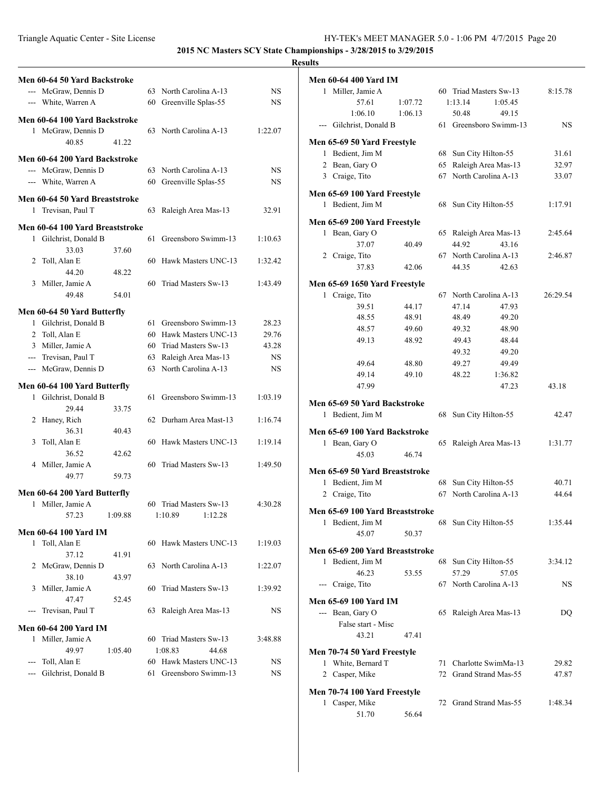|                                 |    |                        |           | <b>Results</b>                   |
|---------------------------------|----|------------------------|-----------|----------------------------------|
| Men 60-64 50 Yard Backstroke    |    |                        |           | Men 6                            |
| --- McGraw, Dennis D            |    | 63 North Carolina A-13 | NS        | 1                                |
| --- White, Warren A             |    | 60 Greenville Splas-55 | NS        |                                  |
|                                 |    |                        |           |                                  |
| Men 60-64 100 Yard Backstroke   |    |                        |           |                                  |
| 1 McGraw, Dennis D              |    | 63 North Carolina A-13 | 1:22.07   |                                  |
| 40.85<br>41.22                  |    |                        |           | Men 6                            |
| Men 60-64 200 Yard Backstroke   |    |                        |           | 1                                |
| --- McGraw, Dennis D            |    | 63 North Carolina A-13 | NS        | 2                                |
| --- White, Warren A             |    | 60 Greenville Splas-55 | <b>NS</b> | 3                                |
|                                 |    |                        |           | Men 6                            |
| Men 60-64 50 Yard Breaststroke  |    |                        |           | 1                                |
| 1 Trevisan, Paul T              |    | 63 Raleigh Area Mas-13 | 32.91     |                                  |
| Men 60-64 100 Yard Breaststroke |    |                        |           | Men 6                            |
| 1 Gilchrist, Donald B           | 61 | Greensboro Swimm-13    | 1:10.63   | 1                                |
| 37.60<br>33.03                  |    |                        |           |                                  |
| 2 Toll, Alan E                  |    | 60 Hawk Masters UNC-13 | 1:32.42   | 2                                |
| 44.20<br>48.22                  |    |                        |           |                                  |
| 3 Miller, Jamie A               |    | 60 Triad Masters Sw-13 | 1:43.49   |                                  |
| 49.48                           |    |                        |           | Men 6                            |
| 54.01                           |    |                        |           | 1                                |
| Men 60-64 50 Yard Butterfly     |    |                        |           |                                  |
| 1 Gilchrist, Donald B           |    | 61 Greensboro Swimm-13 | 28.23     |                                  |
| 2 Toll, Alan E                  |    | 60 Hawk Masters UNC-13 | 29.76     |                                  |
| 3 Miller, Jamie A               |    | 60 Triad Masters Sw-13 | 43.28     |                                  |
| --- Trevisan, Paul T            |    | 63 Raleigh Area Mas-13 | <b>NS</b> |                                  |
| --- McGraw, Dennis D            |    | 63 North Carolina A-13 | <b>NS</b> |                                  |
|                                 |    |                        |           |                                  |
| Men 60-64 100 Yard Butterfly    |    |                        |           |                                  |
| 1 Gilchrist, Donald B           |    | 61 Greensboro Swimm-13 | 1:03.19   | Men 6                            |
| 29.44<br>33.75                  |    |                        |           | 1                                |
| 2 Haney, Rich                   |    | 62 Durham Area Mast-13 | 1:16.74   |                                  |
| 36.31<br>40.43                  |    |                        |           | Men 6                            |
| Toll, Alan E<br>3               |    | 60 Hawk Masters UNC-13 | 1:19.14   | 1                                |
| 36.52<br>42.62                  |    |                        |           |                                  |
| 4 Miller, Jamie A               |    | 60 Triad Masters Sw-13 | 1:49.50   | Men 6                            |
| 49.77<br>59.73                  |    |                        |           | 1                                |
| Men 60-64 200 Yard Butterfly    |    |                        |           | 2                                |
| 1 Miller, Jamie A               | 60 | Triad Masters Sw-13    | 4:30.28   |                                  |
| 57.23<br>1:09.88                |    | 1:10.89<br>1:12.28     |           | Men 6                            |
|                                 |    |                        |           | 1                                |
| <b>Men 60-64 100 Yard IM</b>    |    |                        |           |                                  |
| 1 Toll, Alan E                  |    | 60 Hawk Masters UNC-13 | 1:19.03   | Men 6                            |
| 37.12<br>41.91                  |    |                        |           | 1                                |
| McGraw, Dennis D<br>2           |    | 63 North Carolina A-13 | 1:22.07   |                                  |
| 38.10<br>43.97                  |    |                        |           |                                  |
| Miller, Jamie A<br>3            | 60 | Triad Masters Sw-13    | 1:39.92   |                                  |
| 47.47<br>52.45                  |    |                        |           | Men 6                            |
| Trevisan, Paul T                |    | 63 Raleigh Area Mas-13 | NS        |                                  |
| <b>Men 60-64 200 Yard IM</b>    |    |                        |           |                                  |
| 1 Miller, Jamie A               |    | 60 Triad Masters Sw-13 | 3:48.88   |                                  |
| 49.97<br>1:05.40                |    | 1:08.83<br>44.68       |           | Men 7                            |
| --- Toll, Alan E                |    | 60 Hawk Masters UNC-13 | NS        | 1                                |
| Gilchrist, Donald B<br>$ -$     | 61 | Greensboro Swimm-13    | NS        | 2                                |
|                                 |    |                        |           |                                  |
|                                 |    |                        |           | $\mathbf{M}\mathbf{e}\mathbf{n}$ |

| Men 60-64 400 Yard IM                                        |         |    |                        |         |          |
|--------------------------------------------------------------|---------|----|------------------------|---------|----------|
| 1 Miller, Jamie A                                            |         |    | 60 Triad Masters Sw-13 |         | 8:15.78  |
| 57.61                                                        | 1:07.72 |    | 1:13.14                | 1:05.45 |          |
| 1:06.10                                                      | 1:06.13 |    | 50.48                  | 49.15   |          |
| --- Gilchrist, Donald B                                      |         |    | 61 Greensboro Swimm-13 |         | NS       |
| Men 65-69 50 Yard Freestyle                                  |         |    |                        |         |          |
| 1 Bedient, Jim M                                             |         | 68 | Sun City Hilton-55     |         | 31.61    |
| 2 Bean, Gary O                                               |         | 65 | Raleigh Area Mas-13    |         | 32.97    |
| 3 Craige, Tito                                               |         | 67 | North Carolina A-13    |         | 33.07    |
| Men 65-69 100 Yard Freestyle                                 |         |    |                        |         |          |
| 1 Bedient, Jim M                                             |         | 68 | Sun City Hilton-55     |         | 1:17.91  |
|                                                              |         |    |                        |         |          |
| Men 65-69 200 Yard Freestyle<br>1 Bean, Gary O               |         |    | 65 Raleigh Area Mas-13 |         | 2:45.64  |
| 37.07                                                        | 40.49   |    | 44.92                  | 43.16   |          |
| 2 Craige, Tito                                               |         |    | 67 North Carolina A-13 |         | 2:46.87  |
| 37.83                                                        | 42.06   |    | 44.35                  | 42.63   |          |
| Men 65-69 1650 Yard Freestyle                                |         |    |                        |         |          |
| 1<br>Craige, Tito                                            |         | 67 | North Carolina A-13    |         | 26:29.54 |
| 39.51                                                        | 44.17   |    | 47.14                  | 47.93   |          |
| 48.55                                                        | 48.91   |    | 48.49                  | 49.20   |          |
| 48.57                                                        | 49.60   |    | 49.32                  | 48.90   |          |
| 49.13                                                        | 48.92   |    | 49.43                  | 48.44   |          |
|                                                              |         |    | 49.32                  | 49.20   |          |
| 49.64                                                        | 48.80   |    | 49.27                  | 49.49   |          |
| 49.14                                                        | 49.10   |    | 48.22                  | 1:36.82 |          |
| 47.99                                                        |         |    |                        | 47.23   | 43.18    |
|                                                              |         |    |                        |         |          |
|                                                              |         |    |                        |         |          |
| Men 65-69 50 Yard Backstroke<br>1 Bedient, Jim M             |         |    | 68 Sun City Hilton-55  |         | 42.47    |
|                                                              |         |    |                        |         |          |
| Men 65-69 100 Yard Backstroke                                |         |    |                        |         |          |
| Bean, Gary O<br>1<br>45.03                                   | 46.74   | 65 | Raleigh Area Mas-13    |         | 1:31.77  |
|                                                              |         |    |                        |         |          |
| Men 65-69 50 Yard Breaststroke                               |         |    |                        |         |          |
| 1 Bedient, Jim M                                             |         | 68 | Sun City Hilton-55     |         | 40.71    |
| Craige, Tito<br>2                                            |         | 67 | North Carolina A-13    |         | 44.64    |
| Men 65-69 100 Yard Breaststroke                              |         |    |                        |         |          |
| 1<br>Bedient, Jim M                                          |         |    | 68 Sun City Hilton-55  |         | 1:35.44  |
| 45.07                                                        | 50.37   |    |                        |         |          |
| Men 65-69 200 Yard Breaststroke                              |         |    |                        |         |          |
| 1 Bedient, Jim M                                             |         | 68 | Sun City Hilton-55     |         | 3:34.12  |
| 46.23                                                        | 53.55   |    | 57.29                  | 57.05   |          |
| --- Craige, Tito                                             |         |    | 67 North Carolina A-13 |         | NS       |
| Men 65-69 100 Yard IM                                        |         |    |                        |         |          |
| --- Bean, Gary O                                             |         |    | 65 Raleigh Area Mas-13 |         | DQ       |
| False start - Misc                                           |         |    |                        |         |          |
| 43.21                                                        | 47.41   |    |                        |         |          |
|                                                              |         |    |                        |         |          |
| Men 70-74 50 Yard Freestyle<br>1 White, Bernard T            |         | 71 | Charlotte SwimMa-13    |         | 29.82    |
| 2 Casper, Mike                                               |         |    | 72 Grand Strand Mas-55 |         | 47.87    |
|                                                              |         |    |                        |         |          |
| Men 70-74 100 Yard Freestyle<br>Casper, Mike<br>$\mathbf{1}$ |         | 72 | Grand Strand Mas-55    |         | 1:48.34  |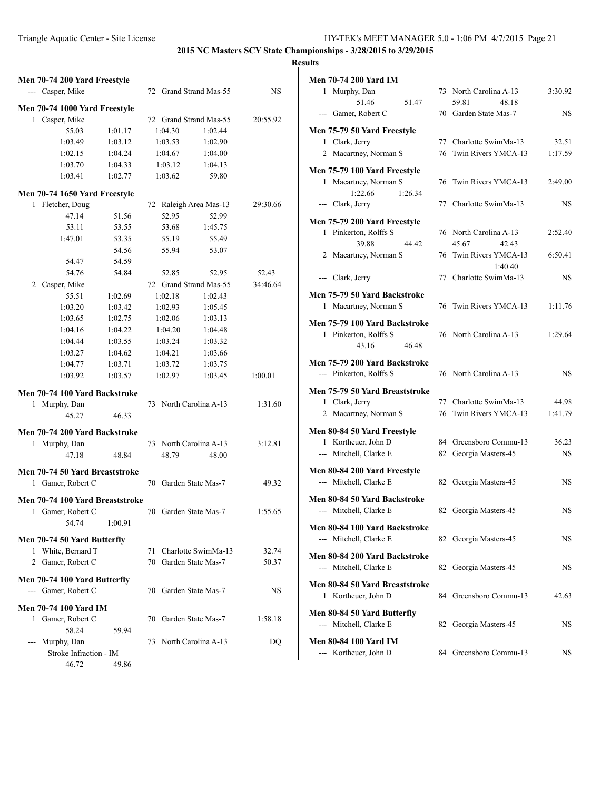| Men 70-74 200 Yard Freestyle                      |                           |                |
|---------------------------------------------------|---------------------------|----------------|
| --- Casper, Mike                                  | 72 Grand Strand Mas-55    | <b>NS</b>      |
|                                                   |                           |                |
| Men 70-74 1000 Yard Freestyle                     |                           |                |
| 1 Casper, Mike                                    | 72 Grand Strand Mas-55    | 20:55.92       |
| 55.03<br>1:01.17                                  | 1:04.30<br>1:02.44        |                |
| 1:03.49<br>1:03.12                                | 1:03.53<br>1:02.90        |                |
| 1:02.15<br>1:04.24                                | 1:04.67<br>1:04.00        |                |
| 1:03.70<br>1:04.33                                | 1:03.12<br>1:04.13        |                |
| 1:03.41<br>1:02.77                                | 1:03.62<br>59.80          |                |
| Men 70-74 1650 Yard Freestyle                     |                           |                |
| 1 Fletcher, Doug                                  | 72 Raleigh Area Mas-13    | 29:30.66       |
| 47.14<br>51.56                                    | 52.95<br>52.99            |                |
| 53.11<br>53.55                                    | 53.68<br>1:45.75          |                |
| 1:47.01<br>53.35                                  | 55.19<br>55.49            |                |
| 54.56                                             | 55.94<br>53.07            |                |
| 54.47<br>54.59                                    |                           |                |
| 54.84<br>54.76                                    | 52.85<br>52.95            | 52.43          |
| 2 Casper, Mike                                    | 72 Grand Strand Mas-55    | 34:46.64       |
| 55.51<br>1:02.69                                  | 1:02.18<br>1:02.43        |                |
| 1:03.20<br>1:03.42                                | 1:02.93<br>1:05.45        |                |
| 1:03.65<br>1:02.75                                | 1:02.06<br>1:03.13        |                |
| 1:04.16<br>1:04.22                                | 1:04.20<br>1:04.48        |                |
| 1:04.44<br>1:03.55                                | 1:03.24<br>1:03.32        |                |
| 1:03.27<br>1:04.62                                | 1:04.21<br>1:03.66        |                |
| 1:04.77<br>1:03.71                                | 1:03.72<br>1:03.75        |                |
| 1:03.92<br>1:03.57                                | 1:02.97<br>1:03.45        | 1:00.01        |
|                                                   |                           |                |
| Men 70-74 100 Yard Backstroke                     |                           |                |
| 1 Murphy, Dan                                     | 73 North Carolina A-13    | 1:31.60        |
| 45.27<br>46.33                                    |                           |                |
| Men 70-74 200 Yard Backstroke                     |                           |                |
| 1 Murphy, Dan                                     | 73 North Carolina A-13    | 3:12.81        |
| 47.18<br>48.84                                    | 48.79<br>48.00            |                |
|                                                   |                           |                |
| Men 70-74 50 Yard Breaststroke                    |                           |                |
| 1 Gamer, Robert C                                 | 70 Garden State Mas-7     | 49.32          |
| Men 70-74 100 Yard Breaststroke                   |                           |                |
| 1 Gamer, Robert C                                 | 70 Garden State Mas-7     | 1:55.65        |
| 54.74<br>1:00.91                                  |                           |                |
|                                                   |                           |                |
| Men 70-74 50 Yard Butterfly<br>1 White, Bernard T | Charlotte SwimMa-13<br>71 |                |
| 2 Gamer, Robert C                                 | 70 Garden State Mas-7     | 32.74<br>50.37 |
|                                                   |                           |                |
| Men 70-74 100 Yard Butterfly                      |                           |                |
| --- Gamer, Robert C                               | 70 Garden State Mas-7     | <b>NS</b>      |
| <b>Men 70-74 100 Yard IM</b>                      |                           |                |
| 1 Gamer, Robert C                                 | 70 Garden State Mas-7     | 1:58.18        |
| 58.24<br>59.94                                    |                           |                |
| --- Murphy, Dan                                   | 73 North Carolina A-13    | DQ             |
| Stroke Infraction - IM                            |                           |                |
| 46.72<br>49.86                                    |                           |                |

| <b>Men 70-74 200 Yard IM</b>                                              |                                |         |    |                                                  |                    |
|---------------------------------------------------------------------------|--------------------------------|---------|----|--------------------------------------------------|--------------------|
| 1 Murphy, Dan                                                             | 51.46                          | 51.47   |    | 73 North Carolina A-13<br>59.81<br>48 18         | 3:30.92            |
| --- Gamer, Robert C                                                       |                                |         |    | 70 Garden State Mas-7                            | NS                 |
| Men 75-79 50 Yard Freestyle                                               |                                |         |    |                                                  |                    |
| 1 Clark, Jerry                                                            |                                |         |    | 77 Charlotte SwimMa-13                           | 32.51              |
| 2 Macartney, Norman S                                                     |                                |         |    | 76 Twin Rivers YMCA-13                           | 1:17.59            |
| Men 75-79 100 Yard Freestyle<br>1                                         | Macartney, Norman S<br>1:22.66 | 1:26.34 |    | 76 Twin Rivers YMCA-13                           | 2:49.00            |
| --- Clark, Jerry                                                          |                                |         |    | 77 Charlotte SwimMa-13                           | NS                 |
| Men 75-79 200 Yard Freestyle<br>1 Pinkerton, Rolffs S                     | 39.88                          | 44.42   |    | 76 North Carolina A-13<br>45.67<br>42.43         | 2:52.40            |
| 2 Macartney, Norman S                                                     |                                |         |    | 76 Twin Rivers YMCA-13<br>1:40.40                | 6:50.41            |
| --- Clark, Jerry                                                          |                                |         |    | 77 Charlotte SwimMa-13                           | NS                 |
| Men 75-79 50 Yard Backstroke<br>1 Macartney, Norman S                     |                                |         |    | 76 Twin Rivers YMCA-13                           | 1:11.76            |
| Men 75-79 100 Yard Backstroke<br>1 Pinkerton, Rolffs S                    | 43.16                          | 46.48   |    | 76 North Carolina A-13                           | 1:29.64            |
| Men 75-79 200 Yard Backstroke<br>--- Pinkerton, Rolffs S                  |                                |         |    | 76 North Carolina A-13                           | NS                 |
| Men 75-79 50 Yard Breaststroke<br>1 Clark, Jerry<br>2 Macartney, Norman S |                                |         |    | 77 Charlotte SwimMa-13<br>76 Twin Rivers YMCA-13 | 44.98<br>1:41.79   |
| Men 80-84 50 Yard Freestyle                                               |                                |         |    |                                                  |                    |
| 1 Kortheuer, John D<br>--- Mitchell, Clarke E                             |                                |         |    | 84 Greensboro Commu-13<br>82 Georgia Masters-45  | 36.23<br><b>NS</b> |
| Men 80-84 200 Yard Freestyle<br>--- Mitchell, Clarke E                    |                                |         | 82 | Georgia Masters-45                               | NS                 |
| Men 80-84 50 Yard Backstroke<br>--- Mitchell, Clarke E                    |                                |         |    | 82 Georgia Masters-45                            | <b>NS</b>          |
| Men 80-84 100 Yard Backstroke<br>--- Mitchell, Clarke E                   |                                |         |    | 82 Georgia Masters-45                            | NS                 |
| <b>Men 80-84 200 Yard Backstroke</b><br>--- Mitchell, Clarke E            |                                |         |    | 82 Georgia Masters-45                            | NS                 |
| Men 80-84 50 Yard Breaststroke<br>Kortheuer, John D<br>1                  |                                |         | 84 | Greensboro Commu-13                              | 42.63              |
| Men 80-84 50 Yard Butterfly<br>--- Mitchell, Clarke E                     |                                |         |    | 82 Georgia Masters-45                            | NS                 |
| <b>Men 80-84 100 Yard IM</b><br>--- Kortheuer, John D                     |                                |         |    | 84 Greensboro Commu-13                           | NS                 |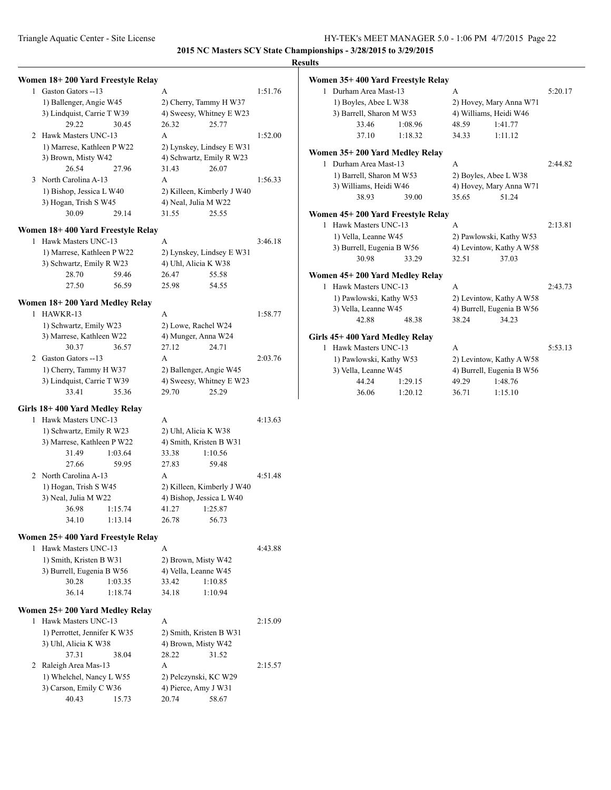|                                   |         |       |                               |         | resuns |                           |                                   |       |                           |         |
|-----------------------------------|---------|-------|-------------------------------|---------|--------|---------------------------|-----------------------------------|-------|---------------------------|---------|
| Women 18+200 Yard Freestyle Relay |         |       |                               |         |        |                           | Women 35+400 Yard Freestyle Relay |       |                           |         |
| 1 Gaston Gators --13              |         | A     |                               | 1:51.76 |        | 1 Durham Area Mast-13     |                                   | A     |                           | 5:20.17 |
| 1) Ballenger, Angie W45           |         |       | 2) Cherry, Tammy H W37        |         |        | 1) Boyles, Abee L W38     |                                   |       | 2) Hovey, Mary Anna W71   |         |
| 3) Lindquist, Carrie T W39        |         |       | 4) Sweesy, Whitney E W23      |         |        | 3) Barrell, Sharon M W53  |                                   |       | 4) Williams, Heidi W46    |         |
| 29.22                             | 30.45   | 26.32 | 25.77                         |         |        | 33.46                     | 1:08.96                           | 48.59 | 1:41.77                   |         |
| 2 Hawk Masters UNC-13             |         | A     |                               | 1:52.00 |        | 37.10                     | 1:18.32                           | 34.33 | 1:11.12                   |         |
| 1) Marrese, Kathleen P W22        |         |       | 2) Lynskey, Lindsey E W31     |         |        |                           |                                   |       |                           |         |
| 3) Brown, Misty W42               |         |       | 4) Schwartz, Emily R W23      |         |        |                           | Women 35+200 Yard Medley Relay    |       |                           |         |
| 26.54                             | 27.96   | 31.43 | 26.07                         |         |        | 1 Durham Area Mast-13     |                                   | A     |                           | 2:44.82 |
| 3 North Carolina A-13             |         | A     |                               | 1:56.33 |        | 1) Barrell, Sharon M W53  |                                   |       | 2) Boyles, Abee L W38     |         |
| 1) Bishop, Jessica L W40          |         |       | 2) Killeen, Kimberly J W40    |         |        | 3) Williams, Heidi W46    |                                   |       | 4) Hovey, Mary Anna W71   |         |
| 3) Hogan, Trish S W45             |         |       | 4) Neal, Julia M W22          |         |        | 38.93                     | 39.00                             | 35.65 | 51.24                     |         |
| 30.09                             | 29.14   | 31.55 | 25.55                         |         |        |                           | Women 45+200 Yard Freestyle Relay |       |                           |         |
|                                   |         |       |                               |         |        | 1 Hawk Masters UNC-13     |                                   | A     |                           | 2:13.81 |
| Women 18+400 Yard Freestyle Relay |         |       |                               |         |        | 1) Vella, Leanne W45      |                                   |       | 2) Pawlowski, Kathy W53   |         |
| 1 Hawk Masters UNC-13             |         | A     |                               | 3:46.18 |        | 3) Burrell, Eugenia B W56 |                                   |       | 4) Levintow, Kathy A W58  |         |
| 1) Marrese, Kathleen P W22        |         |       | 2) Lynskey, Lindsey E W31     |         |        | 30.98                     | 33.29                             | 32.51 | 37.03                     |         |
| 3) Schwartz, Emily R W23          |         |       | 4) Uhl, Alicia K W38          |         |        |                           |                                   |       |                           |         |
| 28.70                             | 59.46   | 26.47 | 55.58                         |         |        |                           | Women 45+200 Yard Medley Relay    |       |                           |         |
| 27.50                             | 56.59   | 25.98 | 54.55                         |         |        | 1 Hawk Masters UNC-13     |                                   | A     |                           | 2:43.73 |
| Women 18+200 Yard Medley Relay    |         |       |                               |         |        | 1) Pawlowski, Kathy W53   |                                   |       | 2) Levintow, Kathy A W58  |         |
| 1 HAWKR-13                        |         | A     |                               | 1:58.77 |        | 3) Vella, Leanne W45      |                                   |       | 4) Burrell, Eugenia B W56 |         |
| 1) Schwartz, Emily W23            |         |       | 2) Lowe, Rachel W24           |         |        | 42.88                     | 48.38                             | 38.24 | 34.23                     |         |
| 3) Marrese, Kathleen W22          |         |       | 4) Munger, Anna W24           |         |        |                           |                                   |       |                           |         |
| 30.37                             | 36.57   | 27.12 | 24.71                         |         |        | 1 Hawk Masters UNC-13     | Girls 45+400 Yard Medley Relay    | A     |                           | 5:53.13 |
| 2 Gaston Gators -- 13             |         | A     |                               | 2:03.76 |        |                           |                                   |       |                           |         |
|                                   |         |       |                               |         |        | 1) Pawlowski, Kathy W53   |                                   |       | 2) Levintow, Kathy A W58  |         |
| 1) Cherry, Tammy H W37            |         |       | 2) Ballenger, Angie W45       |         |        | 3) Vella, Leanne W45      |                                   |       | 4) Burrell, Eugenia B W56 |         |
| 3) Lindquist, Carrie T W39        |         |       | 4) Sweesy, Whitney E W23      |         |        | 44.24                     | 1:29.15                           | 49.29 | 1:48.76                   |         |
| 33.41                             | 35.36   | 29.70 | 25.29                         |         |        | 36.06                     | 1:20.12                           | 36.71 | 1:15.10                   |         |
| Girls 18+400 Yard Medley Relay    |         |       |                               |         |        |                           |                                   |       |                           |         |
| 1 Hawk Masters UNC-13             |         | A     |                               | 4:13.63 |        |                           |                                   |       |                           |         |
| 1) Schwartz, Emily R W23          |         |       | 2) Uhl, Alicia K W38          |         |        |                           |                                   |       |                           |         |
| 3) Marrese, Kathleen P W22        |         |       | 4) Smith, Kristen B W31       |         |        |                           |                                   |       |                           |         |
| 31.49                             | 1:03.64 | 33.38 | 1:10.56                       |         |        |                           |                                   |       |                           |         |
| 27.66                             | 59.95   | 27.83 | 59.48                         |         |        |                           |                                   |       |                           |         |
| 2 North Carolina A-13             |         | A     |                               | 4:51.48 |        |                           |                                   |       |                           |         |
| 1) Hogan, Trish S W45             |         |       | 2) Killeen, Kimberly J W40    |         |        |                           |                                   |       |                           |         |
| 3) Neal, Julia M W22              |         |       | 4) Bishop, Jessica L W40      |         |        |                           |                                   |       |                           |         |
| 36.98                             | 1:15.74 | 41.27 | 1:25.87                       |         |        |                           |                                   |       |                           |         |
| 34.10                             | 1:13.14 | 26.78 | 56.73                         |         |        |                           |                                   |       |                           |         |
|                                   |         |       |                               |         |        |                           |                                   |       |                           |         |
| Women 25+400 Yard Freestyle Relay |         |       |                               |         |        |                           |                                   |       |                           |         |
| 1 Hawk Masters UNC-13             |         | A     |                               | 4:43.88 |        |                           |                                   |       |                           |         |
| 1) Smith, Kristen B W31           |         |       | 2) Brown, Misty W42           |         |        |                           |                                   |       |                           |         |
| 3) Burrell, Eugenia B W56         |         |       | 4) Vella, Leanne W45          |         |        |                           |                                   |       |                           |         |
| 30.28                             | 1:03.35 | 33.42 | 1:10.85                       |         |        |                           |                                   |       |                           |         |
| 36.14                             | 1:18.74 | 34.18 | 1:10.94                       |         |        |                           |                                   |       |                           |         |
| Women 25+200 Yard Medley Relay    |         |       |                               |         |        |                           |                                   |       |                           |         |
| 1 Hawk Masters UNC-13             |         | A     |                               | 2:15.09 |        |                           |                                   |       |                           |         |
| 1) Perrottet, Jennifer K W35      |         |       | 2) Smith, Kristen B W31       |         |        |                           |                                   |       |                           |         |
| 3) Uhl, Alicia K W38              |         |       | 4) Brown, Misty W42           |         |        |                           |                                   |       |                           |         |
| 37.31                             | 38.04   | 28.22 | 31.52                         |         |        |                           |                                   |       |                           |         |
| 2 Raleigh Area Mas-13             |         | A     |                               | 2:15.57 |        |                           |                                   |       |                           |         |
| 1) Whelchel, Nancy L W55          |         |       | 2) Pelczynski, KC W29         |         |        |                           |                                   |       |                           |         |
|                                   |         |       |                               |         |        |                           |                                   |       |                           |         |
|                                   |         |       |                               |         |        |                           |                                   |       |                           |         |
| 3) Carson, Emily C W36<br>40.43   | 15.73   | 20.74 | 4) Pierce, Amy J W31<br>58.67 |         |        |                           |                                   |       |                           |         |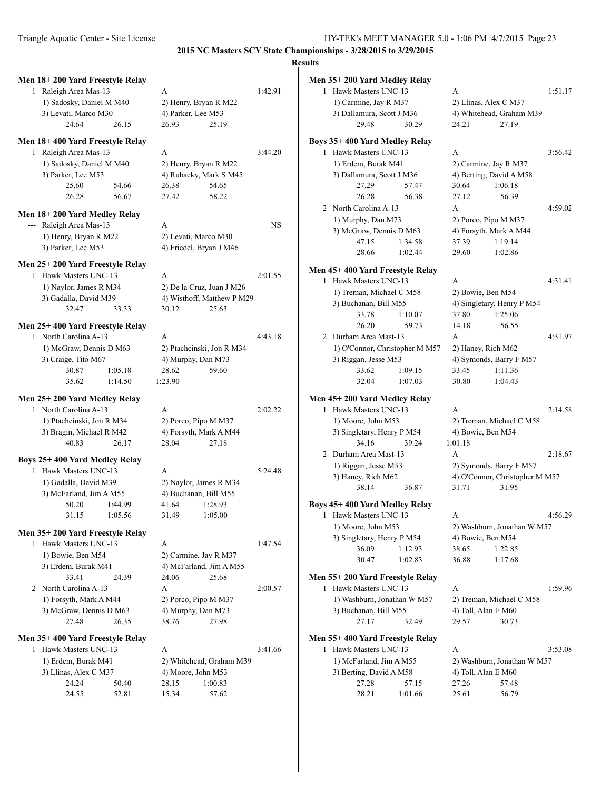|                                                          |                                                 |           | <b>Results</b>                                           |                                             |         |
|----------------------------------------------------------|-------------------------------------------------|-----------|----------------------------------------------------------|---------------------------------------------|---------|
| Men 18+200 Yard Freestyle Relay                          |                                                 |           | Men 35+200 Yard Medley Relay                             |                                             |         |
| 1 Raleigh Area Mas-13                                    | A                                               | 1:42.91   | 1 Hawk Masters UNC-13                                    | A                                           | 1:51.17 |
| 1) Sadosky, Daniel M M40                                 | 2) Henry, Bryan R M22                           |           | 1) Carmine, Jay R M37                                    | 2) Llinas, Alex C M37                       |         |
| 3) Levati, Marco M30                                     | 4) Parker, Lee M53                              |           | 3) Dallamura, Scott J M36                                | 4) Whitehead, Graham M39                    |         |
| 24.64<br>26.15                                           | 25.19<br>26.93                                  |           | 29.48<br>30.29                                           | 27.19<br>24.21                              |         |
| Men 18+400 Yard Freestyle Relay                          |                                                 |           | Boys 35+400 Yard Medley Relay                            |                                             |         |
| 1 Raleigh Area Mas-13                                    | A                                               | 3:44.20   | 1 Hawk Masters UNC-13                                    | A                                           | 3:56.42 |
| 1) Sadosky, Daniel M M40                                 | 2) Henry, Bryan R M22                           |           | 1) Erdem, Burak M41                                      | 2) Carmine, Jay R M37                       |         |
| 3) Parker, Lee M53                                       | 4) Rubacky, Mark S M45                          |           | 3) Dallamura, Scott J M36                                | 4) Berting, David A M58                     |         |
| 25.60<br>54.66                                           | 54.65<br>26.38                                  |           | 27.29<br>57.47                                           | 30.64<br>1:06.18                            |         |
| 26.28<br>56.67                                           | 58.22<br>27.42                                  |           | 26.28<br>56.38                                           | 56.39<br>27.12                              |         |
| Men 18+200 Yard Medley Relay                             |                                                 |           | 2 North Carolina A-13                                    | A                                           | 4:59.02 |
| --- Raleigh Area Mas-13                                  | A                                               | <b>NS</b> | 1) Murphy, Dan M73                                       | 2) Porco, Pipo M M37                        |         |
| 1) Henry, Bryan R M22                                    | 2) Levati, Marco M30                            |           | 3) McGraw, Dennis D M63                                  | 4) Forsyth, Mark A M44                      |         |
| 3) Parker, Lee M53                                       | 4) Friedel, Bryan J M46                         |           | 47.15<br>1:34.58                                         | 1:19.14<br>37.39                            |         |
| Men 25+200 Yard Freestyle Relay                          |                                                 |           | 28.66<br>1:02.44                                         | 29.60<br>1:02.86                            |         |
| 1 Hawk Masters UNC-13                                    | A                                               | 2:01.55   | Men 45+400 Yard Freestyle Relay                          |                                             |         |
| 1) Naylor, James R M34                                   | 2) De la Cruz, Juan J M26                       |           | 1 Hawk Masters UNC-13                                    | A                                           | 4:31.41 |
| 3) Gadalla, David M39                                    | 4) Wisthoff, Matthew P M29                      |           | 1) Treman, Michael C M58                                 | 2) Bowie, Ben M54                           |         |
| 32.47<br>33.33                                           | 30.12<br>25.63                                  |           | 3) Buchanan, Bill M55                                    | 4) Singletary, Henry P M54                  |         |
|                                                          |                                                 |           | 33.78<br>1:10.07                                         | 37.80<br>1:25.06                            |         |
| Men 25+400 Yard Freestyle Relay                          |                                                 |           | 26.20<br>59.73                                           | 14.18<br>56.55                              |         |
| 1 North Carolina A-13                                    | A                                               | 4:43.18   | 2 Durham Area Mast-13                                    | A                                           | 4:31.97 |
| 1) McGraw, Dennis D M63                                  | 2) Ptachcinski, Jon R M34                       |           | 1) O'Connor, Christopher M M57                           | 2) Haney, Rich M62                          |         |
| 3) Craige, Tito M67<br>30.87<br>1:05.18                  | 4) Murphy, Dan M73<br>59.60<br>28.62            |           | 3) Riggan, Jesse M53<br>33.62<br>1:09.15                 | 4) Symonds, Barry F M57<br>33.45<br>1:11.36 |         |
| 35.62<br>1:14.50                                         | 1:23.90                                         |           | 32.04<br>1:07.03                                         | 30.80<br>1:04.43                            |         |
|                                                          |                                                 |           |                                                          |                                             |         |
| Men 25+200 Yard Medley Relay<br>1 North Carolina A-13    | A                                               | 2:02.22   | Men 45+200 Yard Medley Relay<br>1 Hawk Masters UNC-13    | A                                           | 2:14.58 |
| 1) Ptachcinski, Jon R M34                                | 2) Porco, Pipo M M37                            |           | 1) Moore, John M53                                       | 2) Treman, Michael C M58                    |         |
| 3) Bragin, Michael R M42                                 | 4) Forsyth, Mark A M44                          |           | 3) Singletary, Henry P M54                               | 4) Bowie, Ben M54                           |         |
| 40.83<br>26.17                                           | 28.04<br>27.18                                  |           | 34.16<br>39.24                                           | 1:01.18                                     |         |
|                                                          |                                                 |           | 2 Durham Area Mast-13                                    | A                                           | 2:18.67 |
| Boys 25+400 Yard Medley Relay                            |                                                 |           | 1) Riggan, Jesse M53                                     | 2) Symonds, Barry F M57                     |         |
| 1 Hawk Masters UNC-13                                    | A                                               | 5:24.48   | 3) Haney, Rich M62                                       | 4) O'Connor, Christopher M M57              |         |
| 1) Gadalla, David M39<br>3) McFarland, Jim A M55         | 2) Naylor, James R M34<br>4) Buchanan, Bill M55 |           | 38.14<br>36.87                                           | 31.71<br>31.95                              |         |
| 50.20   1:44.99                                          | 41.64 1:28.93                                   |           | Boys 45+400 Yard Medley Relay                            |                                             |         |
| 31.15<br>1:05.56                                         | 31.49<br>1:05.00                                |           | 1 Hawk Masters UNC-13                                    | А                                           | 4:56.29 |
|                                                          |                                                 |           | 1) Moore, John M53                                       | 2) Washburn, Jonathan W M57                 |         |
| Men 35+200 Yard Freestyle Relay                          |                                                 |           | 3) Singletary, Henry P M54                               | 4) Bowie, Ben M54                           |         |
| 1 Hawk Masters UNC-13                                    | A                                               | 1:47.54   | 36.09<br>1:12.93                                         | 1:22.85<br>38.65                            |         |
| 1) Bowie, Ben M54                                        | 2) Carmine, Jay R M37                           |           | 30.47<br>1:02.83                                         | 36.88<br>1:17.68                            |         |
| 3) Erdem, Burak M41<br>33.41                             | 4) McFarland, Jim A M55                         |           |                                                          |                                             |         |
| 24.39<br>2 North Carolina A-13                           | 24.06<br>25.68<br>A                             | 2:00.57   | Men 55+200 Yard Freestyle Relay<br>1 Hawk Masters UNC-13 | A                                           | 1:59.96 |
| 1) Forsyth, Mark A M44                                   | 2) Porco, Pipo M M37                            |           | 1) Washburn, Jonathan W M57                              | 2) Treman, Michael C M58                    |         |
| 3) McGraw, Dennis D M63                                  | 4) Murphy, Dan M73                              |           | 3) Buchanan, Bill M55                                    | 4) Toll, Alan E M60                         |         |
| 27.48<br>26.35                                           | 38.76<br>27.98                                  |           | 27.17<br>32.49                                           | 29.57<br>30.73                              |         |
|                                                          |                                                 |           |                                                          |                                             |         |
| Men 35+400 Yard Freestyle Relay<br>1 Hawk Masters UNC-13 | A                                               | 3:41.66   | Men 55+400 Yard Freestyle Relay<br>1 Hawk Masters UNC-13 | A                                           | 3:53.08 |
| 1) Erdem, Burak M41                                      | 2) Whitehead, Graham M39                        |           | 1) McFarland, Jim A M55                                  | 2) Washburn, Jonathan W M57                 |         |
| 3) Llinas, Alex C M37                                    | 4) Moore, John M53                              |           | 3) Berting, David A M58                                  | 4) Toll, Alan E M60                         |         |
| 24.24<br>50.40                                           | 28.15<br>1:00.83                                |           | 27.28<br>57.15                                           | 27.26<br>57.48                              |         |
| 24.55<br>52.81                                           | 57.62<br>15.34                                  |           | 28.21<br>1:01.66                                         | 25.61<br>56.79                              |         |
|                                                          |                                                 |           |                                                          |                                             |         |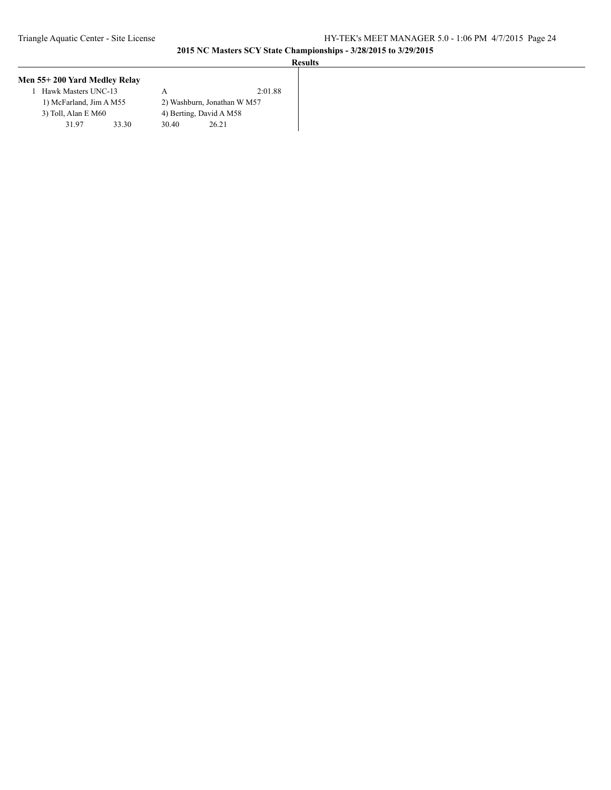| Men 55+200 Yard Medley Relay |       |       |                             |
|------------------------------|-------|-------|-----------------------------|
| Hawk Masters UNC-13          |       |       | 2:01.88                     |
| 1) McFarland, Jim A M55      |       |       | 2) Washburn, Jonathan W M57 |
| 3) Toll, Alan E M60          |       |       | 4) Berting, David A M58     |
| 31.97                        | 33.30 | 30.40 | 26.21                       |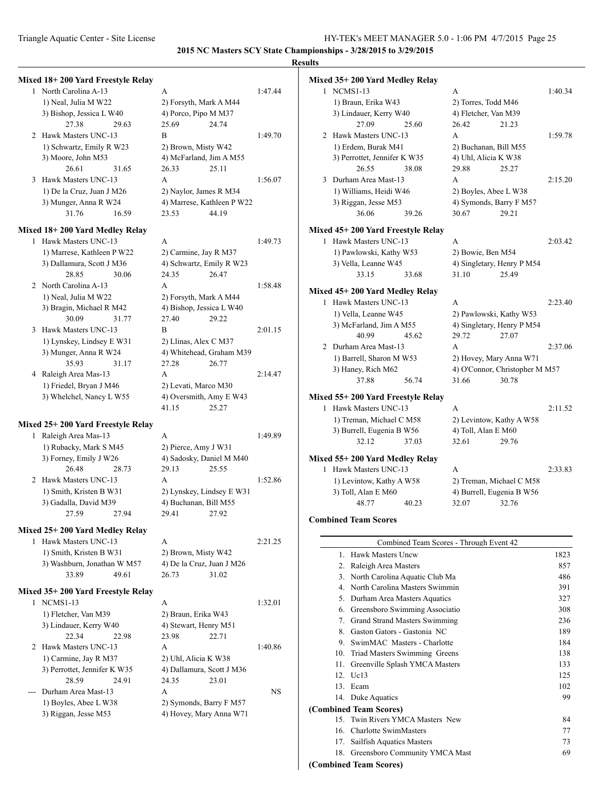### **Results**

|                                   |                                              |           | results         |
|-----------------------------------|----------------------------------------------|-----------|-----------------|
| Mixed 18+200 Yard Freestyle Relay |                                              |           | Mixed $35+2$    |
| 1 North Carolina A-13             | А                                            | 1:47.44   | 1 NCM           |
| 1) Neal, Julia M W22              | 2) Forsyth, Mark A M44                       |           | 1) Bra          |
| 3) Bishop, Jessica L W40          | 4) Porco, Pipo M M37                         |           | $3)$ Lin        |
| 27.38<br>29.63                    | 24.74<br>25.69                               |           |                 |
| 2 Hawk Masters UNC-13             | В                                            | 1:49.70   | 2 Hawk          |
| 1) Schwartz, Emily R W23          | 2) Brown, Misty W42                          |           | 1) Erd          |
| 3) Moore, John M53                | 4) McFarland, Jim A M55                      |           | 3) Per          |
| 26.61<br>31.65                    | 25.11<br>26.33                               |           |                 |
| 3 Hawk Masters UNC-13             | A                                            | 1:56.07   | 3 Durha         |
| 1) De la Cruz, Juan J M26         | 2) Naylor, James R M34                       |           | 1) Wi           |
| 3) Munger, Anna R W24             |                                              |           | 3) Rig          |
| 31.76<br>16.59                    | 4) Marrese, Kathleen P W22<br>44.19<br>23.53 |           |                 |
|                                   |                                              |           |                 |
| Mixed 18+200 Yard Medley Relay    |                                              |           | Mixed $45+2$    |
| 1 Hawk Masters UNC-13             | A                                            | 1:49.73   | 1 Hawk          |
| 1) Marrese, Kathleen P W22        | 2) Carmine, Jay R M37                        |           | $1)$ Pay        |
| 3) Dallamura, Scott J M36         | 4) Schwartz, Emily R W23                     |           | 3) Vel          |
| 28.85<br>30.06                    | 24.35<br>26.47                               |           |                 |
| 2 North Carolina A-13             | A                                            | 1:58.48   | Mixed $45+2$    |
| 1) Neal, Julia M W22              | 2) Forsyth, Mark A M44                       |           | 1 Hawk          |
| 3) Bragin, Michael R M42          | 4) Bishop, Jessica L W40                     |           |                 |
| 30.09<br>31.77                    | 27.40<br>29.22                               |           | 1) Vel          |
| 3 Hawk Masters UNC-13             | B                                            | 2:01.15   | $3)$ Mc         |
| 1) Lynskey, Lindsey E W31         | 2) Llinas, Alex C M37                        |           | 2 Durha         |
| 3) Munger, Anna R W24             | 4) Whitehead, Graham M39                     |           |                 |
| 35.93<br>31.17                    | 26.77<br>27.28                               |           | 1) Bar          |
| 4 Raleigh Area Mas-13             | A                                            | 2:14.47   | $3)$ Har        |
| 1) Friedel, Bryan J M46           | 2) Levati, Marco M30                         |           |                 |
| 3) Whelchel, Nancy L W55          | 4) Oversmith, Amy E W43                      |           | Mixed $55+2$    |
|                                   | 41.15<br>25.27                               |           | 1 Hawk          |
| Mixed 25+200 Yard Freestyle Relay |                                              |           | 1) Tre          |
| 1 Raleigh Area Mas-13             | A                                            | 1:49.89   | $3)$ Bur        |
| 1) Rubacky, Mark S M45            | 2) Pierce, Amy J W31                         |           |                 |
| 3) Forney, Emily J W26            | 4) Sadosky, Daniel M M40                     |           | Mixed $55+2$    |
| 26.48<br>28.73                    | 29.13<br>25.55                               |           | 1 Hawk          |
| 2 Hawk Masters UNC-13             | A                                            | 1:52.86   | $1)$ Lev        |
| 1) Smith, Kristen B W31           | 2) Lynskey, Lindsey E W31                    |           | $3)$ Tol        |
| 3) Gadalla, David M39             | 4) Buchanan, Bill M55                        |           |                 |
| 27.59<br>27.94                    | 29.41<br>27.92                               |           |                 |
|                                   |                                              |           | <b>Combined</b> |
| Mixed 25+200 Yard Medley Relay    |                                              |           |                 |
| 1 Hawk Masters UNC-13             | A                                            | 2:21.25   |                 |
| 1) Smith, Kristen B W31           | 2) Brown, Misty W42                          |           | 1.              |
| 3) Washburn, Jonathan W M57       | 4) De la Cruz, Juan J M26                    |           | 2.              |
| 33.89<br>49.61                    | 26.73<br>31.02                               |           | 3.1             |
| Mixed 35+200 Yard Freestyle Relay |                                              |           | 4. I            |
| 1 NCMS1-13                        | A                                            | 1:32.01   | 5.              |
| 1) Fletcher, Van M39              | 2) Braun, Erika W43                          |           | 6.              |
| 3) Lindauer, Kerry W40            | 4) Stewart, Henry M51                        |           | 7.              |
| 22.34<br>22.98                    | 23.98<br>22.71                               |           | 8.              |
| 2 Hawk Masters UNC-13             | A                                            | 1:40.86   | 9.              |
| 1) Carmine, Jay R M37             | 2) Uhl, Alicia K W38                         |           | 10.             |
| 3) Perrottet, Jennifer K W35      | 4) Dallamura, Scott J M36                    |           | 11.             |
| 28.59<br>24.91                    | 24.35<br>23.01                               |           | 12.             |
| Durham Area Mast-13               | A                                            | <b>NS</b> | 13.             |
| 1) Boyles, Abee L W38             | 2) Symonds, Barry F M57                      |           | 14.             |
| 3) Riggan, Jesse M53              | 4) Hovey, Mary Anna W71                      |           | (Combined       |
|                                   |                                              |           | 15.             |
|                                   |                                              |           | 16.             |

|   | Mixed 35+200 Yard Medley Relay     |                                |         |
|---|------------------------------------|--------------------------------|---------|
|   | 1 NCMS1-13                         | A                              | 1:40.34 |
|   | 1) Braun, Erika W43                | 2) Torres, Todd M46            |         |
|   | 3) Lindauer, Kerry W40             | 4) Fletcher, Van M39           |         |
|   | 27.09<br>25.60                     | 26.42<br>21.23                 |         |
|   | 2 Hawk Masters UNC-13              | A                              | 1:59.78 |
|   | 1) Erdem, Burak M41                | 2) Buchanan, Bill M55          |         |
|   | 3) Perrottet, Jennifer K W35       | 4) Uhl, Alicia K W38           |         |
|   | 26.55<br>38.08                     | 29.88<br>25.27                 |         |
| 3 | Durham Area Mast-13                | A                              | 2:15.20 |
|   | 1) Williams, Heidi W46             | 2) Boyles, Abee L W38          |         |
|   | 3) Riggan, Jesse M53               | 4) Symonds, Barry F M57        |         |
|   | 36.06<br>39.26                     | 30.67<br>29.21                 |         |
|   | Mixed 45+ 200 Yard Freestyle Relay |                                |         |
|   | 1 Hawk Masters UNC-13              | A                              | 2:03.42 |
|   | 1) Pawlowski, Kathy W53            | 2) Bowie, Ben M54              |         |
|   | 3) Vella, Leanne W45               | 4) Singletary, Henry P M54     |         |
|   | 33.15<br>33.68                     | 25.49<br>31.10                 |         |
|   |                                    |                                |         |
|   | Mixed 45+200 Yard Medley Relay     |                                |         |
|   | 1 Hawk Masters UNC-13              | A                              | 2:23.40 |
|   | 1) Vella, Leanne W45               | 2) Pawlowski, Kathy W53        |         |
|   | 3) McFarland, Jim A M55            | 4) Singletary, Henry P M54     |         |
|   | 40.99<br>45.62                     | 29.72<br>27.07                 |         |
|   | 2 Durham Area Mast-13              | A                              | 2:37.06 |
|   | 1) Barrell, Sharon M W53           | 2) Hovey, Mary Anna W71        |         |
|   | 3) Haney, Rich M62                 | 4) O'Connor, Christopher M M57 |         |
|   | 37.88<br>56.74                     | 31.66<br>30.78                 |         |
|   | Mixed 55+200 Yard Freestyle Relay  |                                |         |
|   | 1 Hawk Masters UNC-13              | A                              | 2:11.52 |
|   | 1) Treman, Michael C M58           | 2) Levintow, Kathy A W58       |         |
|   | 3) Burrell, Eugenia B W56          | 4) Toll, Alan E M60            |         |
|   | 32.12<br>37.03                     | 32.61<br>29.76                 |         |
|   |                                    |                                |         |
|   | Mixed 55+200 Yard Medley Relay     |                                |         |
| 1 | Hawk Masters UNC-13                | A                              | 2:33.83 |
|   | 1) Levintow, Kathy A W58           | 2) Treman, Michael C M58       |         |
|   | 3) Toll, Alan E M60                | 4) Burrell, Eugenia B W56      |         |
|   | 48.77<br>40.23                     | 32.07<br>32.76                 |         |
|   | <b>Combined Team Scores</b>        |                                |         |
|   |                                    |                                |         |
|   |                                    |                                |         |

### **Combined Team Scores**

|                 | Combined Team Scores - Through Event 42 |      |
|-----------------|-----------------------------------------|------|
| $\mathbf{1}$    | Hawk Masters Uncw                       | 1823 |
| 2.              | Raleigh Area Masters                    | 857  |
| 3.              | North Carolina Aquatic Club Ma          | 486  |
| 4               | North Carolina Masters Swimmin          | 391  |
| 5.              | Durham Area Masters Aquatics            | 327  |
| 6.              | Greensboro Swimming Associatio          | 308  |
| 7.              | Grand Strand Masters Swimming           | 236  |
| 8.              | Gaston Gators - Gastonia NC             | 189  |
| 9               | SwimMAC Masters - Charlotte             | 184  |
| 10.             | Triad Masters Swimming Greens           | 138  |
| 11.             | Greenville Splash YMCA Masters          | 133  |
| 12 <sub>1</sub> | Uc13                                    | 125  |
| 13.             | Ecam                                    | 102  |
|                 | 14. Duke Aquatics                       | 99   |
|                 | (Combined Team Scores)                  |      |
| 15.             | Twin Rivers YMCA Masters New            | 84   |
| 16.             | Charlotte SwimMasters                   | 77   |
| 17.             | Sailfish Aquatics Masters               | 73   |
|                 | 18. Greensboro Community YMCA Mast      | 69   |
|                 | $1! \t 1! \t n \t n \t \ldots$          |      |

**(Combined Team Scores)**